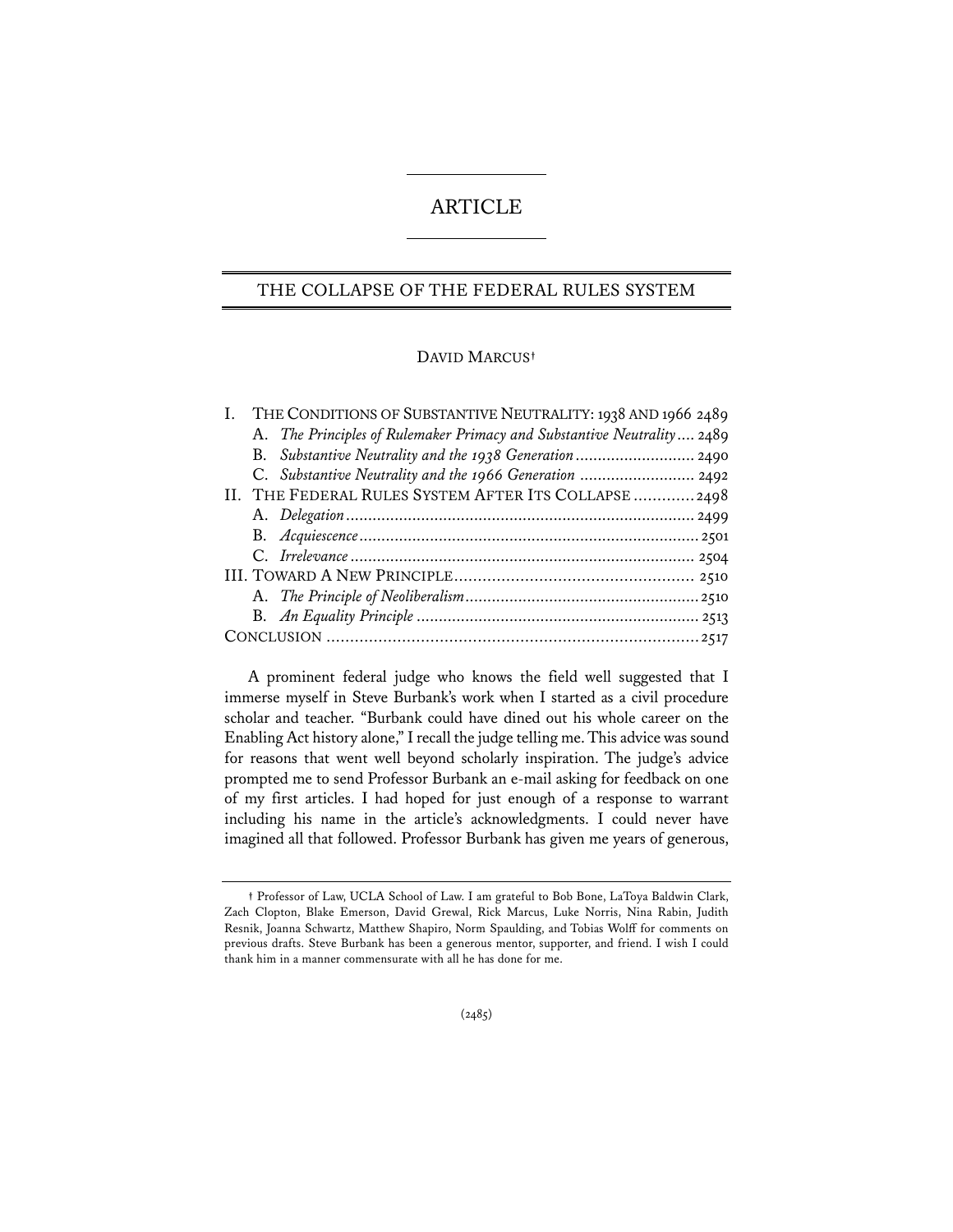# ARTICLE

# THE COLLAPSE OF THE FEDERAL RULES SYSTEM

## DAVID MARCUS**†**

| THE CONDITIONS OF SUBSTANTIVE NEUTRALITY: 1938 AND 1966 2489           |  |
|------------------------------------------------------------------------|--|
| A. The Principles of Rulemaker Primacy and Substantive Neutrality 2489 |  |
| B. Substantive Neutrality and the 1938 Generation  2490                |  |
| C. Substantive Neutrality and the 1966 Generation  2492                |  |
| II. THE FEDERAL RULES SYSTEM AFTER ITS COLLAPSE  2498                  |  |
|                                                                        |  |
|                                                                        |  |
|                                                                        |  |
|                                                                        |  |
|                                                                        |  |
|                                                                        |  |
|                                                                        |  |

A prominent federal judge who knows the field well suggested that I immerse myself in Steve Burbank's work when I started as a civil procedure scholar and teacher. "Burbank could have dined out his whole career on the Enabling Act history alone," I recall the judge telling me. This advice was sound for reasons that went well beyond scholarly inspiration. The judge's advice prompted me to send Professor Burbank an e-mail asking for feedback on one of my first articles. I had hoped for just enough of a response to warrant including his name in the article's acknowledgments. I could never have imagined all that followed. Professor Burbank has given me years of generous,

**<sup>†</sup>** Professor of Law, UCLA School of Law. I am grateful to Bob Bone, LaToya Baldwin Clark, Zach Clopton, Blake Emerson, David Grewal, Rick Marcus, Luke Norris, Nina Rabin, Judith Resnik, Joanna Schwartz, Matthew Shapiro, Norm Spaulding, and Tobias Wolff for comments on previous drafts. Steve Burbank has been a generous mentor, supporter, and friend. I wish I could thank him in a manner commensurate with all he has done for me.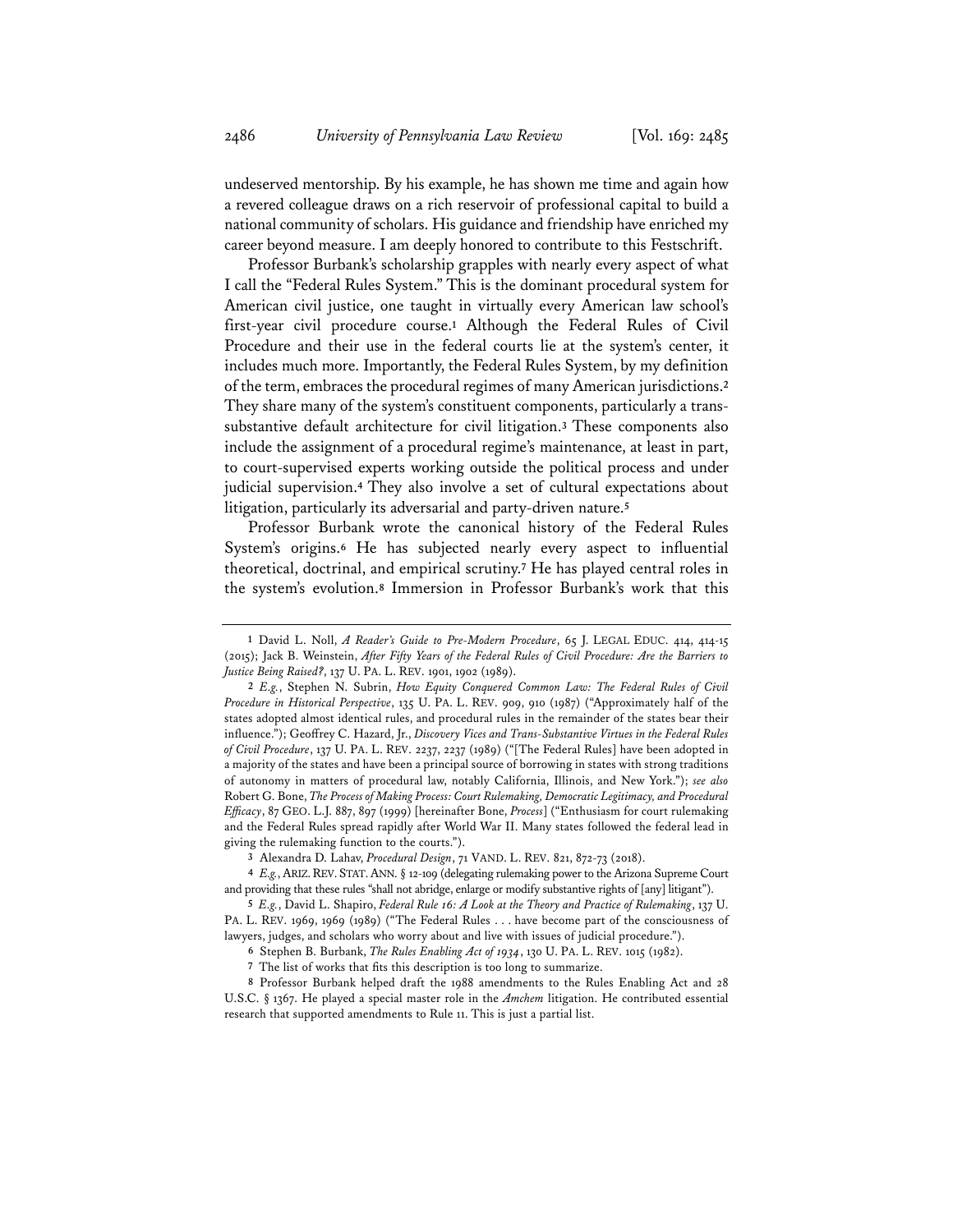undeserved mentorship. By his example, he has shown me time and again how a revered colleague draws on a rich reservoir of professional capital to build a national community of scholars. His guidance and friendship have enriched my career beyond measure. I am deeply honored to contribute to this Festschrift.

Professor Burbank's scholarship grapples with nearly every aspect of what I call the "Federal Rules System." This is the dominant procedural system for American civil justice, one taught in virtually every American law school's first-year civil procedure course.**<sup>1</sup>** Although the Federal Rules of Civil Procedure and their use in the federal courts lie at the system's center, it includes much more. Importantly, the Federal Rules System, by my definition of the term, embraces the procedural regimes of many American jurisdictions.**<sup>2</sup>** They share many of the system's constituent components, particularly a transsubstantive default architecture for civil litigation.**<sup>3</sup>** These components also include the assignment of a procedural regime's maintenance, at least in part, to court-supervised experts working outside the political process and under judicial supervision.**<sup>4</sup>** They also involve a set of cultural expectations about litigation, particularly its adversarial and party-driven nature.**<sup>5</sup>**

Professor Burbank wrote the canonical history of the Federal Rules System's origins.**<sup>6</sup>** He has subjected nearly every aspect to influential theoretical, doctrinal, and empirical scrutiny.**<sup>7</sup>** He has played central roles in the system's evolution.**<sup>8</sup>** Immersion in Professor Burbank's work that this

**<sup>1</sup>** David L. Noll, *A Reader's Guide to Pre-Modern Procedure*, 65 J. LEGAL EDUC. 414, 414-15 (2015); Jack B. Weinstein, *After Fifty Years of the Federal Rules of Civil Procedure: Are the Barriers to Justice Being Raised?*, 137 U. PA. L. REV. 1901, 1902 (1989).

**<sup>2</sup>** *E.g.*, Stephen N. Subrin, *How Equity Conquered Common Law: The Federal Rules of Civil Procedure in Historical Perspective*, 135 U. PA. L. REV. 909, 910 (1987) ("Approximately half of the states adopted almost identical rules, and procedural rules in the remainder of the states bear their influence."); Geoffrey C. Hazard, Jr., *Discovery Vices and Trans-Substantive Virtues in the Federal Rules of Civil Procedure*, 137 U. PA. L. REV. 2237, 2237 (1989) ("[The Federal Rules] have been adopted in a majority of the states and have been a principal source of borrowing in states with strong traditions of autonomy in matters of procedural law, notably California, Illinois, and New York."); *see also* Robert G. Bone, *The Process of Making Process: Court Rulemaking, Democratic Legitimacy, and Procedural Efficacy*, 87 GEO. L.J. 887, 897 (1999) [hereinafter Bone, *Process*] ("Enthusiasm for court rulemaking and the Federal Rules spread rapidly after World War II. Many states followed the federal lead in giving the rulemaking function to the courts.").

**<sup>3</sup>** Alexandra D. Lahav, *Procedural Design*, 71 VAND. L. REV. 821, 872-73 (2018).

**<sup>4</sup>** *E.g.*, ARIZ.REV. STAT.ANN. § 12-109 (delegating rulemaking power to the Arizona Supreme Court and providing that these rules "shall not abridge, enlarge or modify substantive rights of [any] litigant").

**<sup>5</sup>** *E.g.*, David L. Shapiro, *Federal Rule 16: A Look at the Theory and Practice of Rulemaking*, 137 U. PA. L. REV. 1969, 1969 (1989) ("The Federal Rules . . . have become part of the consciousness of lawyers, judges, and scholars who worry about and live with issues of judicial procedure.").

**<sup>6</sup>** Stephen B. Burbank, *The Rules Enabling Act of 1934*, 130 U. PA. L. REV. 1015 (1982).

**<sup>7</sup>** The list of works that fits this description is too long to summarize.

**<sup>8</sup>** Professor Burbank helped draft the 1988 amendments to the Rules Enabling Act and 28 U.S.C. § 1367. He played a special master role in the *Amchem* litigation. He contributed essential research that supported amendments to Rule 11. This is just a partial list.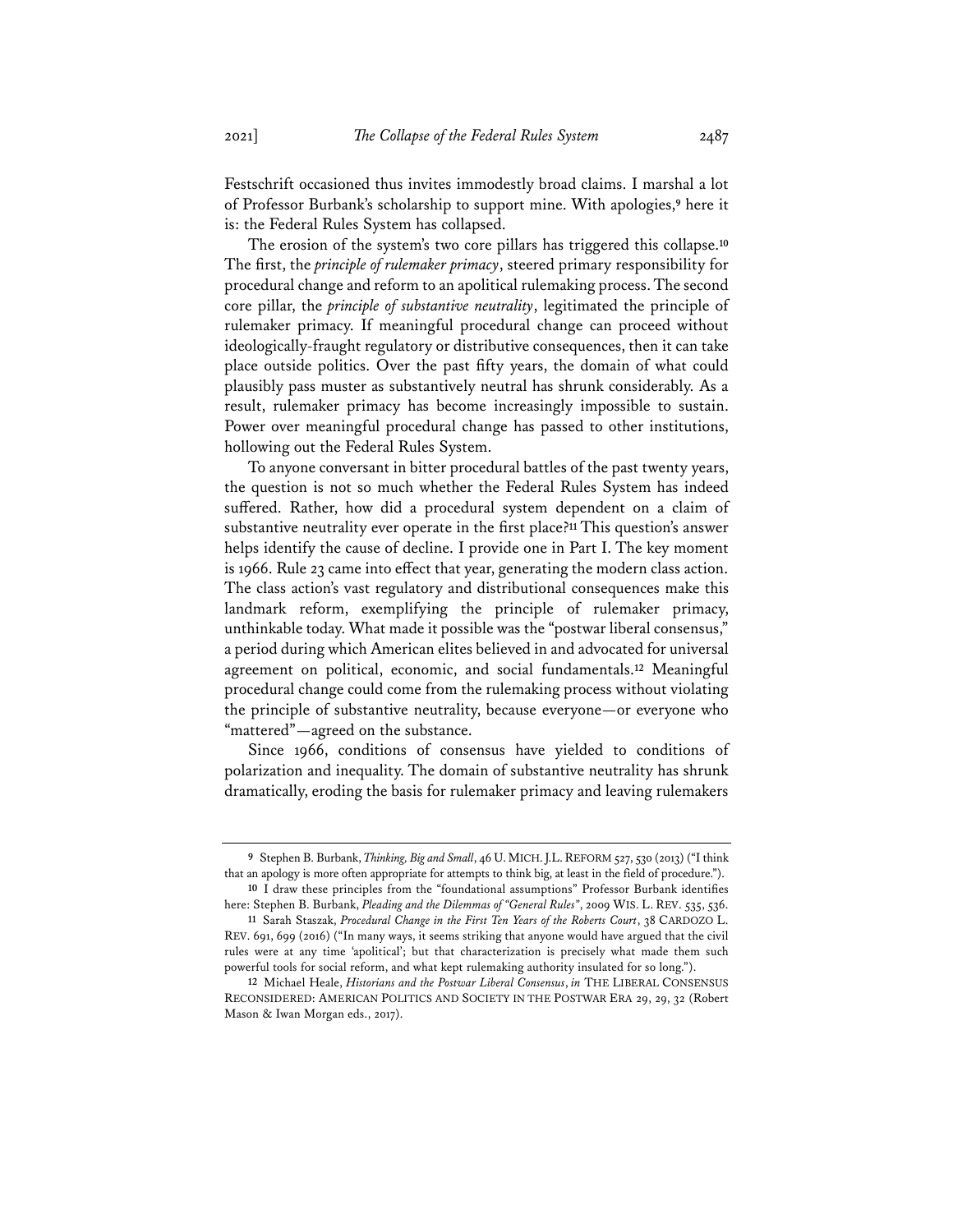Festschrift occasioned thus invites immodestly broad claims. I marshal a lot of Professor Burbank's scholarship to support mine. With apologies,**<sup>9</sup>** here it is: the Federal Rules System has collapsed.

The erosion of the system's two core pillars has triggered this collapse.**<sup>10</sup>** The first, the *principle of rulemaker primacy*, steered primary responsibility for procedural change and reform to an apolitical rulemaking process. The second core pillar, the *principle of substantive neutrality*, legitimated the principle of rulemaker primacy. If meaningful procedural change can proceed without ideologically-fraught regulatory or distributive consequences, then it can take place outside politics. Over the past fifty years, the domain of what could plausibly pass muster as substantively neutral has shrunk considerably. As a result, rulemaker primacy has become increasingly impossible to sustain. Power over meaningful procedural change has passed to other institutions, hollowing out the Federal Rules System.

To anyone conversant in bitter procedural battles of the past twenty years, the question is not so much whether the Federal Rules System has indeed suffered. Rather, how did a procedural system dependent on a claim of substantive neutrality ever operate in the first place?**<sup>11</sup>** This question's answer helps identify the cause of decline. I provide one in Part I. The key moment is 1966. Rule 23 came into effect that year, generating the modern class action. The class action's vast regulatory and distributional consequences make this landmark reform, exemplifying the principle of rulemaker primacy, unthinkable today. What made it possible was the "postwar liberal consensus," a period during which American elites believed in and advocated for universal agreement on political, economic, and social fundamentals.**<sup>12</sup>** Meaningful procedural change could come from the rulemaking process without violating the principle of substantive neutrality, because everyone—or everyone who "mattered"—agreed on the substance.

Since 1966, conditions of consensus have yielded to conditions of polarization and inequality. The domain of substantive neutrality has shrunk dramatically, eroding the basis for rulemaker primacy and leaving rulemakers

**<sup>9</sup>** Stephen B. Burbank, *Thinking, Big and Small*, 46 U.MICH.J.L.REFORM 527, 530 (2013) ("I think that an apology is more often appropriate for attempts to think big, at least in the field of procedure.").

**<sup>10</sup>** I draw these principles from the "foundational assumptions" Professor Burbank identifies here: Stephen B. Burbank, *Pleading and the Dilemmas of "General Rules"*, 2009 WIS. L. REV. 535, 536.

**<sup>11</sup>** Sarah Staszak, *Procedural Change in the First Ten Years of the Roberts Court*, 38 CARDOZO L. REV. 691, 699 (2016) ("In many ways, it seems striking that anyone would have argued that the civil rules were at any time 'apolitical'; but that characterization is precisely what made them such powerful tools for social reform, and what kept rulemaking authority insulated for so long.").

**<sup>12</sup>** Michael Heale, *Historians and the Postwar Liberal Consensus*, *in* THE LIBERAL CONSENSUS RECONSIDERED: AMERICAN POLITICS AND SOCIETY IN THE POSTWAR ERA 29, 29, 32 (Robert Mason & Iwan Morgan eds., 2017).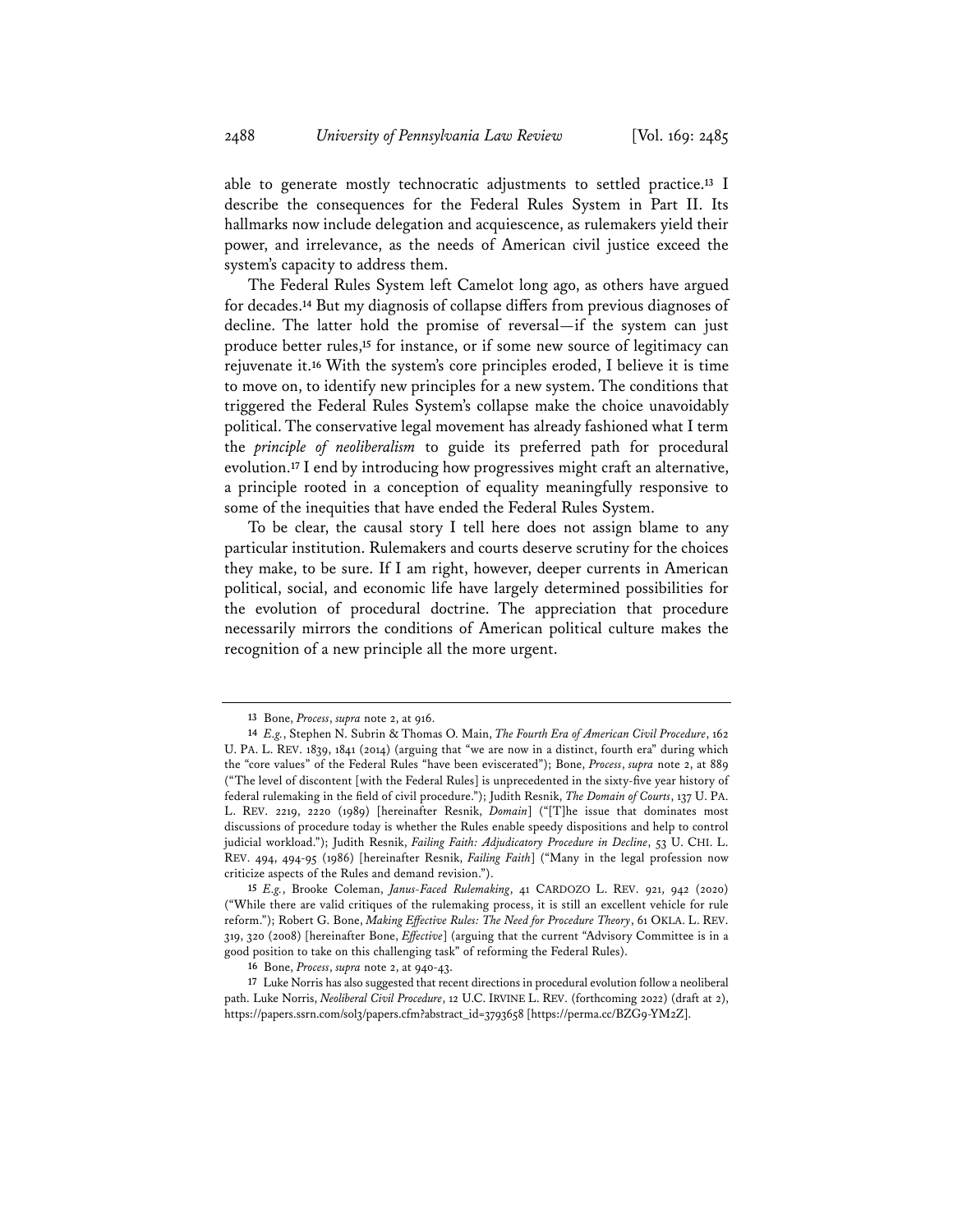able to generate mostly technocratic adjustments to settled practice.**<sup>13</sup>** I describe the consequences for the Federal Rules System in Part II. Its hallmarks now include delegation and acquiescence, as rulemakers yield their power, and irrelevance, as the needs of American civil justice exceed the system's capacity to address them.

The Federal Rules System left Camelot long ago, as others have argued for decades.**<sup>14</sup>** But my diagnosis of collapse differs from previous diagnoses of decline. The latter hold the promise of reversal—if the system can just produce better rules,**<sup>15</sup>** for instance, or if some new source of legitimacy can rejuvenate it.**<sup>16</sup>** With the system's core principles eroded, I believe it is time to move on, to identify new principles for a new system. The conditions that triggered the Federal Rules System's collapse make the choice unavoidably political. The conservative legal movement has already fashioned what I term the *principle of neoliberalism* to guide its preferred path for procedural evolution.**<sup>17</sup>** I end by introducing how progressives might craft an alternative, a principle rooted in a conception of equality meaningfully responsive to some of the inequities that have ended the Federal Rules System.

To be clear, the causal story I tell here does not assign blame to any particular institution. Rulemakers and courts deserve scrutiny for the choices they make, to be sure. If I am right, however, deeper currents in American political, social, and economic life have largely determined possibilities for the evolution of procedural doctrine. The appreciation that procedure necessarily mirrors the conditions of American political culture makes the recognition of a new principle all the more urgent.

**<sup>13</sup>** Bone, *Process*, *supra* note 2, at 916.

**<sup>14</sup>** *E.g.*, Stephen N. Subrin & Thomas O. Main, *The Fourth Era of American Civil Procedure*, 162 U. PA. L. REV. 1839, 1841 (2014) (arguing that "we are now in a distinct, fourth era" during which the "core values" of the Federal Rules "have been eviscerated"); Bone, *Process*, *supra* note 2, at 889 ("The level of discontent [with the Federal Rules] is unprecedented in the sixty-five year history of federal rulemaking in the field of civil procedure."); Judith Resnik, *The Domain of Courts*, 137 U. PA. L. REV. 2219, 2220 (1989) [hereinafter Resnik, *Domain*] ("[T]he issue that dominates most discussions of procedure today is whether the Rules enable speedy dispositions and help to control judicial workload."); Judith Resnik, *Failing Faith: Adjudicatory Procedure in Decline*, 53 U. CHI. L. REV. 494, 494-95 (1986) [hereinafter Resnik, *Failing Faith*] ("Many in the legal profession now criticize aspects of the Rules and demand revision.").

**<sup>15</sup>** *E.g.*, Brooke Coleman, *Janus-Faced Rulemaking*, 41 CARDOZO L. REV. 921, 942 (2020) ("While there are valid critiques of the rulemaking process, it is still an excellent vehicle for rule reform."); Robert G. Bone, *Making Effective Rules: The Need for Procedure Theory*, 61 OKLA. L. REV. 319, 320 (2008) [hereinafter Bone, *Effective*] (arguing that the current "Advisory Committee is in a good position to take on this challenging task" of reforming the Federal Rules).

**<sup>16</sup>** Bone, *Process*, *supra* note 2, at 940-43.

**<sup>17</sup>** Luke Norris has also suggested that recent directions in procedural evolution follow a neoliberal path. Luke Norris, *Neoliberal Civil Procedure*, 12 U.C. IRVINE L. REV. (forthcoming 2022) (draft at 2), https://papers.ssrn.com/sol3/papers.cfm?abstract\_id=3793658 [https://perma.cc/BZG9-YM2Z].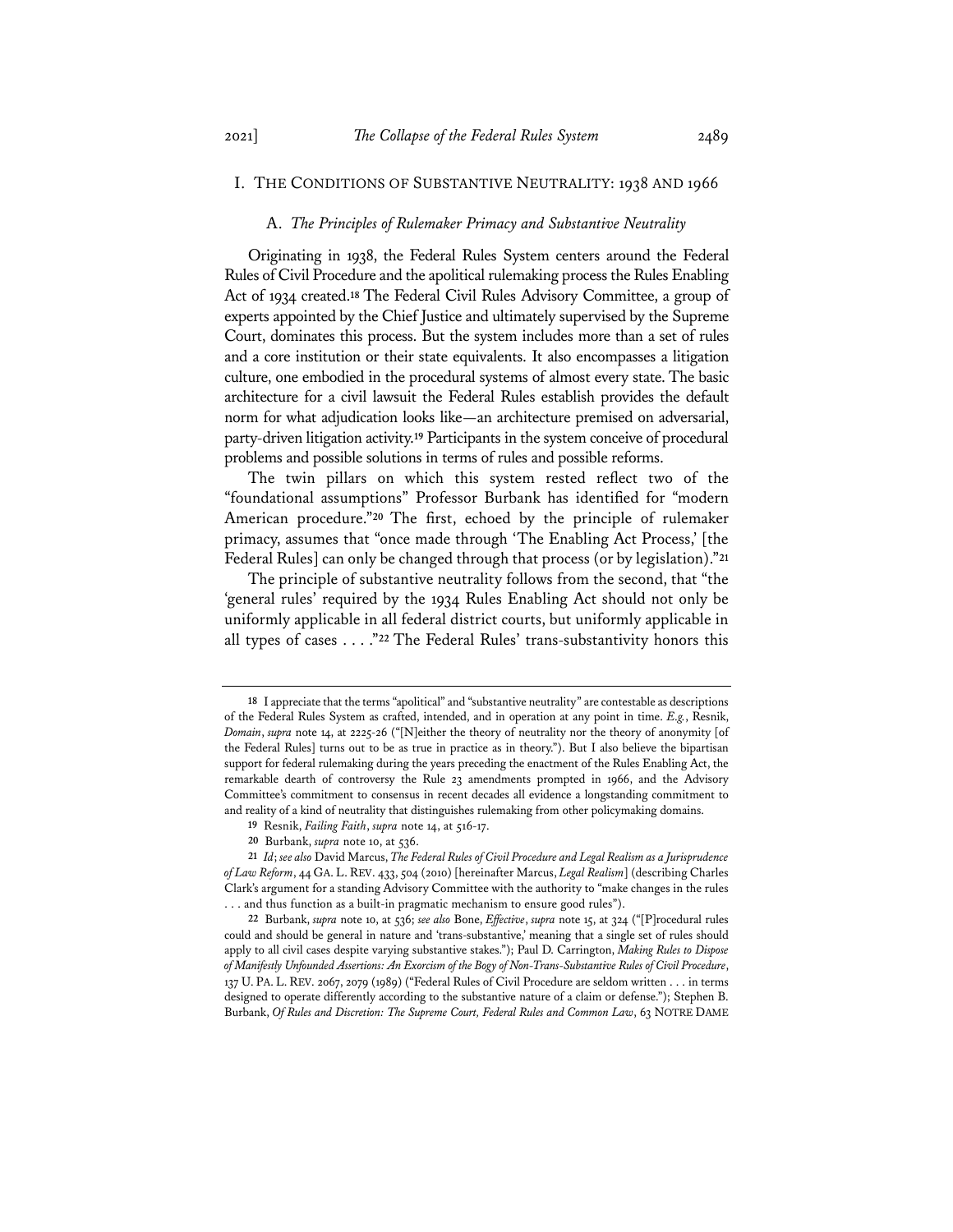## I. THE CONDITIONS OF SUBSTANTIVE NEUTRALITY: 1938 AND 1966

#### A. *The Principles of Rulemaker Primacy and Substantive Neutrality*

Originating in 1938, the Federal Rules System centers around the Federal Rules of Civil Procedure and the apolitical rulemaking process the Rules Enabling Act of 1934 created.**<sup>18</sup>** The Federal Civil Rules Advisory Committee, a group of experts appointed by the Chief Justice and ultimately supervised by the Supreme Court, dominates this process. But the system includes more than a set of rules and a core institution or their state equivalents. It also encompasses a litigation culture, one embodied in the procedural systems of almost every state. The basic architecture for a civil lawsuit the Federal Rules establish provides the default norm for what adjudication looks like—an architecture premised on adversarial, party-driven litigation activity.**<sup>19</sup>** Participants in the system conceive of procedural problems and possible solutions in terms of rules and possible reforms.

The twin pillars on which this system rested reflect two of the "foundational assumptions" Professor Burbank has identified for "modern American procedure."**<sup>20</sup>** The first, echoed by the principle of rulemaker primacy, assumes that "once made through 'The Enabling Act Process,' [the Federal Rules] can only be changed through that process (or by legislation)."**<sup>21</sup>**

The principle of substantive neutrality follows from the second, that "the 'general rules' required by the 1934 Rules Enabling Act should not only be uniformly applicable in all federal district courts, but uniformly applicable in all types of cases . . . ."**<sup>22</sup>** The Federal Rules' trans-substantivity honors this

**<sup>18</sup>** I appreciate that the terms "apolitical" and "substantive neutrality" are contestable as descriptions of the Federal Rules System as crafted, intended, and in operation at any point in time. *E.g.*, Resnik, *Domain*, *supra* note 14, at 2225-26 ("[N]either the theory of neutrality nor the theory of anonymity [of the Federal Rules] turns out to be as true in practice as in theory."). But I also believe the bipartisan support for federal rulemaking during the years preceding the enactment of the Rules Enabling Act, the remarkable dearth of controversy the Rule 23 amendments prompted in 1966, and the Advisory Committee's commitment to consensus in recent decades all evidence a longstanding commitment to and reality of a kind of neutrality that distinguishes rulemaking from other policymaking domains.

**<sup>19</sup>** Resnik, *Failing Faith*, *supra* note 14, at 516-17.

**<sup>20</sup>** Burbank, *supra* note 10, at 536.

**<sup>21</sup>** *Id*; *see also* David Marcus, *The Federal Rules of Civil Procedure and Legal Realism as a Jurisprudence of Law Reform*, 44 GA. L. REV. 433, 504 (2010) [hereinafter Marcus, *Legal Realism*] (describing Charles Clark's argument for a standing Advisory Committee with the authority to "make changes in the rules . . . and thus function as a built-in pragmatic mechanism to ensure good rules").

**<sup>22</sup>** Burbank, *supra* note 10, at 536; *see also* Bone, *Effective*, *supra* note 15, at 324 ("[P]rocedural rules could and should be general in nature and 'trans-substantive,' meaning that a single set of rules should apply to all civil cases despite varying substantive stakes."); Paul D. Carrington, *Making Rules to Dispose of Manifestly Unfounded Assertions: An Exorcism of the Bogy of Non-Trans-Substantive Rules of Civil Procedure*, 137 U. PA. L. REV. 2067, 2079 (1989) ("Federal Rules of Civil Procedure are seldom written . . . in terms designed to operate differently according to the substantive nature of a claim or defense."); Stephen B. Burbank, *Of Rules and Discretion: The Supreme Court, Federal Rules and Common Law*, 63 NOTRE DAME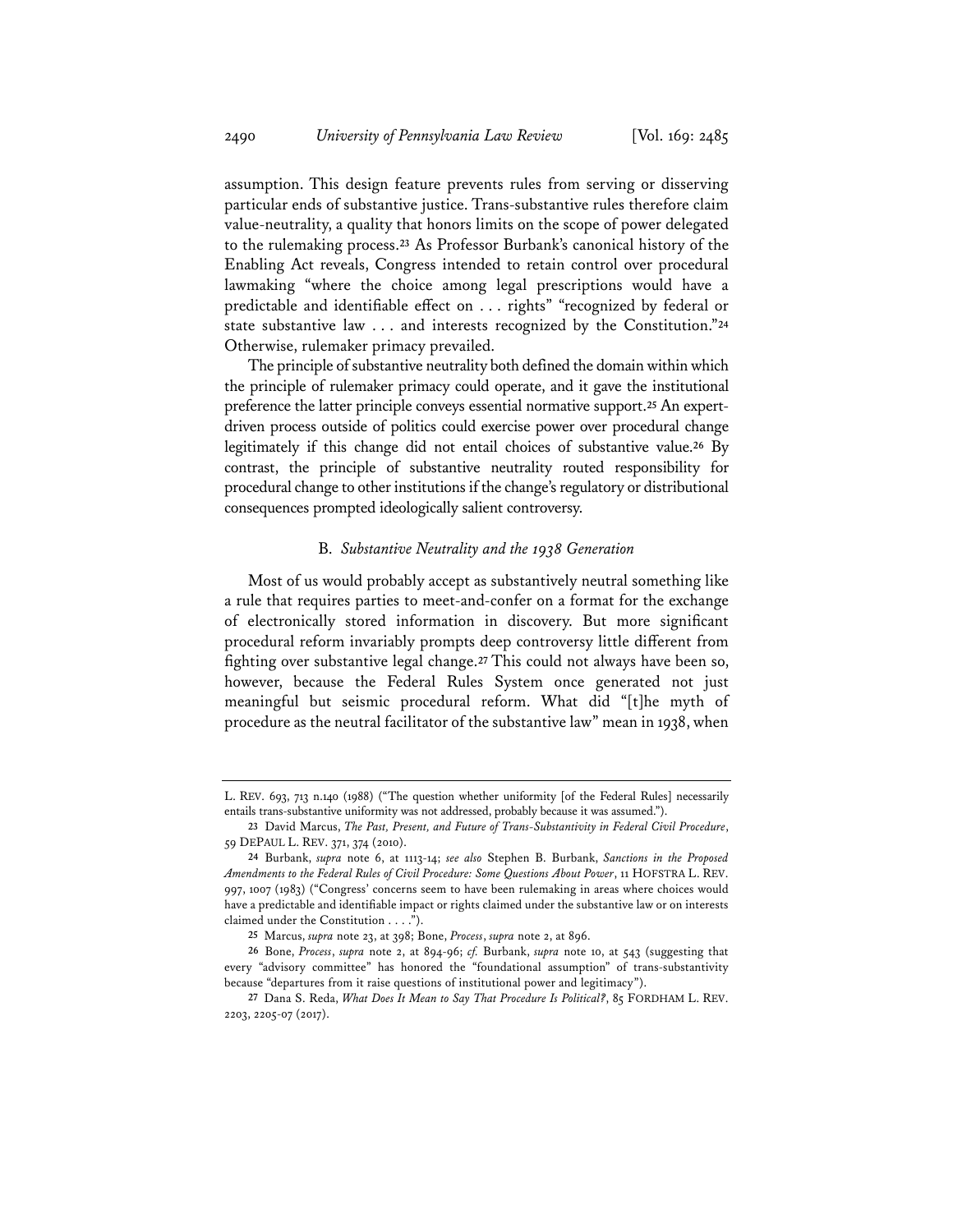assumption. This design feature prevents rules from serving or disserving particular ends of substantive justice. Trans-substantive rules therefore claim value-neutrality, a quality that honors limits on the scope of power delegated to the rulemaking process.**<sup>23</sup>** As Professor Burbank's canonical history of the Enabling Act reveals, Congress intended to retain control over procedural lawmaking "where the choice among legal prescriptions would have a predictable and identifiable effect on . . . rights" "recognized by federal or state substantive law . . . and interests recognized by the Constitution."**<sup>24</sup>** Otherwise, rulemaker primacy prevailed.

The principle of substantive neutrality both defined the domain within which the principle of rulemaker primacy could operate, and it gave the institutional preference the latter principle conveys essential normative support.**<sup>25</sup>** An expertdriven process outside of politics could exercise power over procedural change legitimately if this change did not entail choices of substantive value.**<sup>26</sup>** By contrast, the principle of substantive neutrality routed responsibility for procedural change to other institutions if the change's regulatory or distributional consequences prompted ideologically salient controversy.

## B. *Substantive Neutrality and the 1938 Generation*

Most of us would probably accept as substantively neutral something like a rule that requires parties to meet-and-confer on a format for the exchange of electronically stored information in discovery. But more significant procedural reform invariably prompts deep controversy little different from fighting over substantive legal change.**<sup>27</sup>** This could not always have been so, however, because the Federal Rules System once generated not just meaningful but seismic procedural reform. What did "[t]he myth of procedure as the neutral facilitator of the substantive law" mean in 1938, when

L. REV. 693, 713 n.140 (1988) ("The question whether uniformity [of the Federal Rules] necessarily entails trans-substantive uniformity was not addressed, probably because it was assumed.").

**<sup>23</sup>** David Marcus, *The Past, Present, and Future of Trans-Substantivity in Federal Civil Procedure*, 59 DEPAUL L. REV. 371, 374 (2010).

**<sup>24</sup>** Burbank, *supra* note 6, at 1113-14; *see also* Stephen B. Burbank, *Sanctions in the Proposed Amendments to the Federal Rules of Civil Procedure: Some Questions About Power*, 11 HOFSTRA L. REV. 997, 1007 (1983) ("Congress' concerns seem to have been rulemaking in areas where choices would have a predictable and identifiable impact or rights claimed under the substantive law or on interests claimed under the Constitution . . . .").

**<sup>25</sup>** Marcus, *supra* note 23, at 398; Bone, *Process*, *supra* note 2, at 896.

**<sup>26</sup>** Bone, *Process*, *supra* note 2, at 894-96; *cf.* Burbank, *supra* note 10, at 543 (suggesting that every "advisory committee" has honored the "foundational assumption" of trans-substantivity because "departures from it raise questions of institutional power and legitimacy").

**<sup>27</sup>** Dana S. Reda, *What Does It Mean to Say That Procedure Is Political?*, 85 FORDHAM L. REV. 2203, 2205-07 (2017).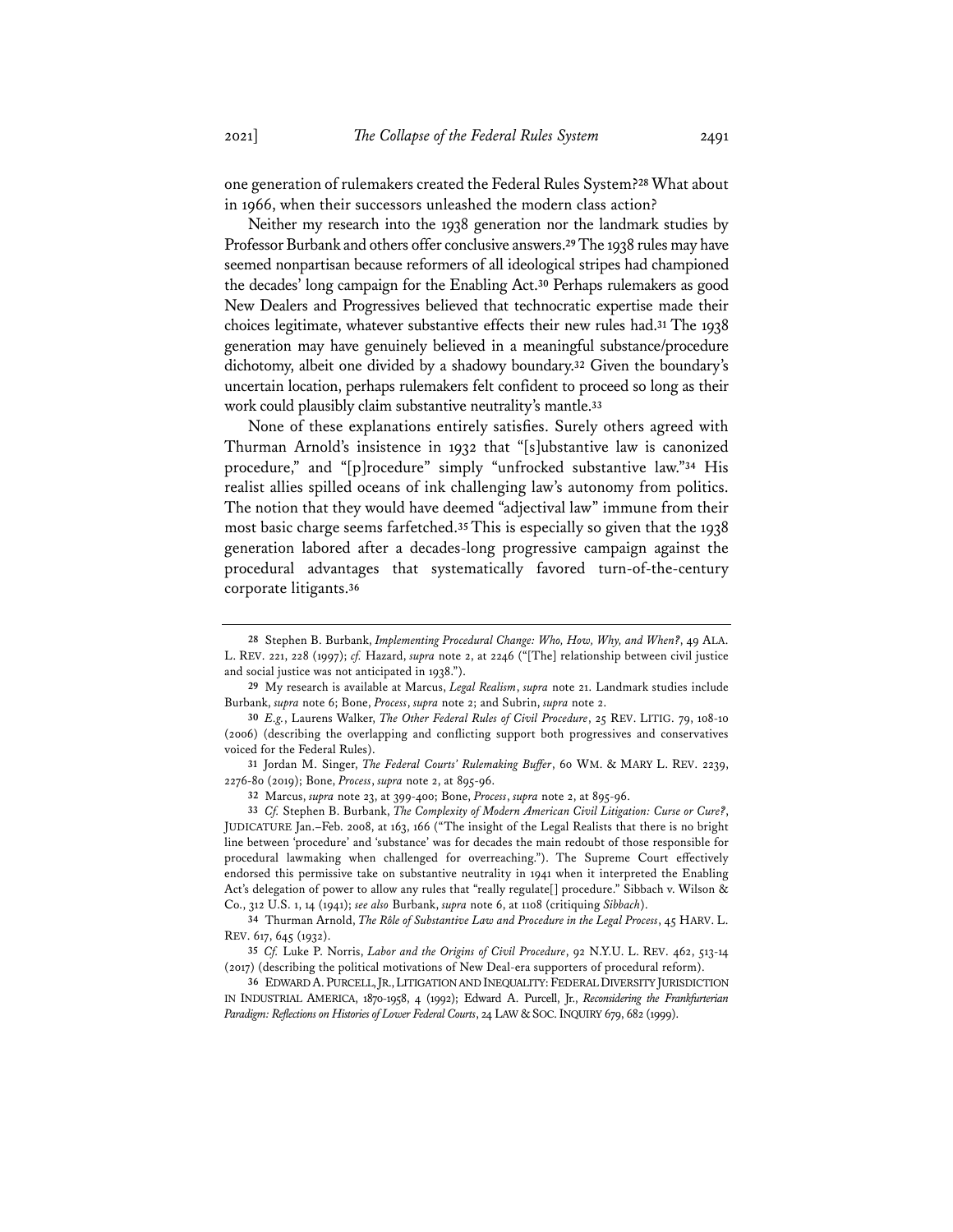in 1966, when their successors unleashed the modern class action?

Neither my research into the 1938 generation nor the landmark studies by Professor Burbank and others offer conclusive answers.**29**The 1938 rules may have seemed nonpartisan because reformers of all ideological stripes had championed the decades' long campaign for the Enabling Act.**<sup>30</sup>** Perhaps rulemakers as good New Dealers and Progressives believed that technocratic expertise made their choices legitimate, whatever substantive effects their new rules had.**<sup>31</sup>** The 1938 generation may have genuinely believed in a meaningful substance/procedure dichotomy, albeit one divided by a shadowy boundary.**<sup>32</sup>** Given the boundary's uncertain location, perhaps rulemakers felt confident to proceed so long as their work could plausibly claim substantive neutrality's mantle.**<sup>33</sup>**

None of these explanations entirely satisfies. Surely others agreed with Thurman Arnold's insistence in 1932 that "[s]ubstantive law is canonized procedure," and "[p]rocedure" simply "unfrocked substantive law."**<sup>34</sup>** His realist allies spilled oceans of ink challenging law's autonomy from politics. The notion that they would have deemed "adjectival law" immune from their most basic charge seems farfetched.**<sup>35</sup>** This is especially so given that the 1938 generation labored after a decades-long progressive campaign against the procedural advantages that systematically favored turn-of-the-century corporate litigants.**<sup>36</sup>**

**<sup>28</sup>** Stephen B. Burbank, *Implementing Procedural Change: Who, How, Why, and When?*, 49 ALA. L. REV. 221, 228 (1997); *cf.* Hazard, *supra* note 2, at 2246 ("[The] relationship between civil justice and social justice was not anticipated in 1938.").

**<sup>29</sup>** My research is available at Marcus, *Legal Realism*, *supra* note 21. Landmark studies include Burbank, *supra* note 6; Bone, *Process*, *supra* note 2; and Subrin, *supra* note 2.

**<sup>30</sup>** *E.g.*, Laurens Walker, *The Other Federal Rules of Civil Procedure*, 25 REV. LITIG. 79, 108-10 (2006) (describing the overlapping and conflicting support both progressives and conservatives voiced for the Federal Rules).

**<sup>31</sup>** Jordan M. Singer, *The Federal Courts' Rulemaking Buffer*, 60 WM. & MARY L. REV. 2239, 2276-80 (2019); Bone, *Process*, *supra* note 2, at 895-96.

**<sup>32</sup>** Marcus, *supra* note 23, at 399-400; Bone, *Process*, *supra* note 2, at 895-96.

**<sup>33</sup>** *Cf.* Stephen B. Burbank, *The Complexity of Modern American Civil Litigation: Curse or Cure?*, JUDICATURE Jan.–Feb. 2008, at 163, 166 ("The insight of the Legal Realists that there is no bright line between 'procedure' and 'substance' was for decades the main redoubt of those responsible for procedural lawmaking when challenged for overreaching."). The Supreme Court effectively endorsed this permissive take on substantive neutrality in 1941 when it interpreted the Enabling Act's delegation of power to allow any rules that "really regulate[] procedure." Sibbach v. Wilson & Co., 312 U.S. 1, 14 (1941); *see also* Burbank, *supra* note 6, at 1108 (critiquing *Sibbach*).

**<sup>34</sup>** Thurman Arnold, *The Rôle of Substantive Law and Procedure in the Legal Process*, 45 HARV. L. REV. 617, 645 (1932).

**<sup>35</sup>** *Cf.* Luke P. Norris, *Labor and the Origins of Civil Procedure*, 92 N.Y.U. L. REV. 462, 513-14 (2017) (describing the political motivations of New Deal-era supporters of procedural reform).

**<sup>36</sup>** EDWARD A.PURCELL,JR.,LITIGATION AND INEQUALITY:FEDERAL DIVERSITY JURISDICTION IN INDUSTRIAL AMERICA, 1870-1958, 4 (1992); Edward A. Purcell, Jr., *Reconsidering the Frankfurterian*  Paradigm: Reflections on Histories of Lower Federal Courts, 24 LAW & SOC. INQUIRY 679, 682 (1999).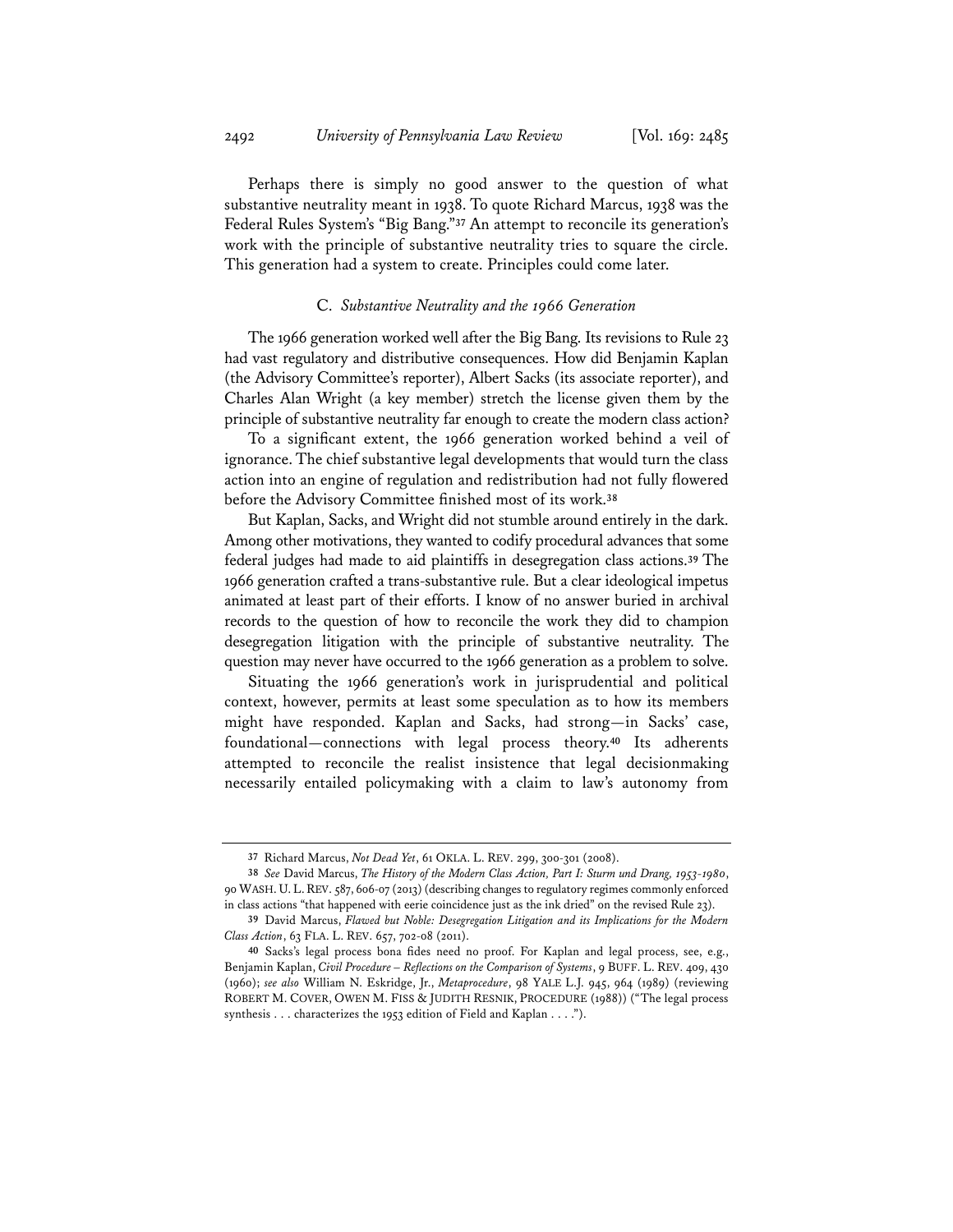Perhaps there is simply no good answer to the question of what substantive neutrality meant in 1938. To quote Richard Marcus, 1938 was the Federal Rules System's "Big Bang."**<sup>37</sup>** An attempt to reconcile its generation's work with the principle of substantive neutrality tries to square the circle. This generation had a system to create. Principles could come later.

## C. *Substantive Neutrality and the 1966 Generation*

The 1966 generation worked well after the Big Bang. Its revisions to Rule 23 had vast regulatory and distributive consequences. How did Benjamin Kaplan (the Advisory Committee's reporter), Albert Sacks (its associate reporter), and Charles Alan Wright (a key member) stretch the license given them by the principle of substantive neutrality far enough to create the modern class action?

To a significant extent, the 1966 generation worked behind a veil of ignorance. The chief substantive legal developments that would turn the class action into an engine of regulation and redistribution had not fully flowered before the Advisory Committee finished most of its work.**<sup>38</sup>**

But Kaplan, Sacks, and Wright did not stumble around entirely in the dark. Among other motivations, they wanted to codify procedural advances that some federal judges had made to aid plaintiffs in desegregation class actions.**<sup>39</sup>** The 1966 generation crafted a trans-substantive rule. But a clear ideological impetus animated at least part of their efforts. I know of no answer buried in archival records to the question of how to reconcile the work they did to champion desegregation litigation with the principle of substantive neutrality. The question may never have occurred to the 1966 generation as a problem to solve.

Situating the 1966 generation's work in jurisprudential and political context, however, permits at least some speculation as to how its members might have responded. Kaplan and Sacks, had strong—in Sacks' case, foundational—connections with legal process theory.**<sup>40</sup>** Its adherents attempted to reconcile the realist insistence that legal decisionmaking necessarily entailed policymaking with a claim to law's autonomy from

**<sup>37</sup>** Richard Marcus, *Not Dead Yet*, 61 OKLA. L. REV. 299, 300-301 (2008).

**<sup>38</sup>** *See* David Marcus, *The History of the Modern Class Action, Part I: Sturm und Drang, 1953-1980*, 90 WASH. U.L.REV. 587, 606-07 (2013) (describing changes to regulatory regimes commonly enforced in class actions "that happened with eerie coincidence just as the ink dried" on the revised Rule 23).

**<sup>39</sup>** David Marcus, *Flawed but Noble: Desegregation Litigation and its Implications for the Modern Class Action*, 63 FLA. L. REV. 657, 702-08 (2011).

**<sup>40</sup>** Sacks's legal process bona fides need no proof. For Kaplan and legal process, see, e.g., Benjamin Kaplan, *Civil Procedure – Reflections on the Comparison of Systems*, 9 BUFF. L. REV. 409, 430 (1960); *see also* William N. Eskridge, Jr., *Metaprocedure*, 98 YALE L.J. 945, 964 (1989) (reviewing ROBERT M. COVER, OWEN M. FISS & JUDITH RESNIK, PROCEDURE (1988)) ("The legal process synthesis . . . characterizes the 1953 edition of Field and Kaplan . . . .").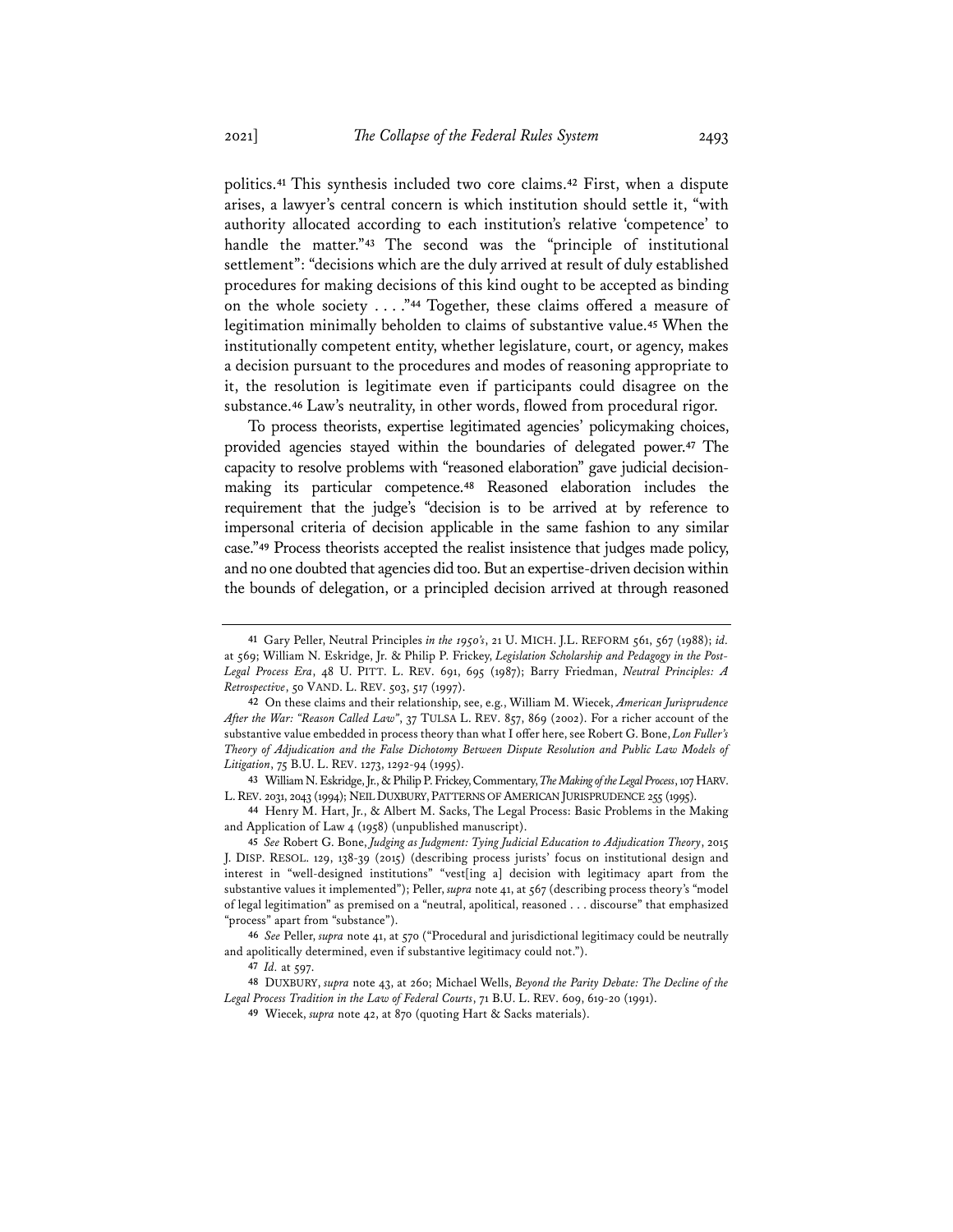politics.**<sup>41</sup>** This synthesis included two core claims.**<sup>42</sup>** First, when a dispute arises, a lawyer's central concern is which institution should settle it, "with authority allocated according to each institution's relative 'competence' to handle the matter."**<sup>43</sup>** The second was the "principle of institutional settlement": "decisions which are the duly arrived at result of duly established procedures for making decisions of this kind ought to be accepted as binding on the whole society . . . ."**<sup>44</sup>** Together, these claims offered a measure of legitimation minimally beholden to claims of substantive value.**<sup>45</sup>** When the institutionally competent entity, whether legislature, court, or agency, makes a decision pursuant to the procedures and modes of reasoning appropriate to it, the resolution is legitimate even if participants could disagree on the substance.**<sup>46</sup>** Law's neutrality, in other words, flowed from procedural rigor.

To process theorists, expertise legitimated agencies' policymaking choices, provided agencies stayed within the boundaries of delegated power.**<sup>47</sup>** The capacity to resolve problems with "reasoned elaboration" gave judicial decisionmaking its particular competence.**<sup>48</sup>** Reasoned elaboration includes the requirement that the judge's "decision is to be arrived at by reference to impersonal criteria of decision applicable in the same fashion to any similar case."**<sup>49</sup>** Process theorists accepted the realist insistence that judges made policy, and no one doubted that agencies did too. But an expertise-driven decision within the bounds of delegation, or a principled decision arrived at through reasoned

**43** William N. Eskridge, Jr., & Philip P. Frickey, Commentary, *The Making of the Legal Process*, 107 HARV. L. REV. 2031, 2043 (1994); NEIL DUXBURY, PATTERNS OF AMERICAN JURISPRUDENCE 255 (1995).

**44** Henry M. Hart, Jr., & Albert M. Sacks, The Legal Process: Basic Problems in the Making and Application of Law 4 (1958) (unpublished manuscript).

**45** *See* Robert G. Bone, *Judging as Judgment: Tying Judicial Education to Adjudication Theory*, 2015 J. DISP. RESOL. 129, 138-39 (2015) (describing process jurists' focus on institutional design and interest in "well-designed institutions" "vest[ing a] decision with legitimacy apart from the substantive values it implemented"); Peller, *supra* note 41, at 567 (describing process theory's "model of legal legitimation" as premised on a "neutral, apolitical, reasoned . . . discourse" that emphasized "process" apart from "substance").

**46** *See* Peller, *supra* note 41, at 570 ("Procedural and jurisdictional legitimacy could be neutrally and apolitically determined, even if substantive legitimacy could not.").

**48** DUXBURY, *supra* note 43, at 260; Michael Wells, *Beyond the Parity Debate: The Decline of the Legal Process Tradition in the Law of Federal Courts*, 71 B.U. L. REV. 609, 619-20 (1991).

**<sup>41</sup>** Gary Peller, Neutral Principles *in the 1950's*, 21 U. MICH. J.L. REFORM 561, 567 (1988); *id.* at 569; William N. Eskridge, Jr. & Philip P. Frickey, *Legislation Scholarship and Pedagogy in the Post-Legal Process Era*, 48 U. PITT. L. REV. 691, 695 (1987); Barry Friedman, *Neutral Principles: A Retrospective*, 50 VAND. L. REV. 503, 517 (1997).

**<sup>42</sup>** On these claims and their relationship, see, e.g., William M. Wiecek, *American Jurisprudence After the War: "Reason Called Law"*, 37 TULSA L. REV. 857, 869 (2002). For a richer account of the substantive value embedded in process theory than what I offer here, see Robert G. Bone, *Lon Fuller's Theory of Adjudication and the False Dichotomy Between Dispute Resolution and Public Law Models of Litigation*, 75 B.U. L. REV. 1273, 1292-94 (1995).

**<sup>47</sup>** *Id.* at 597.

**<sup>49</sup>** Wiecek, *supra* note 42, at 870 (quoting Hart & Sacks materials).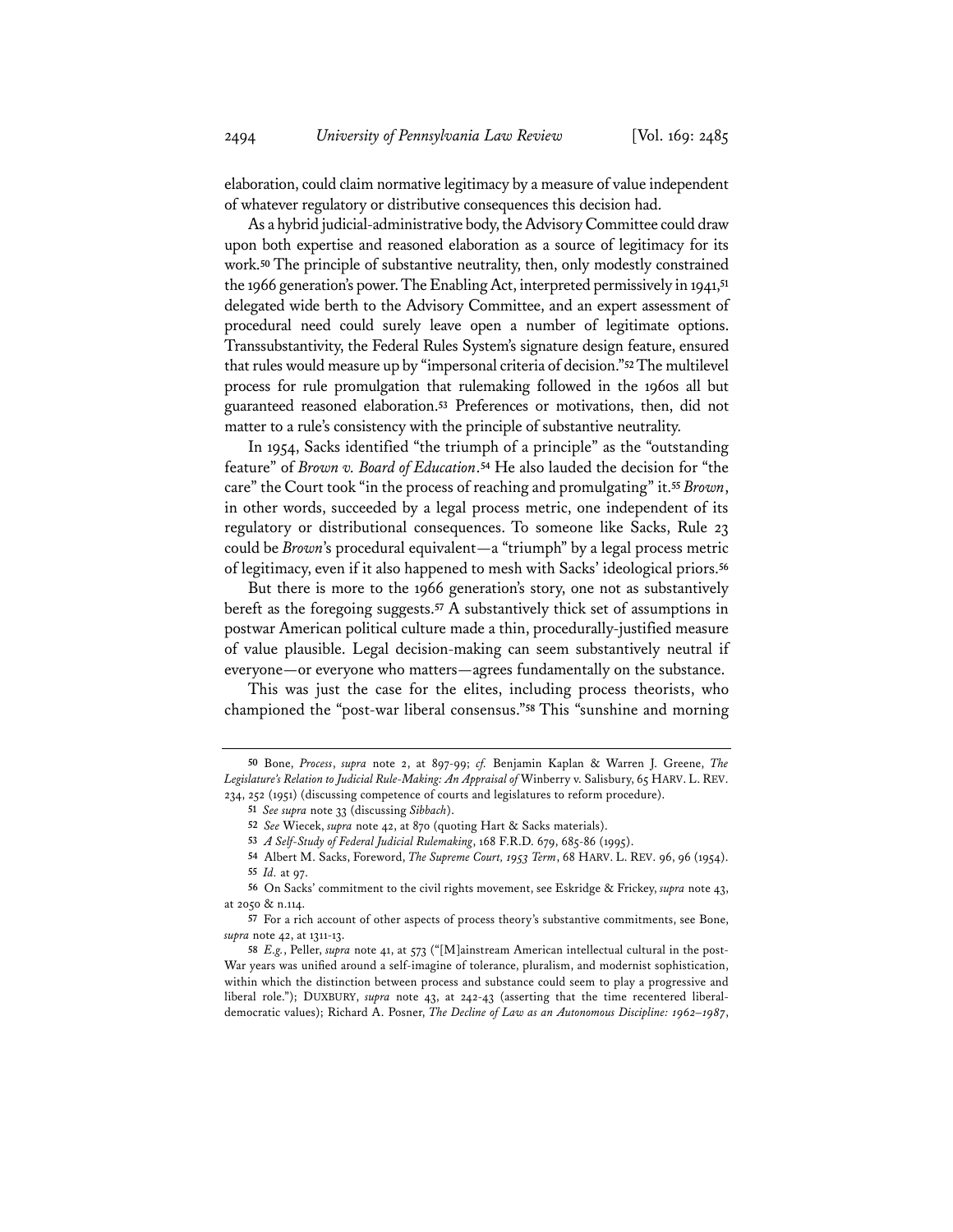elaboration, could claim normative legitimacy by a measure of value independent of whatever regulatory or distributive consequences this decision had.

As a hybrid judicial-administrative body, the Advisory Committee could draw upon both expertise and reasoned elaboration as a source of legitimacy for its work.**<sup>50</sup>** The principle of substantive neutrality, then, only modestly constrained the 1966 generation's power. The Enabling Act, interpreted permissively in 1941,**<sup>51</sup>** delegated wide berth to the Advisory Committee, and an expert assessment of procedural need could surely leave open a number of legitimate options. Transsubstantivity, the Federal Rules System's signature design feature, ensured that rules would measure up by "impersonal criteria of decision."**52**The multilevel process for rule promulgation that rulemaking followed in the 1960s all but guaranteed reasoned elaboration.**<sup>53</sup>** Preferences or motivations, then, did not matter to a rule's consistency with the principle of substantive neutrality.

In 1954, Sacks identified "the triumph of a principle" as the "outstanding feature" of *Brown v. Board of Education*.**<sup>54</sup>** He also lauded the decision for "the care" the Court took "in the process of reaching and promulgating" it.**<sup>55</sup>** *Brown*, in other words, succeeded by a legal process metric, one independent of its regulatory or distributional consequences. To someone like Sacks, Rule 23 could be *Brown*'s procedural equivalent—a "triumph" by a legal process metric of legitimacy, even if it also happened to mesh with Sacks' ideological priors.**<sup>56</sup>**

But there is more to the 1966 generation's story, one not as substantively bereft as the foregoing suggests.**<sup>57</sup>** A substantively thick set of assumptions in postwar American political culture made a thin, procedurally-justified measure of value plausible. Legal decision-making can seem substantively neutral if everyone—or everyone who matters—agrees fundamentally on the substance.

This was just the case for the elites, including process theorists, who championed the "post-war liberal consensus."**<sup>58</sup>** This "sunshine and morning

- **53** *A Self-Study of Federal Judicial Rulemaking*, 168 F.R.D. 679, 685-86 (1995).
- **54** Albert M. Sacks, Foreword, *The Supreme Court, 1953 Term*, 68 HARV. L. REV. 96, 96 (1954). **55** *Id.* at 97.

**<sup>50</sup>** Bone, *Process*, *supra* note 2, at 897-99; *cf.* Benjamin Kaplan & Warren J. Greene, *The Legislature's Relation to Judicial Rule-Making: An Appraisal of* Winberry v. Salisbury, 65 HARV. L. REV. 234, 252 (1951) (discussing competence of courts and legislatures to reform procedure).

**<sup>51</sup>** *See supra* note 33 (discussing *Sibbach*).

**<sup>52</sup>** *See* Wiecek, *supra* note 42, at 870 (quoting Hart & Sacks materials).

**<sup>56</sup>** On Sacks' commitment to the civil rights movement, see Eskridge & Frickey, *supra* note 43, at 2050 & n.114.

**<sup>57</sup>** For a rich account of other aspects of process theory's substantive commitments, see Bone, *supra* note 42, at 1311-13.

**<sup>58</sup>** *E.g.*, Peller, *supra* note 41, at 573 ("[M]ainstream American intellectual cultural in the post-War years was unified around a self-imagine of tolerance, pluralism, and modernist sophistication, within which the distinction between process and substance could seem to play a progressive and liberal role."); DUXBURY, *supra* note 43, at 242-43 (asserting that the time recentered liberaldemocratic values); Richard A. Posner, *The Decline of Law as an Autonomous Discipline: 1962–1987*,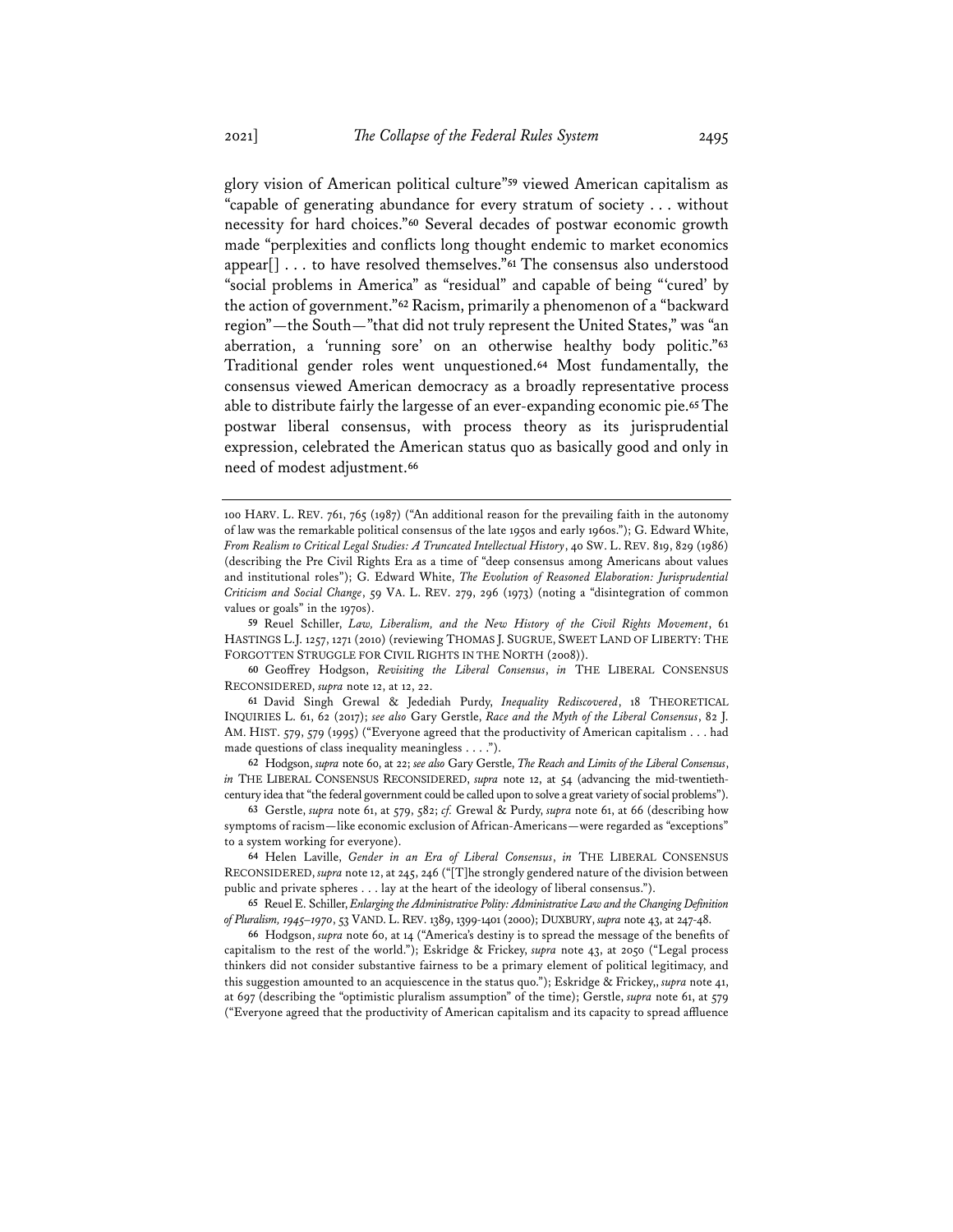glory vision of American political culture"**<sup>59</sup>** viewed American capitalism as "capable of generating abundance for every stratum of society . . . without necessity for hard choices."**<sup>60</sup>** Several decades of postwar economic growth made "perplexities and conflicts long thought endemic to market economics appear[] . . . to have resolved themselves."**<sup>61</sup>** The consensus also understood "social problems in America" as "residual" and capable of being "'cured' by the action of government."**<sup>62</sup>** Racism, primarily a phenomenon of a "backward region"—the South—"that did not truly represent the United States," was "an aberration, a 'running sore' on an otherwise healthy body politic."**<sup>63</sup>** Traditional gender roles went unquestioned.**<sup>64</sup>** Most fundamentally, the consensus viewed American democracy as a broadly representative process able to distribute fairly the largesse of an ever-expanding economic pie.**<sup>65</sup>** The postwar liberal consensus, with process theory as its jurisprudential expression, celebrated the American status quo as basically good and only in need of modest adjustment.**<sup>66</sup>**

<sup>100</sup> HARV. L. REV. 761, 765 (1987) ("An additional reason for the prevailing faith in the autonomy of law was the remarkable political consensus of the late 1950s and early 1960s."); G. Edward White, *From Realism to Critical Legal Studies: A Truncated Intellectual History*, 40 SW. L. REV. 819, 829 (1986) (describing the Pre Civil Rights Era as a time of "deep consensus among Americans about values and institutional roles"); G. Edward White, *The Evolution of Reasoned Elaboration: Jurisprudential Criticism and Social Change*, 59 VA. L. REV. 279, 296 (1973) (noting a "disintegration of common values or goals" in the 1970s).

**<sup>59</sup>** Reuel Schiller, *Law, Liberalism, and the New History of the Civil Rights Movement*, 61 HASTINGS L.J. 1257, 1271 (2010) (reviewing THOMAS J. SUGRUE, SWEET LAND OF LIBERTY: THE FORGOTTEN STRUGGLE FOR CIVIL RIGHTS IN THE NORTH (2008)).

**<sup>60</sup>** Geoffrey Hodgson, *Revisiting the Liberal Consensus*, *in* THE LIBERAL CONSENSUS RECONSIDERED, *supra* note 12, at 12, 22.

**<sup>61</sup>** David Singh Grewal & Jedediah Purdy, *Inequality Rediscovered*, 18 THEORETICAL INQUIRIES L. 61, 62 (2017); *see also* Gary Gerstle, *Race and the Myth of the Liberal Consensus*, 82 J. AM. HIST. 579, 579 (1995) ("Everyone agreed that the productivity of American capitalism . . . had made questions of class inequality meaningless . . . .").

**<sup>62</sup>** Hodgson, *supra* note 60, at 22; *see also* Gary Gerstle, *The Reach and Limits of the Liberal Consensus*, *in* THE LIBERAL CONSENSUS RECONSIDERED, *supra* note 12, at 54 (advancing the mid-twentiethcentury idea that "the federal government could be called upon to solve a great variety of social problems").

**<sup>63</sup>** Gerstle, *supra* note 61, at 579, 582; *cf.* Grewal & Purdy, *supra* note 61, at 66 (describing how symptoms of racism—like economic exclusion of African-Americans—were regarded as "exceptions" to a system working for everyone).

**<sup>64</sup>** Helen Laville, *Gender in an Era of Liberal Consensus*, *in* THE LIBERAL CONSENSUS RECONSIDERED, *supra* note 12, at 245, 246 ("[T]he strongly gendered nature of the division between public and private spheres . . . lay at the heart of the ideology of liberal consensus.").

**<sup>65</sup>** Reuel E. Schiller, *Enlarging the Administrative Polity: Administrative Law and the Changing Definition of Pluralism, 1945–1970*, 53 VAND. L.REV. 1389, 1399-1401 (2000); DUXBURY, *supra* note 43, at 247-48.

**<sup>66</sup>** Hodgson, *supra* note 60, at 14 ("America's destiny is to spread the message of the benefits of capitalism to the rest of the world."); Eskridge & Frickey, *supra* note 43, at 2050 ("Legal process thinkers did not consider substantive fairness to be a primary element of political legitimacy, and this suggestion amounted to an acquiescence in the status quo."); Eskridge & Frickey,, *supra* note 41, at 697 (describing the "optimistic pluralism assumption" of the time); Gerstle, *supra* note 61, at 579 ("Everyone agreed that the productivity of American capitalism and its capacity to spread affluence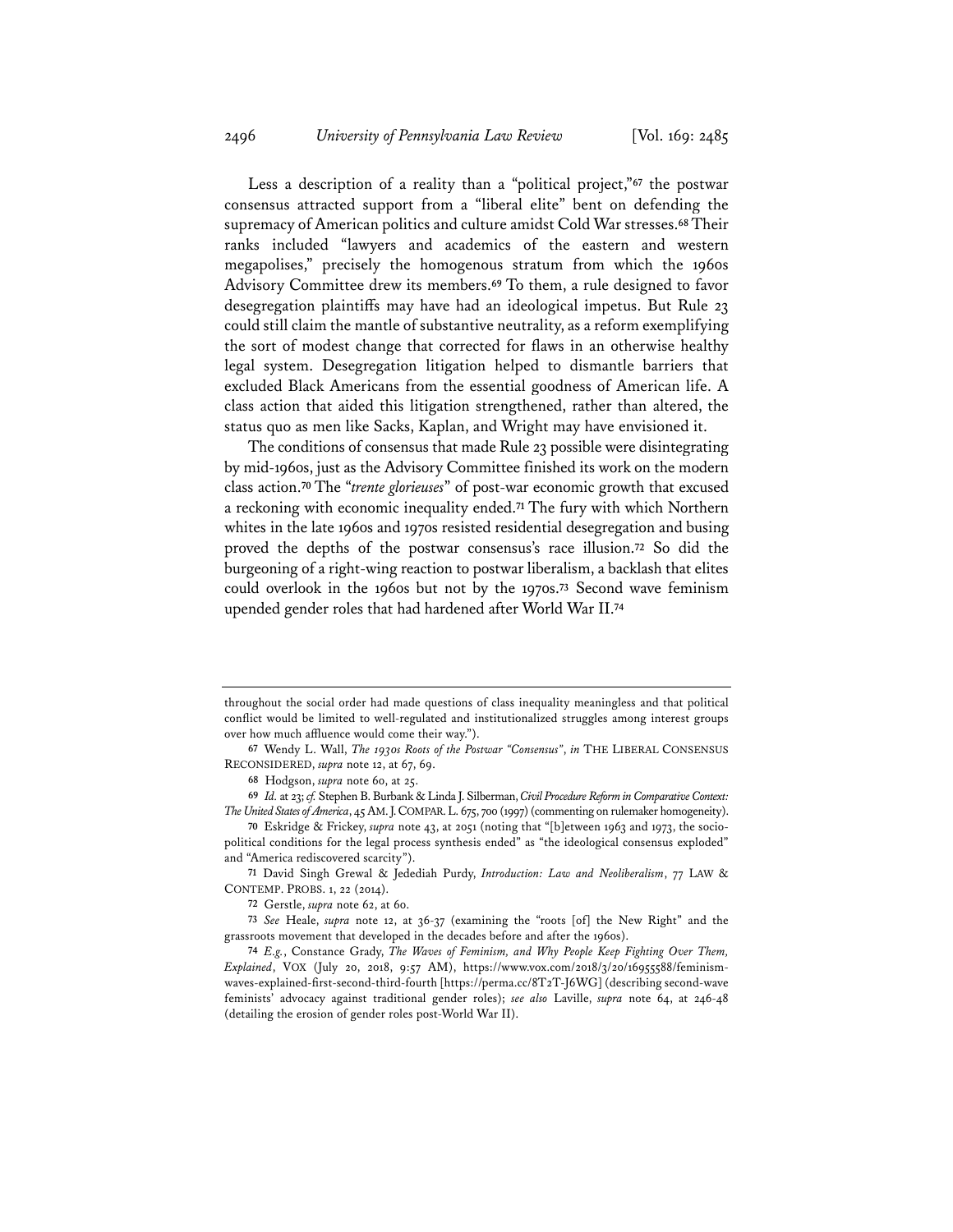Less a description of a reality than a "political project,"**<sup>67</sup>** the postwar consensus attracted support from a "liberal elite" bent on defending the supremacy of American politics and culture amidst Cold War stresses.**68**Their ranks included "lawyers and academics of the eastern and western megapolises," precisely the homogenous stratum from which the 1960s Advisory Committee drew its members.**<sup>69</sup>** To them, a rule designed to favor desegregation plaintiffs may have had an ideological impetus. But Rule 23 could still claim the mantle of substantive neutrality, as a reform exemplifying the sort of modest change that corrected for flaws in an otherwise healthy legal system. Desegregation litigation helped to dismantle barriers that excluded Black Americans from the essential goodness of American life. A class action that aided this litigation strengthened, rather than altered, the status quo as men like Sacks, Kaplan, and Wright may have envisioned it.

The conditions of consensus that made Rule 23 possible were disintegrating by mid-1960s, just as the Advisory Committee finished its work on the modern class action.**<sup>70</sup>** The "*trente glorieuses*" of post-war economic growth that excused a reckoning with economic inequality ended.**<sup>71</sup>** The fury with which Northern whites in the late 1960s and 1970s resisted residential desegregation and busing proved the depths of the postwar consensus's race illusion.**<sup>72</sup>** So did the burgeoning of a right-wing reaction to postwar liberalism, a backlash that elites could overlook in the 1960s but not by the 1970s.**<sup>73</sup>** Second wave feminism upended gender roles that had hardened after World War II.**<sup>74</sup>**

**71** David Singh Grewal & Jedediah Purdy, *Introduction: Law and Neoliberalism*, 77 LAW & CONTEMP. PROBS. 1, 22 (2014).

throughout the social order had made questions of class inequality meaningless and that political conflict would be limited to well-regulated and institutionalized struggles among interest groups over how much affluence would come their way.").

**<sup>67</sup>** Wendy L. Wall, *The 1930s Roots of the Postwar "Consensus"*, *in* THE LIBERAL CONSENSUS RECONSIDERED, *supra* note 12, at 67, 69.

**<sup>68</sup>** Hodgson, *supra* note 60, at 25.

**<sup>69</sup>** *Id.* at 23;*cf.* Stephen B. Burbank & Linda J. Silberman, *Civil Procedure Reform in Comparative Context: The United States of America*, 45AM.J.COMPAR.L. 675, 700 (1997) (commenting on rulemaker homogeneity).

**<sup>70</sup>** Eskridge & Frickey, *supra* note 43, at 2051 (noting that "[b]etween 1963 and 1973, the sociopolitical conditions for the legal process synthesis ended" as "the ideological consensus exploded" and "America rediscovered scarcity").

**<sup>72</sup>** Gerstle, *supra* note 62, at 60.

**<sup>73</sup>** *See* Heale, *supra* note 12, at 36-37 (examining the "roots [of] the New Right" and the grassroots movement that developed in the decades before and after the 1960s).

**<sup>74</sup>** *E.g.*, Constance Grady, *The Waves of Feminism, and Why People Keep Fighting Over Them, Explained*, VOX (July 20, 2018, 9:57 AM), https://www.vox.com/2018/3/20/16955588/feminismwaves-explained-first-second-third-fourth [https://perma.cc/8T2T-J6WG] (describing second-wave feminists' advocacy against traditional gender roles); *see also* Laville, *supra* note 64, at 246-48 (detailing the erosion of gender roles post-World War II).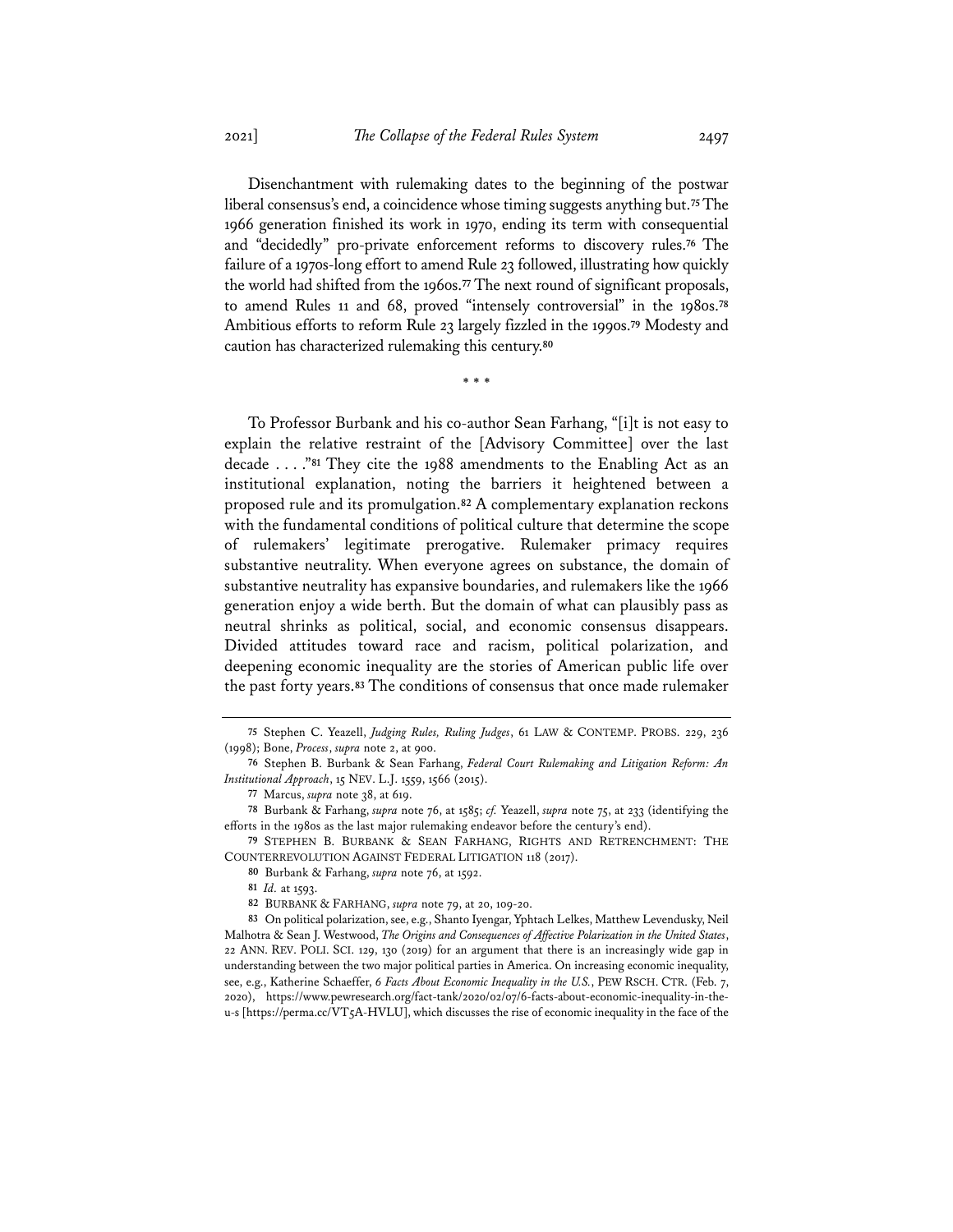Disenchantment with rulemaking dates to the beginning of the postwar liberal consensus's end, a coincidence whose timing suggests anything but.**75**The 1966 generation finished its work in 1970, ending its term with consequential and "decidedly" pro-private enforcement reforms to discovery rules.**<sup>76</sup>** The failure of a 1970s-long effort to amend Rule 23 followed, illustrating how quickly the world had shifted from the 1960s.**<sup>77</sup>** The next round of significant proposals, to amend Rules 11 and 68, proved "intensely controversial" in the 1980s.**<sup>78</sup>** Ambitious efforts to reform Rule 23 largely fizzled in the 1990s.**<sup>79</sup>** Modesty and caution has characterized rulemaking this century.**<sup>80</sup>**

\* \* \*

To Professor Burbank and his co-author Sean Farhang, "[i]t is not easy to explain the relative restraint of the [Advisory Committee] over the last decade . . . ."**<sup>81</sup>** They cite the 1988 amendments to the Enabling Act as an institutional explanation, noting the barriers it heightened between a proposed rule and its promulgation.**<sup>82</sup>** A complementary explanation reckons with the fundamental conditions of political culture that determine the scope of rulemakers' legitimate prerogative. Rulemaker primacy requires substantive neutrality. When everyone agrees on substance, the domain of substantive neutrality has expansive boundaries, and rulemakers like the 1966 generation enjoy a wide berth. But the domain of what can plausibly pass as neutral shrinks as political, social, and economic consensus disappears. Divided attitudes toward race and racism, political polarization, and deepening economic inequality are the stories of American public life over the past forty years.**<sup>83</sup>** The conditions of consensus that once made rulemaker

**<sup>75</sup>** Stephen C. Yeazell, *Judging Rules, Ruling Judges*, 61 LAW & CONTEMP. PROBS. 229, 236 (1998); Bone, *Process*, *supra* note 2, at 900.

**<sup>76</sup>** Stephen B. Burbank & Sean Farhang, *Federal Court Rulemaking and Litigation Reform: An Institutional Approach*, 15 NEV. L.J. 1559, 1566 (2015).

**<sup>77</sup>** Marcus, *supra* note 38, at 619.

**<sup>78</sup>** Burbank & Farhang, *supra* note 76, at 1585; *cf.* Yeazell, *supra* note 75, at 233 (identifying the efforts in the 1980s as the last major rulemaking endeavor before the century's end).

**<sup>79</sup>** STEPHEN B. BURBANK & SEAN FARHANG, RIGHTS AND RETRENCHMENT: THE COUNTERREVOLUTION AGAINST FEDERAL LITIGATION 118 (2017).

**<sup>80</sup>** Burbank & Farhang, *supra* note 76, at 1592.

**<sup>81</sup>** *Id.* at 1593.

**<sup>82</sup>** BURBANK & FARHANG, *supra* note 79, at 20, 109-20.

**<sup>83</sup>** On political polarization, see, e.g., Shanto Iyengar, Yphtach Lelkes, Matthew Levendusky, Neil Malhotra & Sean J. Westwood, *The Origins and Consequences of Affective Polarization in the United States*, 22 ANN. REV. POLI. SCI. 129, 130 (2019) for an argument that there is an increasingly wide gap in understanding between the two major political parties in America. On increasing economic inequality, see, e.g., Katherine Schaeffer, *6 Facts About Economic Inequality in the U.S.*, PEW RSCH. CTR. (Feb. 7, 2020), https://www.pewresearch.org/fact-tank/2020/02/07/6-facts-about-economic-inequality-in-theu-s [https://perma.cc/VT5A-HVLU], which discusses the rise of economic inequality in the face of the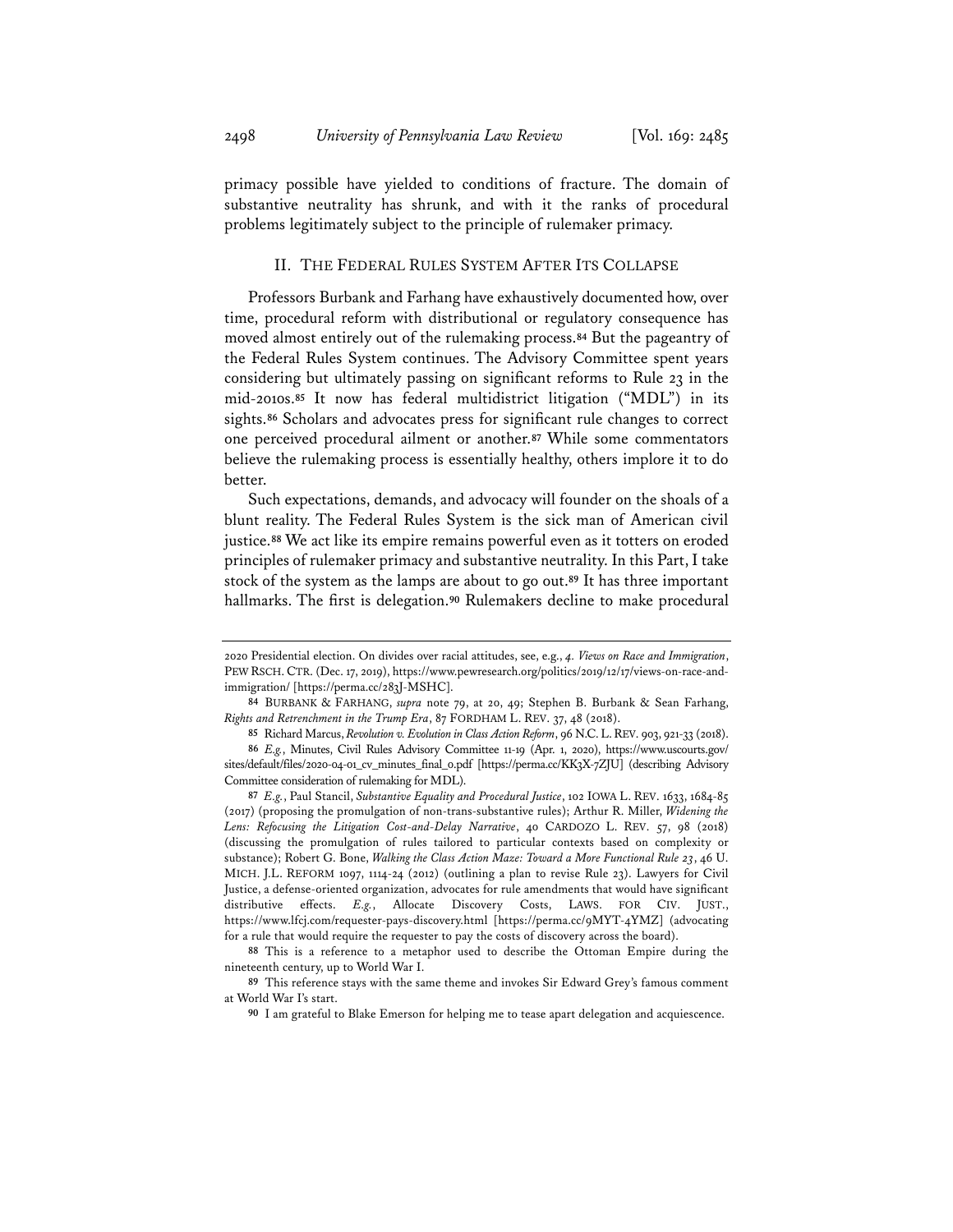primacy possible have yielded to conditions of fracture. The domain of substantive neutrality has shrunk, and with it the ranks of procedural problems legitimately subject to the principle of rulemaker primacy.

## II. THE FEDERAL RULES SYSTEM AFTER ITS COLLAPSE

Professors Burbank and Farhang have exhaustively documented how, over time, procedural reform with distributional or regulatory consequence has moved almost entirely out of the rulemaking process.**<sup>84</sup>** But the pageantry of the Federal Rules System continues. The Advisory Committee spent years considering but ultimately passing on significant reforms to Rule 23 in the mid-2010s.**<sup>85</sup>** It now has federal multidistrict litigation ("MDL") in its sights.**<sup>86</sup>** Scholars and advocates press for significant rule changes to correct one perceived procedural ailment or another.**<sup>87</sup>** While some commentators believe the rulemaking process is essentially healthy, others implore it to do better.

Such expectations, demands, and advocacy will founder on the shoals of a blunt reality. The Federal Rules System is the sick man of American civil justice.**<sup>88</sup>** We act like its empire remains powerful even as it totters on eroded principles of rulemaker primacy and substantive neutrality. In this Part, I take stock of the system as the lamps are about to go out.**<sup>89</sup>** It has three important hallmarks. The first is delegation.**<sup>90</sup>** Rulemakers decline to make procedural

<sup>2020</sup> Presidential election. On divides over racial attitudes, see, e.g., *4. Views on Race and Immigration*, PEW RSCH.CTR. (Dec. 17, 2019), https://www.pewresearch.org/politics/2019/12/17/views-on-race-andimmigration/ [https://perma.cc/283J-MSHC].

**<sup>84</sup>** BURBANK & FARHANG, *supra* note 79, at 20, 49; Stephen B. Burbank & Sean Farhang, *Rights and Retrenchment in the Trump Era*, 87 FORDHAM L. REV. 37, 48 (2018).

**<sup>85</sup>** Richard Marcus, *Revolution v. Evolution in Class Action Reform*, 96 N.C.L.REV. 903, 921-33 (2018). **86** *E.g.*, Minutes, Civil Rules Advisory Committee 11-19 (Apr. 1, 2020), https://www.uscourts.gov/ sites/default/files/2020-04-01\_cv\_minutes\_final\_0.pdf [https://perma.cc/KK3X-7ZJU] (describing Advisory Committee consideration of rulemaking for MDL).

**<sup>87</sup>** *E.g.*, Paul Stancil, *Substantive Equality and Procedural Justice*, 102 IOWA L. REV. 1633, 1684-85 (2017) (proposing the promulgation of non-trans-substantive rules); Arthur R. Miller, *Widening the Lens: Refocusing the Litigation Cost-and-Delay Narrative*, 40 CARDOZO L. REV. 57, 98 (2018) (discussing the promulgation of rules tailored to particular contexts based on complexity or substance); Robert G. Bone, *Walking the Class Action Maze: Toward a More Functional Rule 23*, 46 U. MICH. J.L. REFORM 1097, 1114-24 (2012) (outlining a plan to revise Rule 23). Lawyers for Civil Justice, a defense-oriented organization, advocates for rule amendments that would have significant distributive effects. *E.g.*, Allocate Discovery Costs, LAWS. FOR CIV. JUST., https://www.lfcj.com/requester-pays-discovery.html [https://perma.cc/9MYT-4YMZ] (advocating for a rule that would require the requester to pay the costs of discovery across the board).

**<sup>88</sup>** This is a reference to a metaphor used to describe the Ottoman Empire during the nineteenth century, up to World War I.

**<sup>89</sup>** This reference stays with the same theme and invokes Sir Edward Grey's famous comment at World War I's start.

**<sup>90</sup>** I am grateful to Blake Emerson for helping me to tease apart delegation and acquiescence.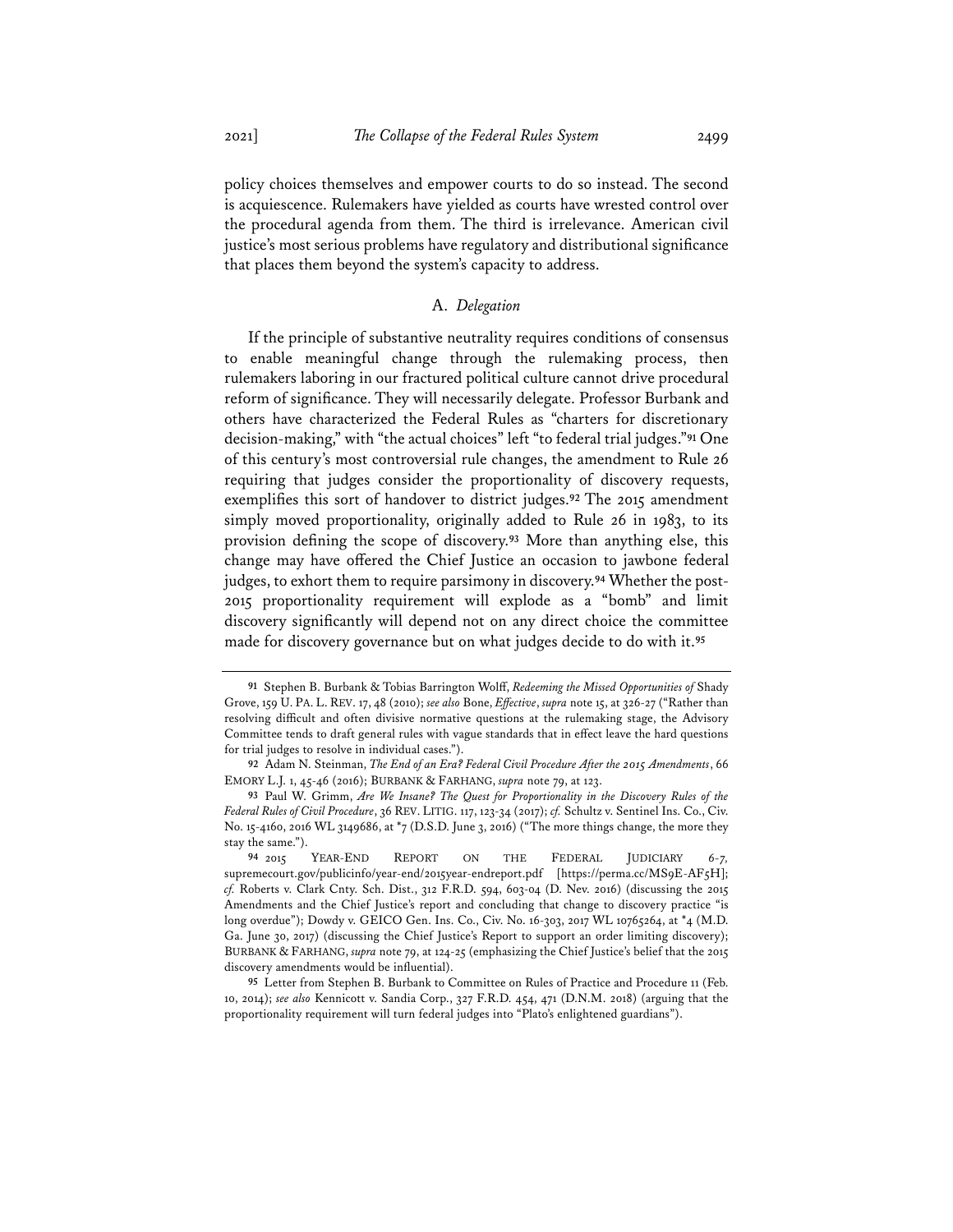policy choices themselves and empower courts to do so instead. The second is acquiescence. Rulemakers have yielded as courts have wrested control over the procedural agenda from them. The third is irrelevance. American civil justice's most serious problems have regulatory and distributional significance that places them beyond the system's capacity to address.

## A. *Delegation*

If the principle of substantive neutrality requires conditions of consensus to enable meaningful change through the rulemaking process, then rulemakers laboring in our fractured political culture cannot drive procedural reform of significance. They will necessarily delegate. Professor Burbank and others have characterized the Federal Rules as "charters for discretionary decision-making," with "the actual choices" left "to federal trial judges."**<sup>91</sup>** One of this century's most controversial rule changes, the amendment to Rule 26 requiring that judges consider the proportionality of discovery requests, exemplifies this sort of handover to district judges.**<sup>92</sup>** The 2015 amendment simply moved proportionality, originally added to Rule 26 in 1983, to its provision defining the scope of discovery.**<sup>93</sup>** More than anything else, this change may have offered the Chief Justice an occasion to jawbone federal judges, to exhort them to require parsimony in discovery.**<sup>94</sup>** Whether the post-2015 proportionality requirement will explode as a "bomb" and limit discovery significantly will depend not on any direct choice the committee made for discovery governance but on what judges decide to do with it.**<sup>95</sup>**

**<sup>91</sup>** Stephen B. Burbank & Tobias Barrington Wolff, *Redeeming the Missed Opportunities of* Shady Grove, 159 U. PA. L. REV. 17, 48 (2010); *see also* Bone, *Effective*, *supra* note 15, at 326-27 ("Rather than resolving difficult and often divisive normative questions at the rulemaking stage, the Advisory Committee tends to draft general rules with vague standards that in effect leave the hard questions for trial judges to resolve in individual cases.").

**<sup>92</sup>** Adam N. Steinman, *The End of an Era? Federal Civil Procedure After the 2015 Amendments*, 66 EMORY L.J. 1, 45-46 (2016); BURBANK & FARHANG, *supra* note 79, at 123.

**<sup>93</sup>** Paul W. Grimm, *Are We Insane? The Quest for Proportionality in the Discovery Rules of the Federal Rules of Civil Procedure*, 36 REV. LITIG. 117, 123-34 (2017); *cf.* Schultz v. Sentinel Ins. Co., Civ. No. 15-4160, 2016 WL 3149686, at \*7 (D.S.D. June 3, 2016) ("The more things change, the more they stay the same.").

**<sup>94</sup>** 2015 YEAR-END REPORT ON THE FEDERAL JUDICIARY *6-7,*  supremecourt.gov/publicinfo/year-end/2015year-endreport.pdf [https://perma.cc/MS9E-AF5H]; *cf.* Roberts v. Clark Cnty. Sch. Dist., 312 F.R.D. 594, 603-04 (D. Nev. 2016) (discussing the 2015 Amendments and the Chief Justice's report and concluding that change to discovery practice "is long overdue"); Dowdy v. GEICO Gen. Ins. Co., Civ. No. 16-303, 2017 WL 10765264, at \*4 (M.D. Ga. June 30, 2017) (discussing the Chief Justice's Report to support an order limiting discovery); BURBANK & FARHANG, *supra* note 79, at 124-25 (emphasizing the Chief Justice's belief that the 2015 discovery amendments would be influential).

**<sup>95</sup>** Letter from Stephen B. Burbank to Committee on Rules of Practice and Procedure 11 (Feb. 10, 2014); *see also* Kennicott v. Sandia Corp., 327 F.R.D. 454, 471 (D.N.M. 2018) (arguing that the proportionality requirement will turn federal judges into "Plato's enlightened guardians").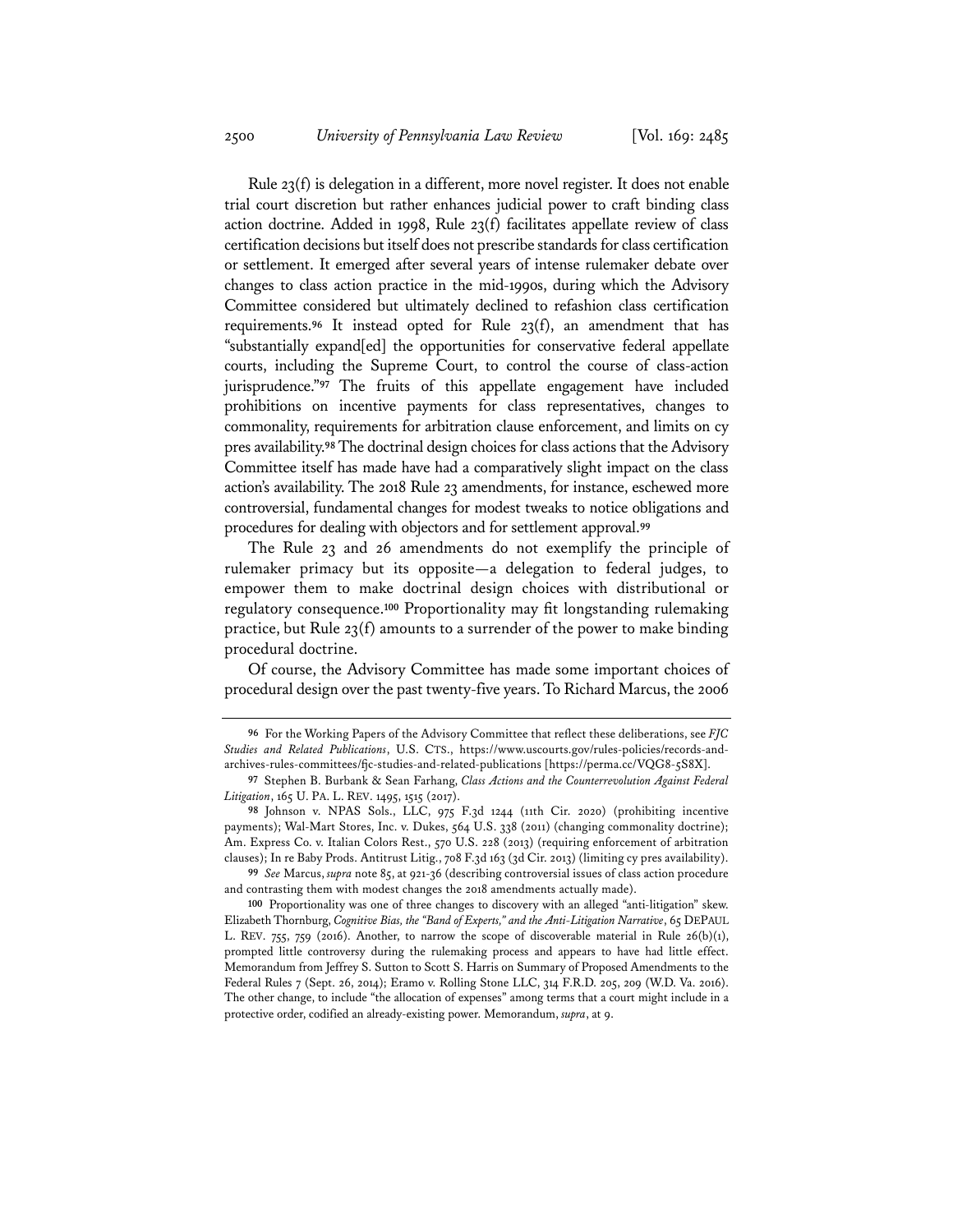Rule 23(f) is delegation in a different, more novel register. It does not enable trial court discretion but rather enhances judicial power to craft binding class action doctrine. Added in 1998, Rule 23(f) facilitates appellate review of class certification decisions but itself does not prescribe standards for class certification or settlement. It emerged after several years of intense rulemaker debate over changes to class action practice in the mid-1990s, during which the Advisory Committee considered but ultimately declined to refashion class certification requirements.**<sup>96</sup>** It instead opted for Rule 23(f), an amendment that has "substantially expand[ed] the opportunities for conservative federal appellate courts, including the Supreme Court, to control the course of class-action jurisprudence."**<sup>97</sup>** The fruits of this appellate engagement have included prohibitions on incentive payments for class representatives, changes to commonality, requirements for arbitration clause enforcement, and limits on cy pres availability.**98**The doctrinal design choices for class actions that the Advisory Committee itself has made have had a comparatively slight impact on the class action's availability. The 2018 Rule 23 amendments, for instance, eschewed more controversial, fundamental changes for modest tweaks to notice obligations and procedures for dealing with objectors and for settlement approval.**<sup>99</sup>**

The Rule 23 and 26 amendments do not exemplify the principle of rulemaker primacy but its opposite—a delegation to federal judges, to empower them to make doctrinal design choices with distributional or regulatory consequence.**<sup>100</sup>** Proportionality may fit longstanding rulemaking practice, but Rule 23(f) amounts to a surrender of the power to make binding procedural doctrine.

Of course, the Advisory Committee has made some important choices of procedural design over the past twenty-five years. To Richard Marcus, the 2006

**99** *See* Marcus, *supra* note 85, at 921-36 (describing controversial issues of class action procedure and contrasting them with modest changes the 2018 amendments actually made).

**<sup>96</sup>** For the Working Papers of the Advisory Committee that reflect these deliberations, see *FJC Studies and Related Publications*, U.S. CTS., https://www.uscourts.gov/rules-policies/records-andarchives-rules-committees/fjc-studies-and-related-publications [https://perma.cc/VQG8-5S8X].

**<sup>97</sup>** Stephen B. Burbank & Sean Farhang, *Class Actions and the Counterrevolution Against Federal Litigation*, 165 U. PA. L. REV. 1495, 1515 (2017).

**<sup>98</sup>** Johnson v. NPAS Sols., LLC, 975 F.3d 1244 (11th Cir. 2020) (prohibiting incentive payments); Wal-Mart Stores, Inc. v. Dukes, 564 U.S. 338 (2011) (changing commonality doctrine); Am. Express Co. v. Italian Colors Rest., 570 U.S. 228 (2013) (requiring enforcement of arbitration clauses); In re Baby Prods. Antitrust Litig., 708 F.3d 163 (3d Cir. 2013) (limiting cy pres availability).

**<sup>100</sup>** Proportionality was one of three changes to discovery with an alleged "anti-litigation" skew. Elizabeth Thornburg, *Cognitive Bias, the "Band of Experts," and the Anti-Litigation Narrative*, 65 DEPAUL L. REV. 755, 759 (2016). Another, to narrow the scope of discoverable material in Rule  $26(b)(1)$ , prompted little controversy during the rulemaking process and appears to have had little effect. Memorandum from Jeffrey S. Sutton to Scott S. Harris on Summary of Proposed Amendments to the Federal Rules 7 (Sept. 26, 2014); Eramo v. Rolling Stone LLC, 314 F.R.D. 205, 209 (W.D. Va. 2016). The other change, to include "the allocation of expenses" among terms that a court might include in a protective order, codified an already-existing power. Memorandum, *supra*, at 9.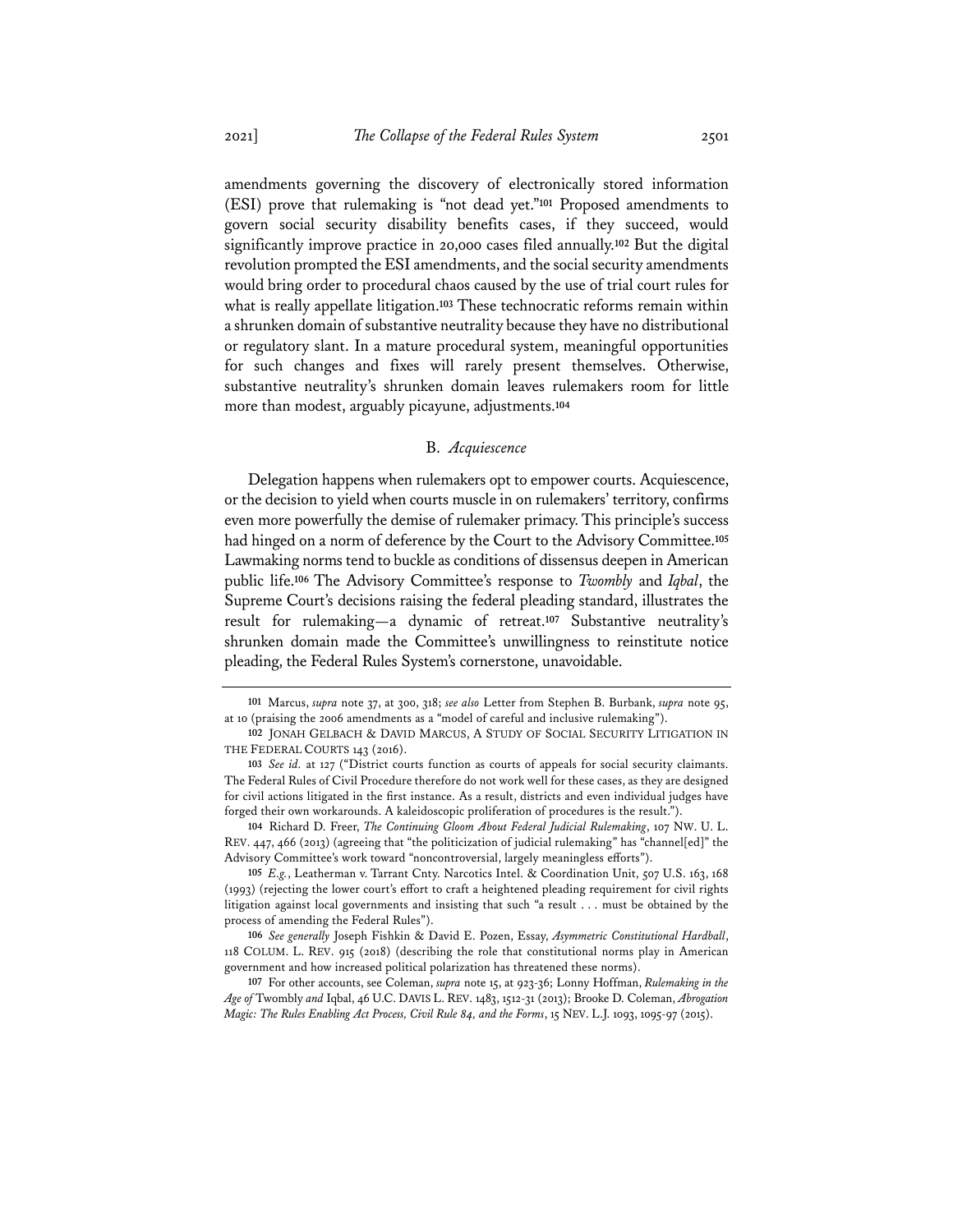amendments governing the discovery of electronically stored information (ESI) prove that rulemaking is "not dead yet."**<sup>101</sup>** Proposed amendments to govern social security disability benefits cases, if they succeed, would significantly improve practice in 20,000 cases filed annually.**<sup>102</sup>** But the digital revolution prompted the ESI amendments, and the social security amendments would bring order to procedural chaos caused by the use of trial court rules for what is really appellate litigation.**<sup>103</sup>** These technocratic reforms remain within a shrunken domain of substantive neutrality because they have no distributional or regulatory slant. In a mature procedural system, meaningful opportunities for such changes and fixes will rarely present themselves. Otherwise, substantive neutrality's shrunken domain leaves rulemakers room for little more than modest, arguably picayune, adjustments.**<sup>104</sup>**

#### B. *Acquiescence*

Delegation happens when rulemakers opt to empower courts. Acquiescence, or the decision to yield when courts muscle in on rulemakers' territory, confirms even more powerfully the demise of rulemaker primacy. This principle's success had hinged on a norm of deference by the Court to the Advisory Committee.**<sup>105</sup>** Lawmaking norms tend to buckle as conditions of dissensus deepen in American public life.**<sup>106</sup>** The Advisory Committee's response to *Twombly* and *Iqbal*, the Supreme Court's decisions raising the federal pleading standard, illustrates the result for rulemaking—a dynamic of retreat.**<sup>107</sup>** Substantive neutrality's shrunken domain made the Committee's unwillingness to reinstitute notice pleading, the Federal Rules System's cornerstone, unavoidable.

**<sup>101</sup>** Marcus, *supra* note 37, at 300, 318; *see also* Letter from Stephen B. Burbank, *supra* note 95, at 10 (praising the 2006 amendments as a "model of careful and inclusive rulemaking").

**<sup>102</sup>** JONAH GELBACH & DAVID MARCUS, A STUDY OF SOCIAL SECURITY LITIGATION IN THE FEDERAL COURTS 143 (2016).

**<sup>103</sup>** *See id.* at 127 ("District courts function as courts of appeals for social security claimants. The Federal Rules of Civil Procedure therefore do not work well for these cases, as they are designed for civil actions litigated in the first instance. As a result, districts and even individual judges have forged their own workarounds. A kaleidoscopic proliferation of procedures is the result.").

**<sup>104</sup>** Richard D. Freer, *The Continuing Gloom About Federal Judicial Rulemaking*, 107 NW. U. L. REV. 447, 466 (2013) (agreeing that "the politicization of judicial rulemaking" has "channel[ed]" the Advisory Committee's work toward "noncontroversial, largely meaningless efforts").

**<sup>105</sup>** *E.g.*, Leatherman v. Tarrant Cnty. Narcotics Intel. & Coordination Unit, 507 U.S. 163, 168 (1993) (rejecting the lower court's effort to craft a heightened pleading requirement for civil rights litigation against local governments and insisting that such "a result . . . must be obtained by the process of amending the Federal Rules").

**<sup>106</sup>** *See generally* Joseph Fishkin & David E. Pozen, Essay, *Asymmetric Constitutional Hardball*, 118 COLUM. L. REV. 915 (2018) (describing the role that constitutional norms play in American government and how increased political polarization has threatened these norms).

**<sup>107</sup>** For other accounts, see Coleman, *supra* note 15, at 923-36; Lonny Hoffman, *Rulemaking in the Age of* Twombly *and* Iqbal, 46 U.C. DAVIS L. REV. 1483, 1512-31 (2013); Brooke D. Coleman, *Abrogation Magic: The Rules Enabling Act Process, Civil Rule 84, and the Forms*, 15 NEV. L.J. 1093, 1095-97 (2015).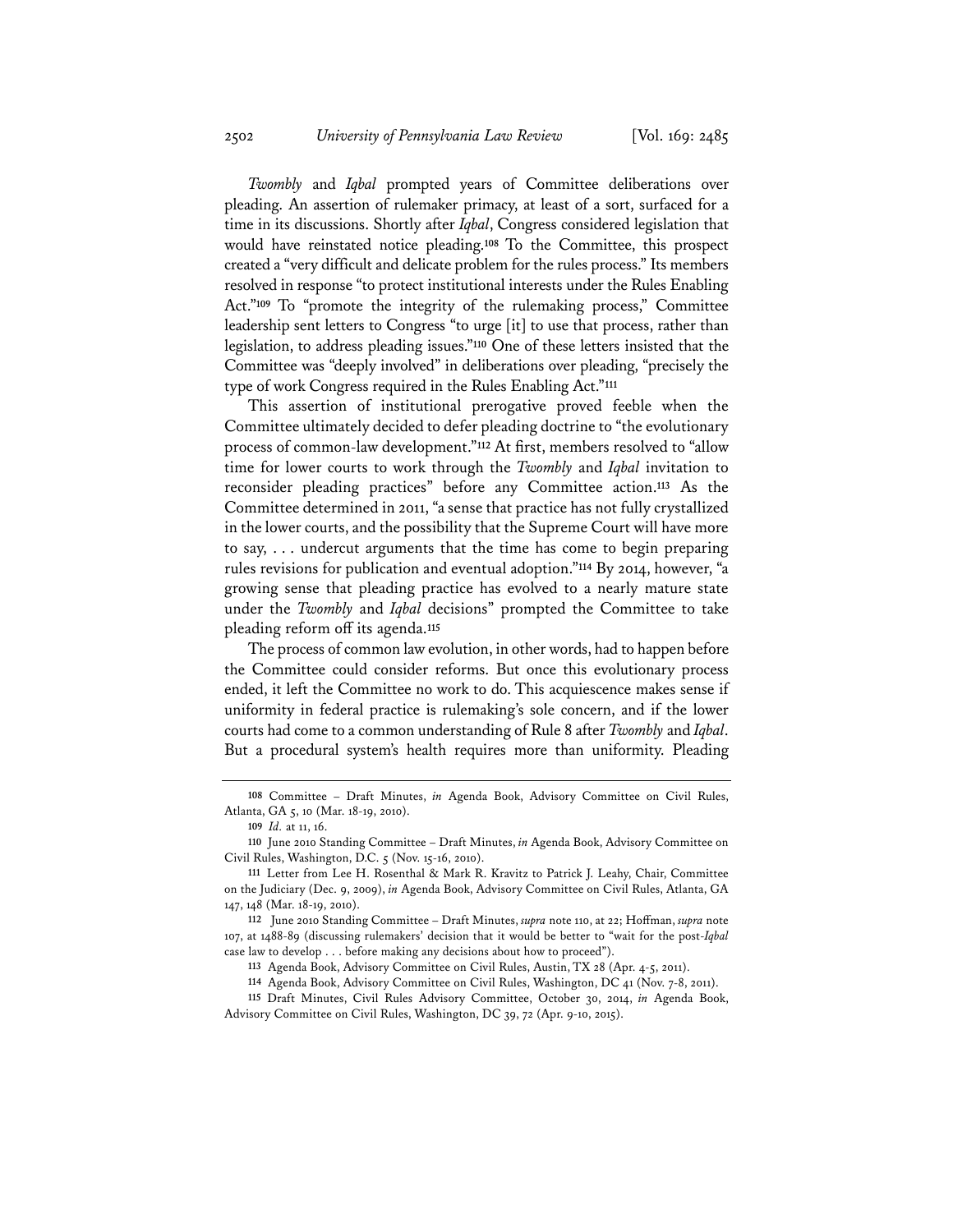*Twombly* and *Iqbal* prompted years of Committee deliberations over pleading. An assertion of rulemaker primacy, at least of a sort, surfaced for a time in its discussions. Shortly after *Iqbal*, Congress considered legislation that would have reinstated notice pleading.**<sup>108</sup>** To the Committee, this prospect created a "very difficult and delicate problem for the rules process." Its members resolved in response "to protect institutional interests under the Rules Enabling Act."**<sup>109</sup>** To "promote the integrity of the rulemaking process," Committee leadership sent letters to Congress "to urge [it] to use that process, rather than legislation, to address pleading issues."**<sup>110</sup>** One of these letters insisted that the Committee was "deeply involved" in deliberations over pleading, "precisely the type of work Congress required in the Rules Enabling Act."**<sup>111</sup>**

This assertion of institutional prerogative proved feeble when the Committee ultimately decided to defer pleading doctrine to "the evolutionary process of common-law development."**<sup>112</sup>** At first, members resolved to "allow time for lower courts to work through the *Twombly* and *Iqbal* invitation to reconsider pleading practices" before any Committee action.**<sup>113</sup>** As the Committee determined in 2011, "a sense that practice has not fully crystallized in the lower courts, and the possibility that the Supreme Court will have more to say, . . . undercut arguments that the time has come to begin preparing rules revisions for publication and eventual adoption."**<sup>114</sup>** By 2014, however, "a growing sense that pleading practice has evolved to a nearly mature state under the *Twombly* and *Iqbal* decisions" prompted the Committee to take pleading reform off its agenda.**<sup>115</sup>**

The process of common law evolution, in other words, had to happen before the Committee could consider reforms. But once this evolutionary process ended, it left the Committee no work to do. This acquiescence makes sense if uniformity in federal practice is rulemaking's sole concern, and if the lower courts had come to a common understanding of Rule 8 after *Twombly* and *Iqbal*. But a procedural system's health requires more than uniformity. Pleading

**<sup>108</sup>** Committee – Draft Minutes, *in* Agenda Book, Advisory Committee on Civil Rules, Atlanta, GA 5, 10 (Mar. 18-19, 2010).

**<sup>109</sup>** *Id.* at 11, 16.

**<sup>110</sup>** June 2010 Standing Committee – Draft Minutes, *in* Agenda Book, Advisory Committee on Civil Rules, Washington, D.C. 5 (Nov. 15-16, 2010).

**<sup>111</sup>** Letter from Lee H. Rosenthal & Mark R. Kravitz to Patrick J. Leahy, Chair, Committee on the Judiciary (Dec. 9, 2009), *in* Agenda Book, Advisory Committee on Civil Rules, Atlanta, GA 147, 148 (Mar. 18-19, 2010).

**<sup>112</sup>** June 2010 Standing Committee – Draft Minutes, *supra* note 110, at 22; Hoffman, *supra* note 107, at 1488-89 (discussing rulemakers' decision that it would be better to "wait for the post-*Iqbal* case law to develop . . . before making any decisions about how to proceed").

**<sup>113</sup>** Agenda Book, Advisory Committee on Civil Rules, Austin, TX 28 (Apr. 4-5, 2011).

**<sup>114</sup>** Agenda Book, Advisory Committee on Civil Rules, Washington, DC 41 (Nov. 7-8, 2011).

**<sup>115</sup>** Draft Minutes, Civil Rules Advisory Committee, October 30, 2014, *in* Agenda Book, Advisory Committee on Civil Rules, Washington, DC 39, 72 (Apr. 9-10, 2015).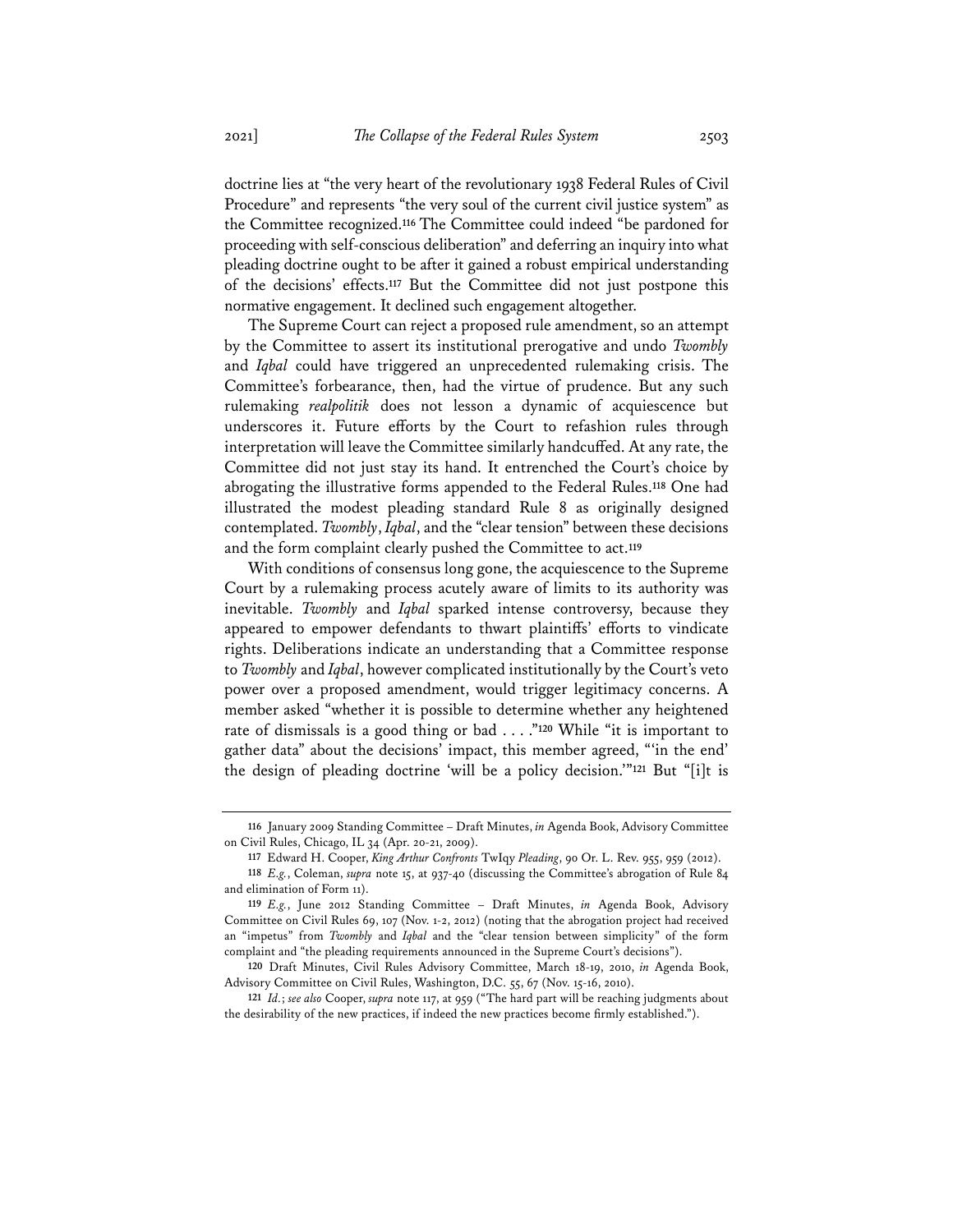doctrine lies at "the very heart of the revolutionary 1938 Federal Rules of Civil Procedure" and represents "the very soul of the current civil justice system" as the Committee recognized.**<sup>116</sup>** The Committee could indeed "be pardoned for proceeding with self-conscious deliberation" and deferring an inquiry into what pleading doctrine ought to be after it gained a robust empirical understanding of the decisions' effects.**<sup>117</sup>** But the Committee did not just postpone this normative engagement. It declined such engagement altogether.

The Supreme Court can reject a proposed rule amendment, so an attempt by the Committee to assert its institutional prerogative and undo *Twombly* and *Iqbal* could have triggered an unprecedented rulemaking crisis. The Committee's forbearance, then, had the virtue of prudence. But any such rulemaking *realpolitik* does not lesson a dynamic of acquiescence but underscores it. Future efforts by the Court to refashion rules through interpretation will leave the Committee similarly handcuffed. At any rate, the Committee did not just stay its hand. It entrenched the Court's choice by abrogating the illustrative forms appended to the Federal Rules.**<sup>118</sup>** One had illustrated the modest pleading standard Rule 8 as originally designed contemplated. *Twombly*, *Iqbal*, and the "clear tension" between these decisions and the form complaint clearly pushed the Committee to act.**<sup>119</sup>**

With conditions of consensus long gone, the acquiescence to the Supreme Court by a rulemaking process acutely aware of limits to its authority was inevitable. *Twombly* and *Iqbal* sparked intense controversy, because they appeared to empower defendants to thwart plaintiffs' efforts to vindicate rights. Deliberations indicate an understanding that a Committee response to *Twombly* and *Iqbal*, however complicated institutionally by the Court's veto power over a proposed amendment, would trigger legitimacy concerns. A member asked "whether it is possible to determine whether any heightened rate of dismissals is a good thing or bad . . . ."**<sup>120</sup>** While "it is important to gather data" about the decisions' impact, this member agreed, "'in the end' the design of pleading doctrine 'will be a policy decision.'"**<sup>121</sup>** But "[i]t is

**<sup>116</sup>** January 2009 Standing Committee – Draft Minutes, *in* Agenda Book, Advisory Committee on Civil Rules, Chicago, IL 34 (Apr. 20-21, 2009).

**<sup>117</sup>** Edward H. Cooper, *King Arthur Confronts* TwIqy *Pleading*, 90 Or. L. Rev. 955, 959 (2012).

**<sup>118</sup>** *E.g.*, Coleman, *supra* note 15, at 937-40 (discussing the Committee's abrogation of Rule 84 and elimination of Form 11).

**<sup>119</sup>** *E.g.*, June 2012 Standing Committee – Draft Minutes, *in* Agenda Book, Advisory Committee on Civil Rules 69, 107 (Nov. 1-2, 2012) (noting that the abrogation project had received an "impetus" from *Twombly* and *Iqbal* and the "clear tension between simplicity" of the form complaint and "the pleading requirements announced in the Supreme Court's decisions").

**<sup>120</sup>** Draft Minutes, Civil Rules Advisory Committee, March 18-19, 2010, *in* Agenda Book, Advisory Committee on Civil Rules, Washington, D.C. 55, 67 (Nov. 15-16, 2010).

**<sup>121</sup>** *Id.*; *see also* Cooper, *supra* note 117, at 959 ("The hard part will be reaching judgments about the desirability of the new practices, if indeed the new practices become firmly established.").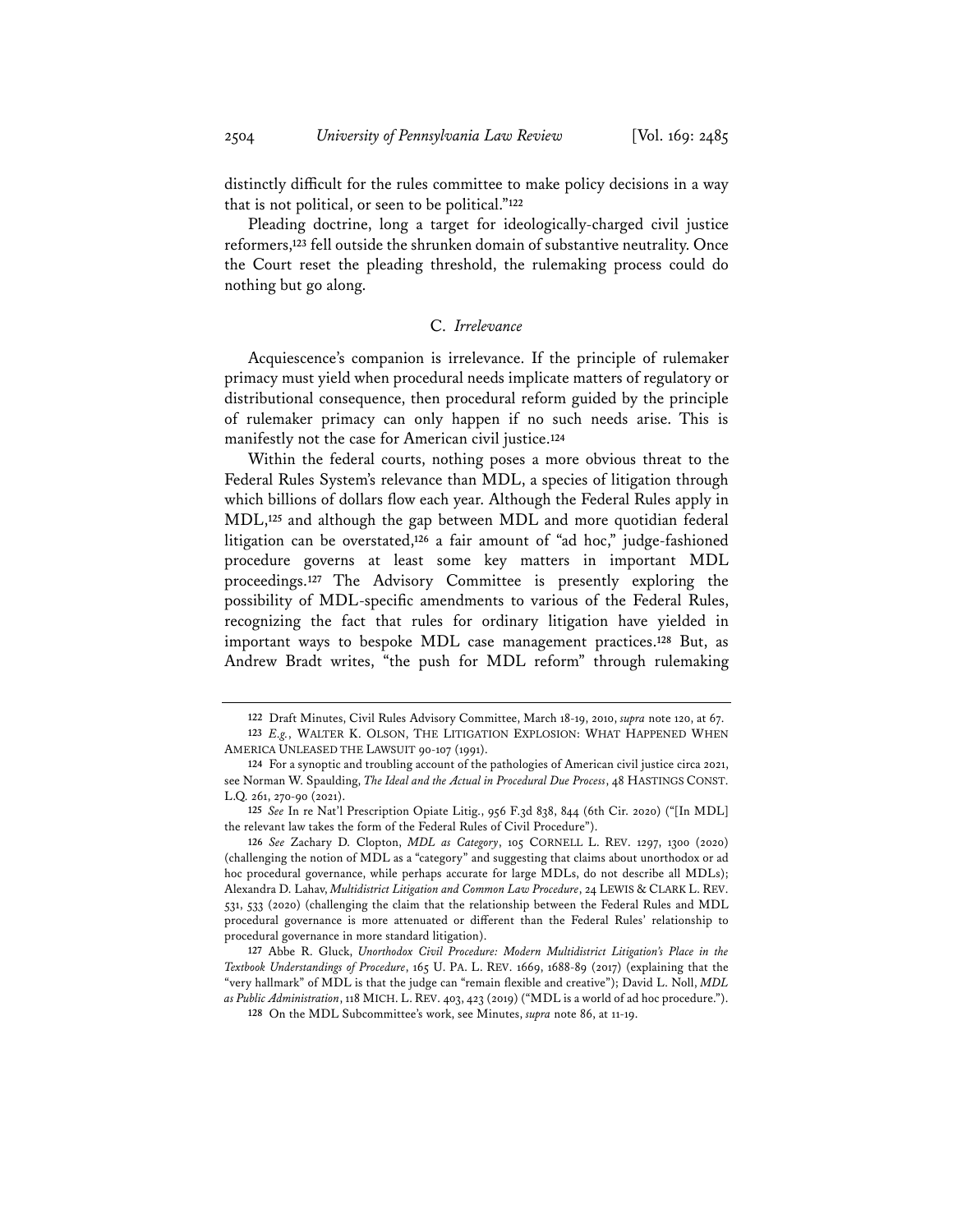distinctly difficult for the rules committee to make policy decisions in a way that is not political, or seen to be political."**<sup>122</sup>**

Pleading doctrine, long a target for ideologically-charged civil justice reformers,**<sup>123</sup>** fell outside the shrunken domain of substantive neutrality. Once the Court reset the pleading threshold, the rulemaking process could do nothing but go along.

## C. *Irrelevance*

Acquiescence's companion is irrelevance. If the principle of rulemaker primacy must yield when procedural needs implicate matters of regulatory or distributional consequence, then procedural reform guided by the principle of rulemaker primacy can only happen if no such needs arise. This is manifestly not the case for American civil justice.**<sup>124</sup>**

Within the federal courts, nothing poses a more obvious threat to the Federal Rules System's relevance than MDL, a species of litigation through which billions of dollars flow each year. Although the Federal Rules apply in MDL,**<sup>125</sup>** and although the gap between MDL and more quotidian federal litigation can be overstated,**<sup>126</sup>** a fair amount of "ad hoc," judge-fashioned procedure governs at least some key matters in important MDL proceedings.**<sup>127</sup>** The Advisory Committee is presently exploring the possibility of MDL-specific amendments to various of the Federal Rules, recognizing the fact that rules for ordinary litigation have yielded in important ways to bespoke MDL case management practices.**<sup>128</sup>** But, as Andrew Bradt writes, "the push for MDL reform" through rulemaking

**<sup>122</sup>** Draft Minutes, Civil Rules Advisory Committee, March 18-19, 2010, *supra* note 120, at 67.

**<sup>123</sup>** *E.g.*, WALTER K. OLSON, THE LITIGATION EXPLOSION: WHAT HAPPENED WHEN AMERICA UNLEASED THE LAWSUIT 90-107 (1991).

**<sup>124</sup>** For a synoptic and troubling account of the pathologies of American civil justice circa 2021, see Norman W. Spaulding, *The Ideal and the Actual in Procedural Due Process*, 48 HASTINGS CONST. L.Q. 261, 270-90 (2021).

**<sup>125</sup>** *See* In re Nat'l Prescription Opiate Litig., 956 F.3d 838, 844 (6th Cir. 2020) ("[In MDL] the relevant law takes the form of the Federal Rules of Civil Procedure").

**<sup>126</sup>** *See* Zachary D. Clopton, *MDL as Category*, 105 CORNELL L. REV. 1297, 1300 (2020) (challenging the notion of MDL as a "category" and suggesting that claims about unorthodox or ad hoc procedural governance, while perhaps accurate for large MDLs, do not describe all MDLs); Alexandra D. Lahav, *Multidistrict Litigation and Common Law Procedure*, 24 LEWIS & CLARK L. REV. 531, 533 (2020) (challenging the claim that the relationship between the Federal Rules and MDL procedural governance is more attenuated or different than the Federal Rules' relationship to procedural governance in more standard litigation).

**<sup>127</sup>** Abbe R. Gluck, *Unorthodox Civil Procedure: Modern Multidistrict Litigation's Place in the Textbook Understandings of Procedure*, 165 U. PA. L. REV. 1669, 1688-89 (2017) (explaining that the "very hallmark" of MDL is that the judge can "remain flexible and creative"); David L. Noll, *MDL as Public Administration*, 118 MICH. L. REV. 403, 423 (2019) ("MDL is a world of ad hoc procedure.").

**<sup>128</sup>** On the MDL Subcommittee's work, see Minutes, *supra* note 86, at 11-19.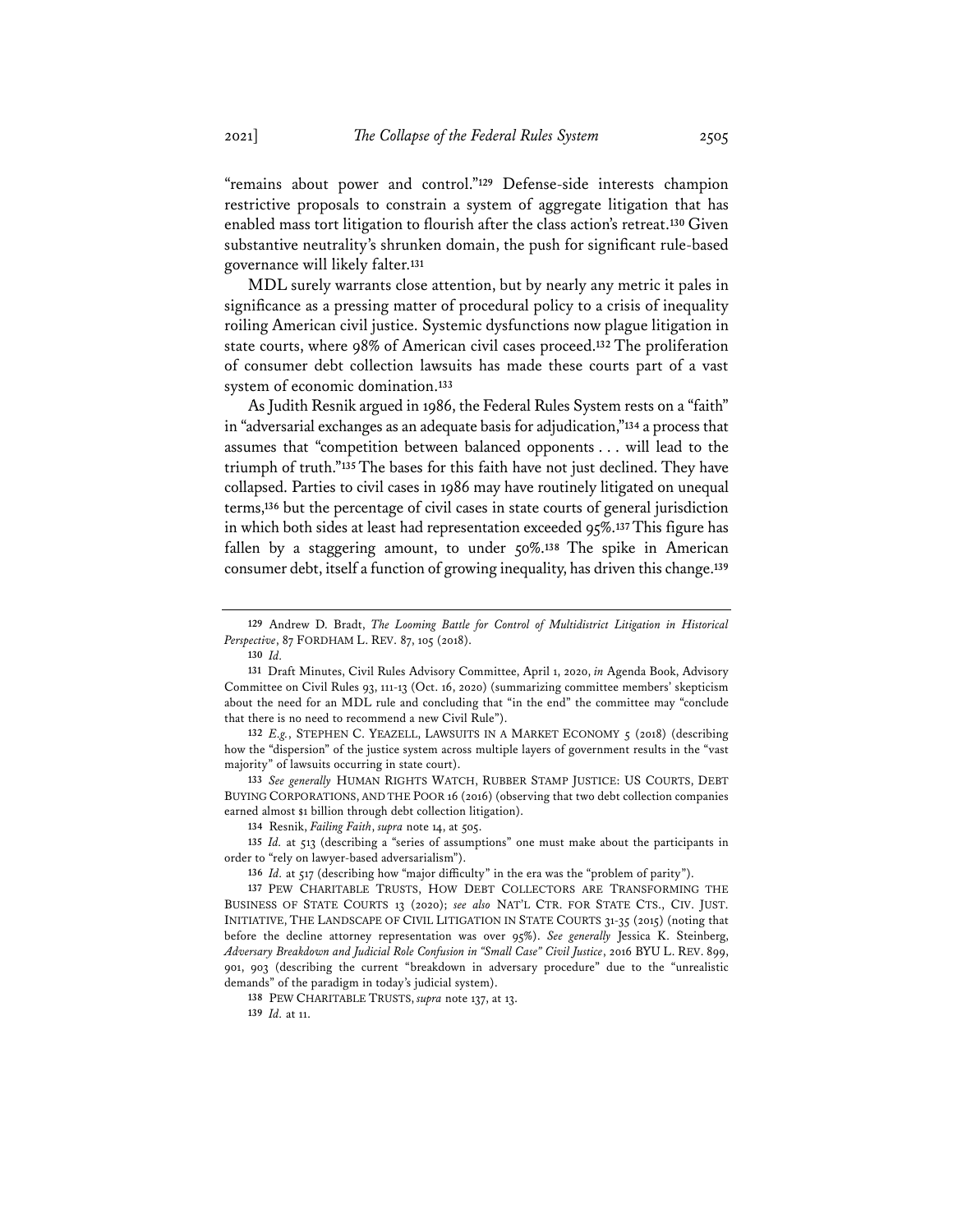"remains about power and control."**<sup>129</sup>** Defense-side interests champion restrictive proposals to constrain a system of aggregate litigation that has enabled mass tort litigation to flourish after the class action's retreat.**<sup>130</sup>** Given substantive neutrality's shrunken domain, the push for significant rule-based governance will likely falter.**<sup>131</sup>**

MDL surely warrants close attention, but by nearly any metric it pales in significance as a pressing matter of procedural policy to a crisis of inequality roiling American civil justice. Systemic dysfunctions now plague litigation in state courts, where 98% of American civil cases proceed.**<sup>132</sup>** The proliferation of consumer debt collection lawsuits has made these courts part of a vast system of economic domination.**<sup>133</sup>**

As Judith Resnik argued in 1986, the Federal Rules System rests on a "faith" in "adversarial exchanges as an adequate basis for adjudication,"**<sup>134</sup>** a process that assumes that "competition between balanced opponents . . . will lead to the triumph of truth."**<sup>135</sup>** The bases for this faith have not just declined. They have collapsed. Parties to civil cases in 1986 may have routinely litigated on unequal terms,**<sup>136</sup>** but the percentage of civil cases in state courts of general jurisdiction in which both sides at least had representation exceeded 95%.**137**This figure has fallen by a staggering amount, to under 50%.**<sup>138</sup>** The spike in American consumer debt, itself a function of growing inequality, has driven this change.**<sup>139</sup>**

**133** *See generally* HUMAN RIGHTS WATCH, RUBBER STAMP JUSTICE: US COURTS, DEBT BUYING CORPORATIONS, AND THE POOR 16 (2016) (observing that two debt collection companies earned almost \$1 billion through debt collection litigation).

**134** Resnik, *Failing Faith*, *supra* note 14, at 505.

**135** *Id.* at 513 (describing a "series of assumptions" one must make about the participants in order to "rely on lawyer-based adversarialism").

**136** *Id.* at 517 (describing how "major difficulty" in the era was the "problem of parity").

**137** PEW CHARITABLE TRUSTS, HOW DEBT COLLECTORS ARE TRANSFORMING THE BUSINESS OF STATE COURTS 13 (2020); *see also* NAT'L CTR. FOR STATE CTS., CIV. JUST. INITIATIVE, THE LANDSCAPE OF CIVIL LITIGATION IN STATE COURTS 31-35 (2015) (noting that before the decline attorney representation was over 95%). *See generally* Jessica K. Steinberg, *Adversary Breakdown and Judicial Role Confusion in "Small Case" Civil Justice*, 2016 BYU L. REV. 899, 901, 903 (describing the current "breakdown in adversary procedure" due to the "unrealistic demands" of the paradigm in today's judicial system).

**138** PEW CHARITABLE TRUSTS, *supra* note 137, at 13.

**139** *Id.* at 11.

**<sup>129</sup>** Andrew D. Bradt, *The Looming Battle for Control of Multidistrict Litigation in Historical Perspective*, 87 FORDHAM L. REV. 87, 105 (2018).

**<sup>130</sup>** *Id.*

**<sup>131</sup>** Draft Minutes, Civil Rules Advisory Committee, April 1, 2020, *in* Agenda Book, Advisory Committee on Civil Rules 93, 111-13 (Oct. 16, 2020) (summarizing committee members' skepticism about the need for an MDL rule and concluding that "in the end" the committee may "conclude that there is no need to recommend a new Civil Rule").

**<sup>132</sup>** *E.g.*, STEPHEN C. YEAZELL, LAWSUITS IN A MARKET ECONOMY 5 (2018) (describing how the "dispersion" of the justice system across multiple layers of government results in the "vast majority" of lawsuits occurring in state court).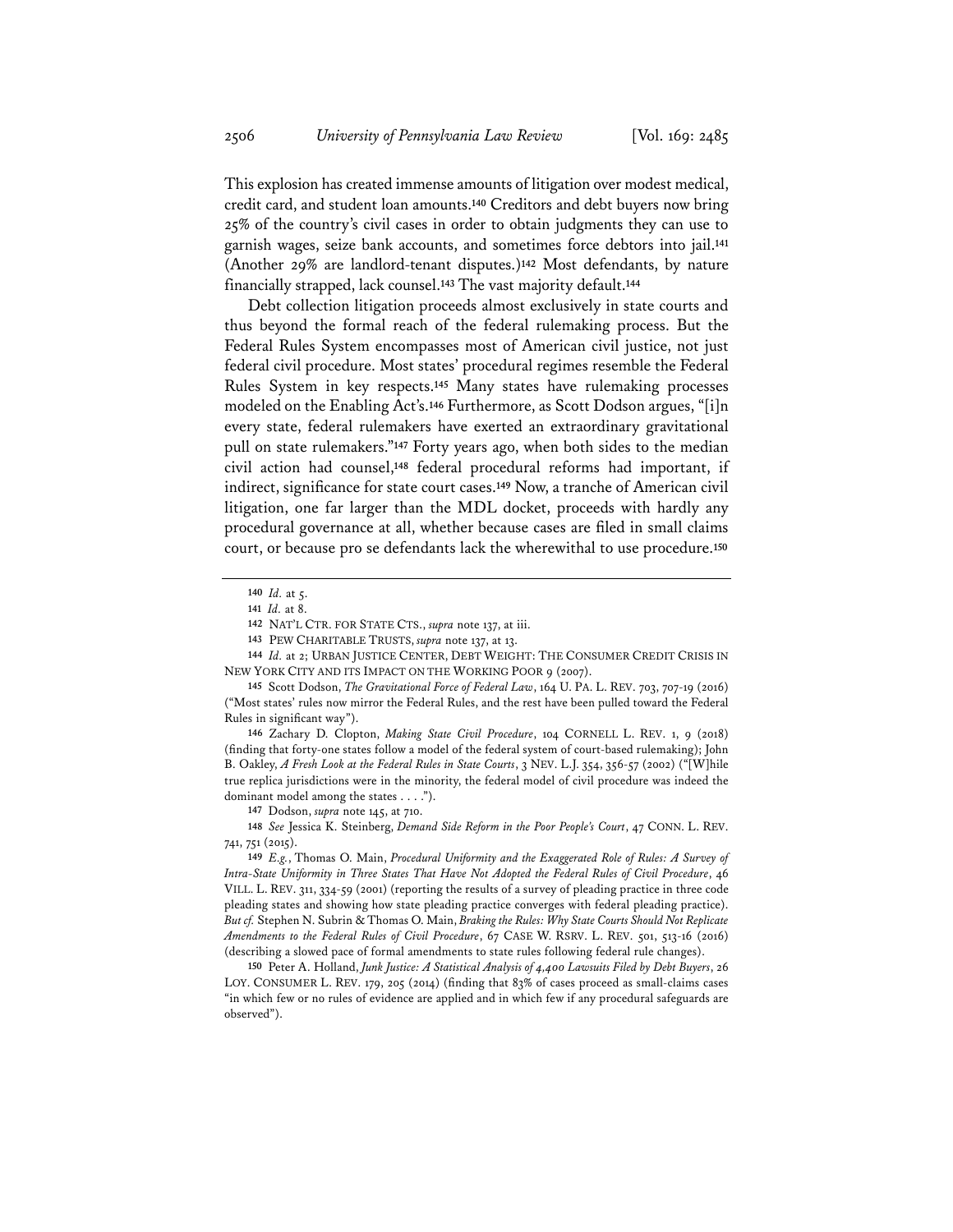This explosion has created immense amounts of litigation over modest medical, credit card, and student loan amounts.**<sup>140</sup>** Creditors and debt buyers now bring 25% of the country's civil cases in order to obtain judgments they can use to garnish wages, seize bank accounts, and sometimes force debtors into jail.**<sup>141</sup>** (Another 29% are landlord-tenant disputes.)**<sup>142</sup>** Most defendants, by nature financially strapped, lack counsel.**<sup>143</sup>** The vast majority default.**<sup>144</sup>**

Debt collection litigation proceeds almost exclusively in state courts and thus beyond the formal reach of the federal rulemaking process. But the Federal Rules System encompasses most of American civil justice, not just federal civil procedure. Most states' procedural regimes resemble the Federal Rules System in key respects.**<sup>145</sup>** Many states have rulemaking processes modeled on the Enabling Act's.**<sup>146</sup>** Furthermore, as Scott Dodson argues, "[i]n every state, federal rulemakers have exerted an extraordinary gravitational pull on state rulemakers."**<sup>147</sup>** Forty years ago, when both sides to the median civil action had counsel,**<sup>148</sup>** federal procedural reforms had important, if indirect, significance for state court cases.**<sup>149</sup>** Now, a tranche of American civil litigation, one far larger than the MDL docket, proceeds with hardly any procedural governance at all, whether because cases are filed in small claims court, or because pro se defendants lack the wherewithal to use procedure.**<sup>150</sup>**

**146** Zachary D. Clopton, *Making State Civil Procedure*, 104 CORNELL L. REV. 1, 9 (2018) (finding that forty-one states follow a model of the federal system of court-based rulemaking); John B. Oakley, *A Fresh Look at the Federal Rules in State Courts*, 3 NEV. L.J. 354, 356-57 (2002) ("[W]hile true replica jurisdictions were in the minority, the federal model of civil procedure was indeed the dominant model among the states . . . .").

**147** Dodson, *supra* note 145, at 710.

**148** *See* Jessica K. Steinberg, *Demand Side Reform in the Poor People's Court*, 47 CONN. L. REV. 741, 751 (2015).

**149** *E.g.*, Thomas O. Main, *Procedural Uniformity and the Exaggerated Role of Rules: A Survey of Intra-State Uniformity in Three States That Have Not Adopted the Federal Rules of Civil Procedure*, 46 VILL. L. REV. 311, 334-59 (2001) (reporting the results of a survey of pleading practice in three code pleading states and showing how state pleading practice converges with federal pleading practice). *But cf.* Stephen N. Subrin & Thomas O. Main, *Braking the Rules: Why State Courts Should Not Replicate Amendments to the Federal Rules of Civil Procedure*, 67 CASE W. RSRV. L. REV. 501, 513-16 (2016) (describing a slowed pace of formal amendments to state rules following federal rule changes).

**150** Peter A. Holland, *Junk Justice: A Statistical Analysis of 4,400 Lawsuits Filed by Debt Buyers*, 26 LOY. CONSUMER L. REV. 179, 205 (2014) (finding that 83% of cases proceed as small-claims cases "in which few or no rules of evidence are applied and in which few if any procedural safeguards are observed").

**<sup>140</sup>** *Id.* at 5.

**<sup>141</sup>** *Id.* at 8.

**<sup>142</sup>** NAT'L CTR. FOR STATE CTS., *supra* note 137, at iii.

**<sup>143</sup>** PEW CHARITABLE TRUSTS, *supra* note 137, at 13.

**<sup>144</sup>** *Id.* at 2; URBAN JUSTICE CENTER, DEBT WEIGHT: THE CONSUMER CREDIT CRISIS IN NEW YORK CITY AND ITS IMPACT ON THE WORKING POOR 9 (2007).

**<sup>145</sup>** Scott Dodson, *The Gravitational Force of Federal Law*, 164 U. PA. L. REV. 703, 707-19 (2016) ("Most states' rules now mirror the Federal Rules, and the rest have been pulled toward the Federal Rules in significant way").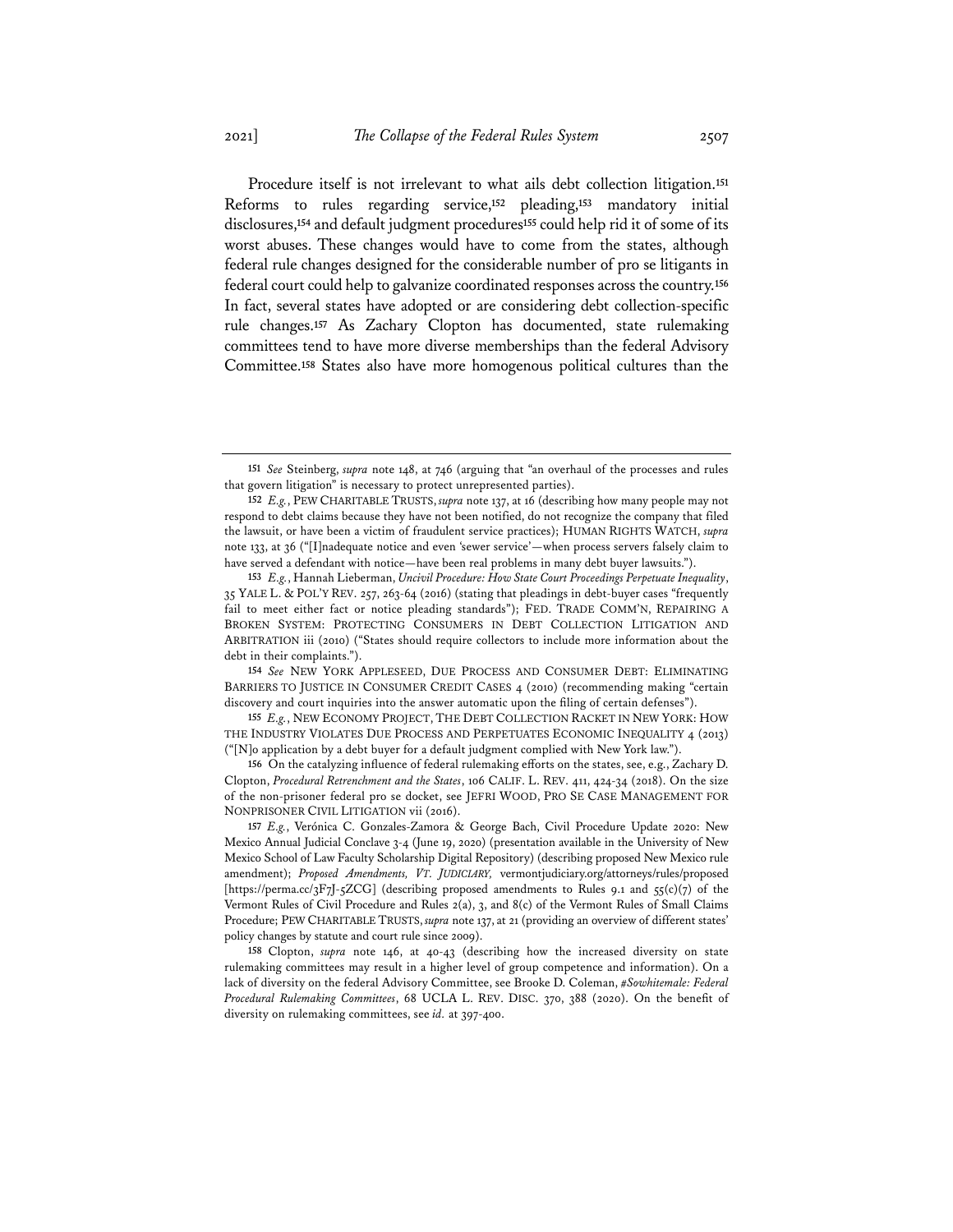Procedure itself is not irrelevant to what ails debt collection litigation.**<sup>151</sup>** Reforms to rules regarding service,**<sup>152</sup>** pleading,**<sup>153</sup>** mandatory initial disclosures,**<sup>154</sup>** and default judgment procedures**<sup>155</sup>** could help rid it of some of its worst abuses. These changes would have to come from the states, although federal rule changes designed for the considerable number of pro se litigants in federal court could help to galvanize coordinated responses across the country.**<sup>156</sup>** In fact, several states have adopted or are considering debt collection-specific rule changes.**<sup>157</sup>** As Zachary Clopton has documented, state rulemaking committees tend to have more diverse memberships than the federal Advisory Committee.**<sup>158</sup>** States also have more homogenous political cultures than the

**154** *See* NEW YORK APPLESEED, DUE PROCESS AND CONSUMER DEBT: ELIMINATING BARRIERS TO JUSTICE IN CONSUMER CREDIT CASES 4 (2010) (recommending making "certain discovery and court inquiries into the answer automatic upon the filing of certain defenses").

**155** *E.g.*, NEW ECONOMY PROJECT, THE DEBT COLLECTION RACKET IN NEW YORK: HOW THE INDUSTRY VIOLATES DUE PROCESS AND PERPETUATES ECONOMIC INEQUALITY 4 (2013) ("[N]o application by a debt buyer for a default judgment complied with New York law.").

**156** On the catalyzing influence of federal rulemaking efforts on the states, see, e.g., Zachary D. Clopton, *Procedural Retrenchment and the States*, 106 CALIF. L. REV. 411, 424-34 (2018). On the size of the non-prisoner federal pro se docket, see JEFRI WOOD, PRO SE CASE MANAGEMENT FOR NONPRISONER CIVIL LITIGATION vii (2016).

**157** *E.g.*, Verónica C. Gonzales-Zamora & George Bach, Civil Procedure Update 2020: New Mexico Annual Judicial Conclave 3-4 (June 19, 2020) (presentation available in the University of New Mexico School of Law Faculty Scholarship Digital Repository) (describing proposed New Mexico rule amendment); *Proposed Amendments, VT. JUDICIARY,* vermontjudiciary.org/attorneys/rules/proposed [https://perma.cc/3F7J-5ZCG] (describing proposed amendments to Rules 9.1 and 55(c)(7) of the Vermont Rules of Civil Procedure and Rules 2(a), 3, and 8(c) of the Vermont Rules of Small Claims Procedure; PEW CHARITABLE TRUSTS, *supra* note 137, at 21 (providing an overview of different states' policy changes by statute and court rule since 2009).

**158** Clopton, *supra* note 146, at 40-43 (describing how the increased diversity on state rulemaking committees may result in a higher level of group competence and information). On a lack of diversity on the federal Advisory Committee, see Brooke D. Coleman, *#Sowhitemale: Federal Procedural Rulemaking Committees*, 68 UCLA L. REV. DISC. 370, 388 (2020). On the benefit of diversity on rulemaking committees, see *id.* at 397-400.

**<sup>151</sup>** *See* Steinberg, *supra* note 148, at 746 (arguing that "an overhaul of the processes and rules that govern litigation" is necessary to protect unrepresented parties).

**<sup>152</sup>** *E.g.*, PEW CHARITABLE TRUSTS, *supra* note 137, at 16 (describing how many people may not respond to debt claims because they have not been notified, do not recognize the company that filed the lawsuit, or have been a victim of fraudulent service practices); HUMAN RIGHTS WATCH, *supra* note 133, at 36 ("[I]nadequate notice and even 'sewer service'—when process servers falsely claim to have served a defendant with notice—have been real problems in many debt buyer lawsuits.").

**<sup>153</sup>** *E.g.*, Hannah Lieberman, *Uncivil Procedure: How State Court Proceedings Perpetuate Inequality*, 35 YALE L. & POL'Y REV. 257, 263-64 (2016) (stating that pleadings in debt-buyer cases "frequently fail to meet either fact or notice pleading standards"); FED. TRADE COMM'N, REPAIRING A BROKEN SYSTEM: PROTECTING CONSUMERS IN DEBT COLLECTION LITIGATION AND ARBITRATION iii (2010) ("States should require collectors to include more information about the debt in their complaints.").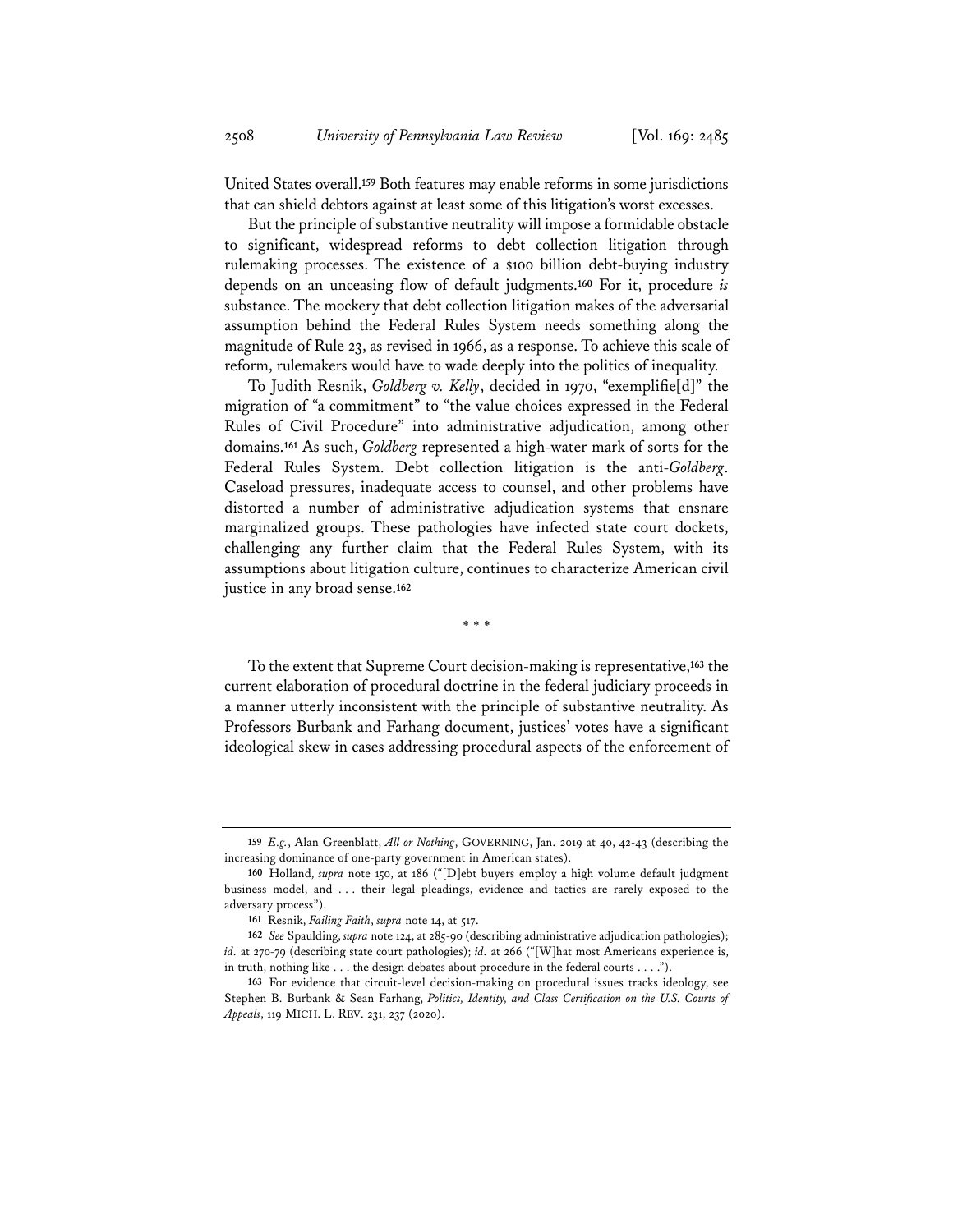United States overall.**<sup>159</sup>** Both features may enable reforms in some jurisdictions that can shield debtors against at least some of this litigation's worst excesses.

But the principle of substantive neutrality will impose a formidable obstacle to significant, widespread reforms to debt collection litigation through rulemaking processes. The existence of a \$100 billion debt-buying industry depends on an unceasing flow of default judgments.**<sup>160</sup>** For it, procedure *is*  substance. The mockery that debt collection litigation makes of the adversarial assumption behind the Federal Rules System needs something along the magnitude of Rule 23, as revised in 1966, as a response. To achieve this scale of reform, rulemakers would have to wade deeply into the politics of inequality.

To Judith Resnik, *Goldberg v. Kelly*, decided in 1970, "exemplifie[d]" the migration of "a commitment" to "the value choices expressed in the Federal Rules of Civil Procedure" into administrative adjudication, among other domains.**<sup>161</sup>** As such, *Goldberg* represented a high-water mark of sorts for the Federal Rules System. Debt collection litigation is the anti-*Goldberg*. Caseload pressures, inadequate access to counsel, and other problems have distorted a number of administrative adjudication systems that ensnare marginalized groups. These pathologies have infected state court dockets, challenging any further claim that the Federal Rules System, with its assumptions about litigation culture, continues to characterize American civil justice in any broad sense.**<sup>162</sup>**

\* \* \*

To the extent that Supreme Court decision-making is representative,**<sup>163</sup>** the current elaboration of procedural doctrine in the federal judiciary proceeds in a manner utterly inconsistent with the principle of substantive neutrality. As Professors Burbank and Farhang document, justices' votes have a significant ideological skew in cases addressing procedural aspects of the enforcement of

**<sup>159</sup>** *E.g.*, Alan Greenblatt, *All or Nothing*, GOVERNING, Jan. 2019 at 40, 42-43 (describing the increasing dominance of one-party government in American states).

**<sup>160</sup>** Holland, *supra* note 150, at 186 ("[D]ebt buyers employ a high volume default judgment business model, and . . . their legal pleadings, evidence and tactics are rarely exposed to the adversary process").

**<sup>161</sup>** Resnik, *Failing Faith*, *supra* note 14, at 517.

**<sup>162</sup>** *See* Spaulding, *supra* note 124, at 285-90 (describing administrative adjudication pathologies); *id.* at 270-79 (describing state court pathologies); *id.* at 266 ("[W]hat most Americans experience is, in truth, nothing like . . . the design debates about procedure in the federal courts . . . .").

**<sup>163</sup>** For evidence that circuit-level decision-making on procedural issues tracks ideology, see Stephen B. Burbank & Sean Farhang, *Politics, Identity, and Class Certification on the U.S. Courts of Appeals*, 119 MICH. L. REV. 231, 237 (2020).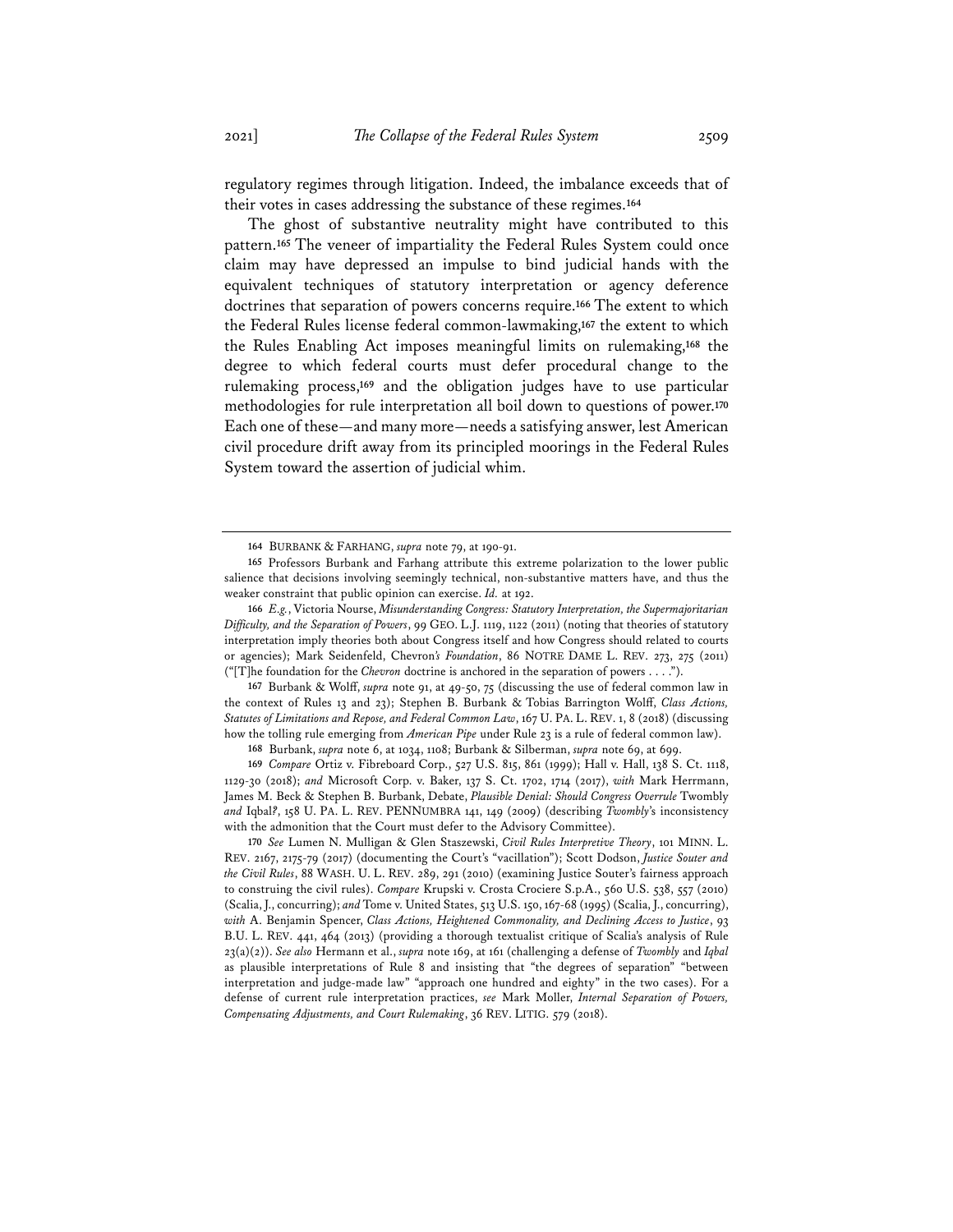regulatory regimes through litigation. Indeed, the imbalance exceeds that of their votes in cases addressing the substance of these regimes.**<sup>164</sup>**

The ghost of substantive neutrality might have contributed to this pattern.**<sup>165</sup>** The veneer of impartiality the Federal Rules System could once claim may have depressed an impulse to bind judicial hands with the equivalent techniques of statutory interpretation or agency deference doctrines that separation of powers concerns require.**<sup>166</sup>** The extent to which the Federal Rules license federal common-lawmaking,**<sup>167</sup>** the extent to which the Rules Enabling Act imposes meaningful limits on rulemaking,**<sup>168</sup>** the degree to which federal courts must defer procedural change to the rulemaking process,**<sup>169</sup>** and the obligation judges have to use particular methodologies for rule interpretation all boil down to questions of power.**<sup>170</sup>** Each one of these—and many more—needs a satisfying answer, lest American civil procedure drift away from its principled moorings in the Federal Rules System toward the assertion of judicial whim.

**167** Burbank & Wolff, *supra* note 91, at 49-50, 75 (discussing the use of federal common law in the context of Rules 13 and 23); Stephen B. Burbank & Tobias Barrington Wolff, *Class Actions, Statutes of Limitations and Repose, and Federal Common Law*, 167 U. PA. L. REV. 1, 8 (2018) (discussing how the tolling rule emerging from *American Pipe* under Rule 23 is a rule of federal common law).

**169** *Compare* Ortiz v. Fibreboard Corp., 527 U.S. 815, 861 (1999); Hall v. Hall, 138 S. Ct. 1118, 1129-30 (2018); *and* Microsoft Corp. v. Baker, 137 S. Ct. 1702, 1714 (2017), *with* Mark Herrmann, James M. Beck & Stephen B. Burbank, Debate, *Plausible Denial: Should Congress Overrule* Twombly *and* Iqbal*?*, 158 U. PA. L. REV. PENNUMBRA 141, 149 (2009) (describing *Twombly*'s inconsistency with the admonition that the Court must defer to the Advisory Committee).

**170** *See* Lumen N. Mulligan & Glen Staszewski, *Civil Rules Interpretive Theory*, 101 MINN. L. REV. 2167, 2175-79 (2017) (documenting the Court's "vacillation"); Scott Dodson, *Justice Souter and the Civil Rules*, 88 WASH. U. L. REV. 289, 291 (2010) (examining Justice Souter's fairness approach to construing the civil rules). *Compare* Krupski v. Crosta Crociere S.p.A., 560 U.S. 538, 557 (2010) (Scalia, J., concurring); *and*Tome v. United States, 513 U.S. 150, 167-68 (1995) (Scalia, J., concurring), *with* A. Benjamin Spencer, *Class Actions, Heightened Commonality, and Declining Access to Justice*, 93 B.U. L. REV. 441, 464 (2013) (providing a thorough textualist critique of Scalia's analysis of Rule 23(a)(2)). *See also* Hermann et al., *supra* note 169, at 161 (challenging a defense of *Twombly* and *Iqbal* as plausible interpretations of Rule 8 and insisting that "the degrees of separation" "between interpretation and judge-made law" "approach one hundred and eighty" in the two cases). For a defense of current rule interpretation practices, *see* Mark Moller, *Internal Separation of Powers, Compensating Adjustments, and Court Rulemaking*, 36 REV. LITIG. 579 (2018).

**<sup>164</sup>** BURBANK & FARHANG, *supra* note 79, at 190-91.

**<sup>165</sup>** Professors Burbank and Farhang attribute this extreme polarization to the lower public salience that decisions involving seemingly technical, non-substantive matters have, and thus the weaker constraint that public opinion can exercise. *Id.* at 192.

**<sup>166</sup>** *E.g.*, Victoria Nourse, *Misunderstanding Congress: Statutory Interpretation, the Supermajoritarian Difficulty, and the Separation of Powers*, 99 GEO. L.J. 1119, 1122 (2011) (noting that theories of statutory interpretation imply theories both about Congress itself and how Congress should related to courts or agencies); Mark Seidenfeld, Chevron*'s Foundation*, 86 NOTRE DAME L. REV. 273, 275 (2011) ("[T]he foundation for the *Chevron* doctrine is anchored in the separation of powers . . . .").

**<sup>168</sup>** Burbank, *supra* note 6, at 1034, 1108; Burbank & Silberman, *supra* note 69, at 699.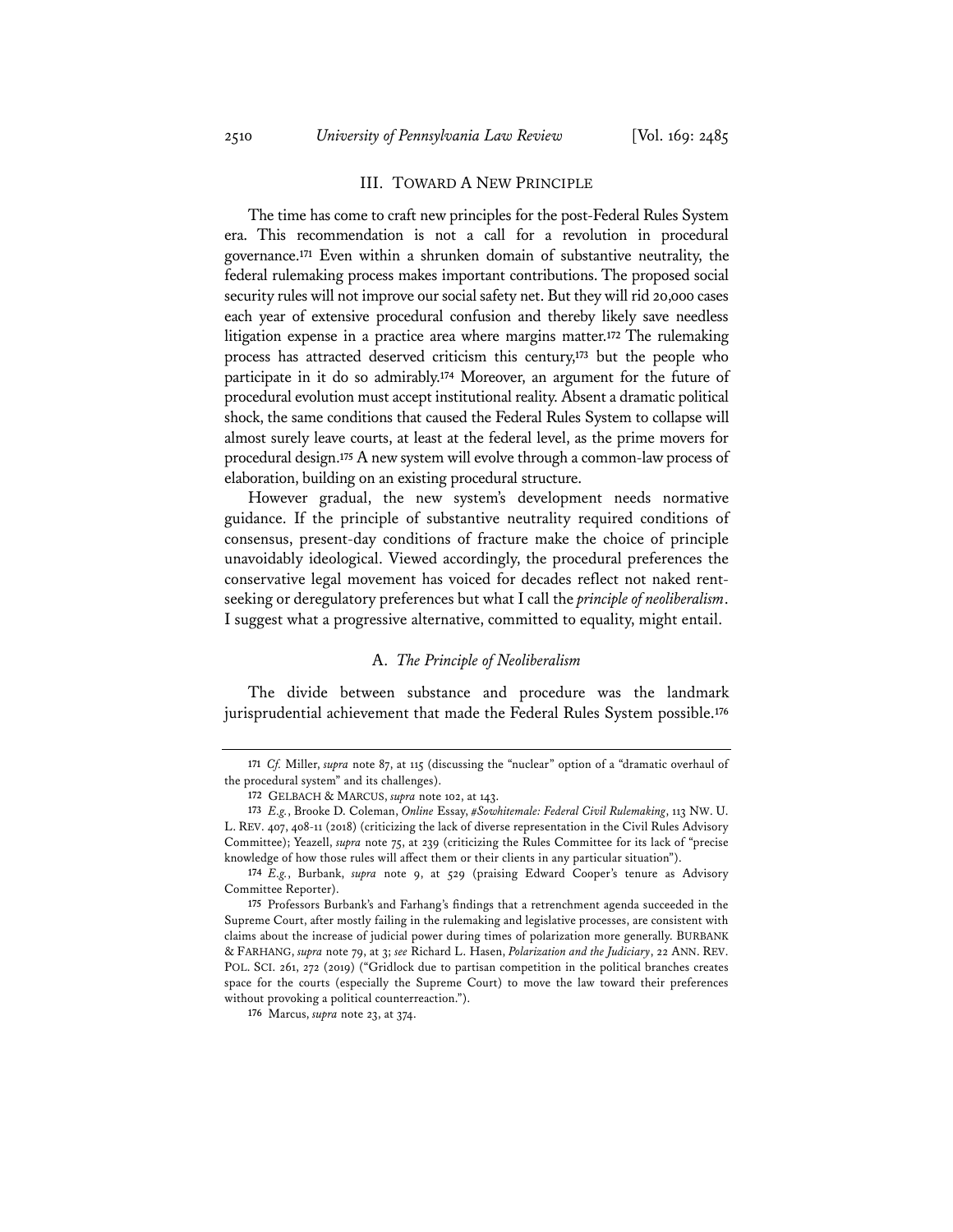## III. TOWARD A NEW PRINCIPLE

The time has come to craft new principles for the post-Federal Rules System era. This recommendation is not a call for a revolution in procedural governance.**<sup>171</sup>** Even within a shrunken domain of substantive neutrality, the federal rulemaking process makes important contributions. The proposed social security rules will not improve our social safety net. But they will rid 20,000 cases each year of extensive procedural confusion and thereby likely save needless litigation expense in a practice area where margins matter.**<sup>172</sup>** The rulemaking process has attracted deserved criticism this century,**<sup>173</sup>** but the people who participate in it do so admirably.**<sup>174</sup>** Moreover, an argument for the future of procedural evolution must accept institutional reality. Absent a dramatic political shock, the same conditions that caused the Federal Rules System to collapse will almost surely leave courts, at least at the federal level, as the prime movers for procedural design.**<sup>175</sup>** A new system will evolve through a common-law process of elaboration, building on an existing procedural structure.

However gradual, the new system's development needs normative guidance. If the principle of substantive neutrality required conditions of consensus, present-day conditions of fracture make the choice of principle unavoidably ideological. Viewed accordingly, the procedural preferences the conservative legal movement has voiced for decades reflect not naked rentseeking or deregulatory preferences but what I call the *principle of neoliberalism*. I suggest what a progressive alternative, committed to equality, might entail.

## A. *The Principle of Neoliberalism*

The divide between substance and procedure was the landmark jurisprudential achievement that made the Federal Rules System possible.**<sup>176</sup>**

**<sup>171</sup>** *Cf.* Miller, *supra* note 87, at 115 (discussing the "nuclear" option of a "dramatic overhaul of the procedural system" and its challenges).

**<sup>172</sup>** GELBACH & MARCUS, *supra* note 102, at 143.

**<sup>173</sup>** *E.g.*, Brooke D. Coleman, *Online* Essay, *#Sowhitemale: Federal Civil Rulemaking*, 113 NW. U. L. REV. 407, 408-11 (2018) (criticizing the lack of diverse representation in the Civil Rules Advisory Committee); Yeazell, *supra* note 75, at 239 (criticizing the Rules Committee for its lack of "precise knowledge of how those rules will affect them or their clients in any particular situation").

**<sup>174</sup>** *E.g.*, Burbank, *supra* note 9, at 529 (praising Edward Cooper's tenure as Advisory Committee Reporter).

**<sup>175</sup>** Professors Burbank's and Farhang's findings that a retrenchment agenda succeeded in the Supreme Court, after mostly failing in the rulemaking and legislative processes, are consistent with claims about the increase of judicial power during times of polarization more generally. BURBANK & FARHANG, *supra* note 79, at 3; *see* Richard L. Hasen, *Polarization and the Judiciary*, 22 ANN. REV. POL. SCI. 261, 272 (2019) ("Gridlock due to partisan competition in the political branches creates space for the courts (especially the Supreme Court) to move the law toward their preferences without provoking a political counterreaction.").

**<sup>176</sup>** Marcus, *supra* note 23, at 374.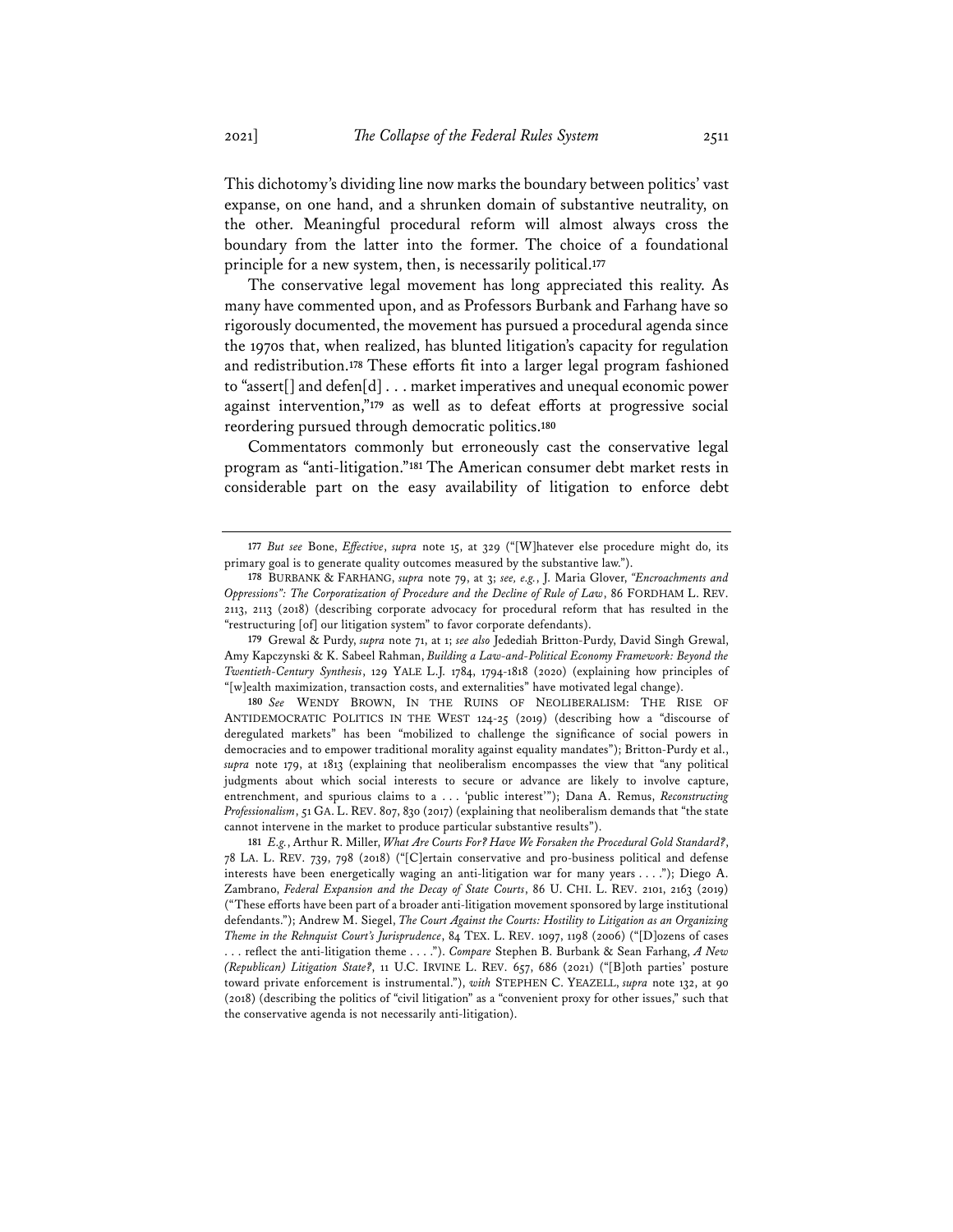This dichotomy's dividing line now marks the boundary between politics' vast expanse, on one hand, and a shrunken domain of substantive neutrality, on the other. Meaningful procedural reform will almost always cross the boundary from the latter into the former. The choice of a foundational principle for a new system, then, is necessarily political.**<sup>177</sup>**

The conservative legal movement has long appreciated this reality. As many have commented upon, and as Professors Burbank and Farhang have so rigorously documented, the movement has pursued a procedural agenda since the 1970s that, when realized, has blunted litigation's capacity for regulation and redistribution.**<sup>178</sup>** These efforts fit into a larger legal program fashioned to "assert[] and defen[d] . . . market imperatives and unequal economic power against intervention,"**<sup>179</sup>** as well as to defeat efforts at progressive social reordering pursued through democratic politics.**<sup>180</sup>**

Commentators commonly but erroneously cast the conservative legal program as "anti-litigation."**<sup>181</sup>** The American consumer debt market rests in considerable part on the easy availability of litigation to enforce debt

**179** Grewal & Purdy, *supra* note 71, at 1; *see also* Jedediah Britton-Purdy, David Singh Grewal, Amy Kapczynski & K. Sabeel Rahman, *Building a Law-and-Political Economy Framework: Beyond the Twentieth-Century Synthesis*, 129 YALE L.J. 1784, 1794-1818 (2020) (explaining how principles of "[w]ealth maximization, transaction costs, and externalities" have motivated legal change).

**180** *See* WENDY BROWN, IN THE RUINS OF NEOLIBERALISM: THE RISE OF ANTIDEMOCRATIC POLITICS IN THE WEST 124-25 (2019) (describing how a "discourse of deregulated markets" has been "mobilized to challenge the significance of social powers in democracies and to empower traditional morality against equality mandates"); Britton-Purdy et al., *supra* note 179, at 1813 (explaining that neoliberalism encompasses the view that "any political judgments about which social interests to secure or advance are likely to involve capture, entrenchment, and spurious claims to a . . . 'public interest'"); Dana A. Remus, *Reconstructing Professionalism*, 51 GA. L. REV. 807, 830 (2017) (explaining that neoliberalism demands that "the state cannot intervene in the market to produce particular substantive results").

**181** *E.g.*, Arthur R. Miller, *What Are Courts For? Have We Forsaken the Procedural Gold Standard?*, 78 LA. L. REV. 739, 798 (2018) ("[C]ertain conservative and pro-business political and defense interests have been energetically waging an anti-litigation war for many years . . . ."); Diego A. Zambrano, *Federal Expansion and the Decay of State Courts*, 86 U. CHI. L. REV. 2101, 2163 (2019) ("These efforts have been part of a broader anti-litigation movement sponsored by large institutional defendants."); Andrew M. Siegel, *The Court Against the Courts: Hostility to Litigation as an Organizing Theme in the Rehnquist Court's Jurisprudence*, 84 TEX. L. REV. 1097, 1198 (2006) ("[D]ozens of cases . . . reflect the anti-litigation theme . . . ."). *Compare* Stephen B. Burbank & Sean Farhang, *A New (Republican) Litigation State?*, 11 U.C. IRVINE L. REV. 657, 686 (2021) ("[B]oth parties' posture toward private enforcement is instrumental."), *with* STEPHEN C. YEAZELL, *supra* note 132, at 90 (2018) (describing the politics of "civil litigation" as a "convenient proxy for other issues," such that the conservative agenda is not necessarily anti-litigation).

**<sup>177</sup>** *But see* Bone, *Effective*, *supra* note 15, at 329 ("[W]hatever else procedure might do, its primary goal is to generate quality outcomes measured by the substantive law.").

**<sup>178</sup>** BURBANK & FARHANG, *supra* note 79, at 3; *see, e.g.*, J. Maria Glover, *"Encroachments and Oppressions": The Corporatization of Procedure and the Decline of Rule of Law*, 86 FORDHAM L. REV. 2113, 2113 (2018) (describing corporate advocacy for procedural reform that has resulted in the "restructuring [of] our litigation system" to favor corporate defendants).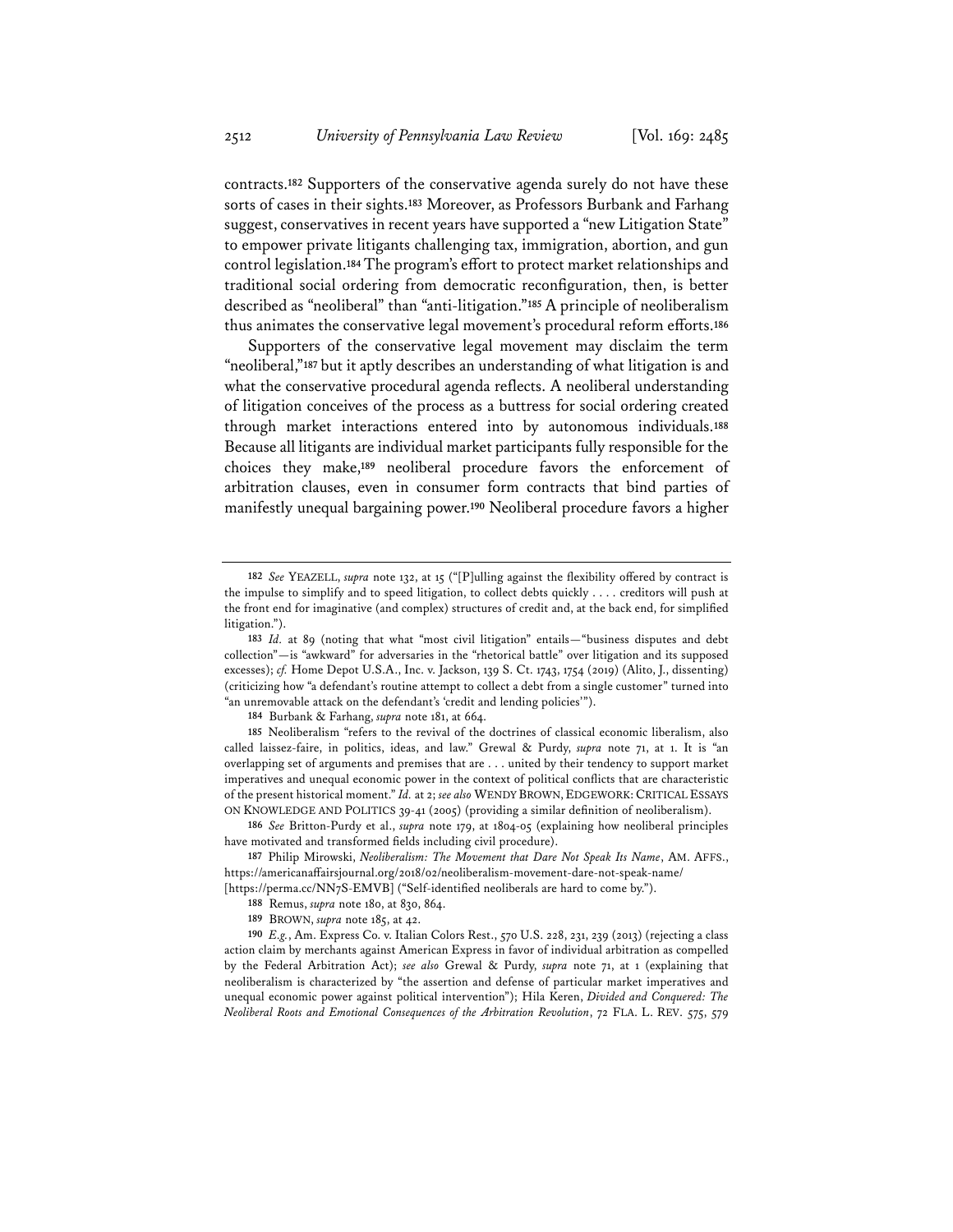contracts.**<sup>182</sup>** Supporters of the conservative agenda surely do not have these sorts of cases in their sights.**<sup>183</sup>** Moreover, as Professors Burbank and Farhang suggest, conservatives in recent years have supported a "new Litigation State" to empower private litigants challenging tax, immigration, abortion, and gun control legislation.**184**The program's effort to protect market relationships and traditional social ordering from democratic reconfiguration, then, is better described as "neoliberal" than "anti-litigation."**<sup>185</sup>** A principle of neoliberalism thus animates the conservative legal movement's procedural reform efforts.**<sup>186</sup>**

Supporters of the conservative legal movement may disclaim the term "neoliberal,"**<sup>187</sup>** but it aptly describes an understanding of what litigation is and what the conservative procedural agenda reflects. A neoliberal understanding of litigation conceives of the process as a buttress for social ordering created through market interactions entered into by autonomous individuals.**<sup>188</sup>** Because all litigants are individual market participants fully responsible for the choices they make,**<sup>189</sup>** neoliberal procedure favors the enforcement of arbitration clauses, even in consumer form contracts that bind parties of manifestly unequal bargaining power.**<sup>190</sup>** Neoliberal procedure favors a higher

**184** Burbank & Farhang, *supra* note 181, at 664.

**<sup>182</sup>** *See* YEAZELL, *supra* note 132, at 15 ("[P]ulling against the flexibility offered by contract is the impulse to simplify and to speed litigation, to collect debts quickly . . . . creditors will push at the front end for imaginative (and complex) structures of credit and, at the back end, for simplified litigation.").

**<sup>183</sup>** *Id.* at 89 (noting that what "most civil litigation" entails—"business disputes and debt collection"—is "awkward" for adversaries in the "rhetorical battle" over litigation and its supposed excesses); *cf.* Home Depot U.S.A., Inc. v. Jackson, 139 S. Ct. 1743, 1754 (2019) (Alito, J., dissenting) (criticizing how "a defendant's routine attempt to collect a debt from a single customer" turned into "an unremovable attack on the defendant's 'credit and lending policies'").

**<sup>185</sup>** Neoliberalism "refers to the revival of the doctrines of classical economic liberalism, also called laissez-faire, in politics, ideas, and law." Grewal & Purdy, *supra* note 71, at 1. It is "an overlapping set of arguments and premises that are . . . united by their tendency to support market imperatives and unequal economic power in the context of political conflicts that are characteristic of the present historical moment." *Id.* at 2; *see also* WENDY BROWN, EDGEWORK:CRITICAL ESSAYS ON KNOWLEDGE AND POLITICS 39-41 (2005) (providing a similar definition of neoliberalism).

**<sup>186</sup>** *See* Britton-Purdy et al., *supra* note 179, at 1804-05 (explaining how neoliberal principles have motivated and transformed fields including civil procedure).

**<sup>187</sup>** Philip Mirowski, *Neoliberalism: The Movement that Dare Not Speak Its Name*, AM. AFFS., https://americanaffairsjournal.org/2018/02/neoliberalism-movement-dare-not-speak-name/

<sup>[</sup>https://perma.cc/NN7S-EMVB] ("Self-identified neoliberals are hard to come by.").

**<sup>188</sup>** Remus, *supra* note 180, at 830, 864.

**<sup>189</sup>** BROWN, *supra* note 185, at 42.

**<sup>190</sup>** *E.g.*, Am. Express Co. v. Italian Colors Rest., 570 U.S. 228, 231, 239 (2013) (rejecting a class action claim by merchants against American Express in favor of individual arbitration as compelled by the Federal Arbitration Act); *see also* Grewal & Purdy, *supra* note 71, at 1 (explaining that neoliberalism is characterized by "the assertion and defense of particular market imperatives and unequal economic power against political intervention"); Hila Keren, *Divided and Conquered: The Neoliberal Roots and Emotional Consequences of the Arbitration Revolution*, 72 FLA. L. REV. 575, 579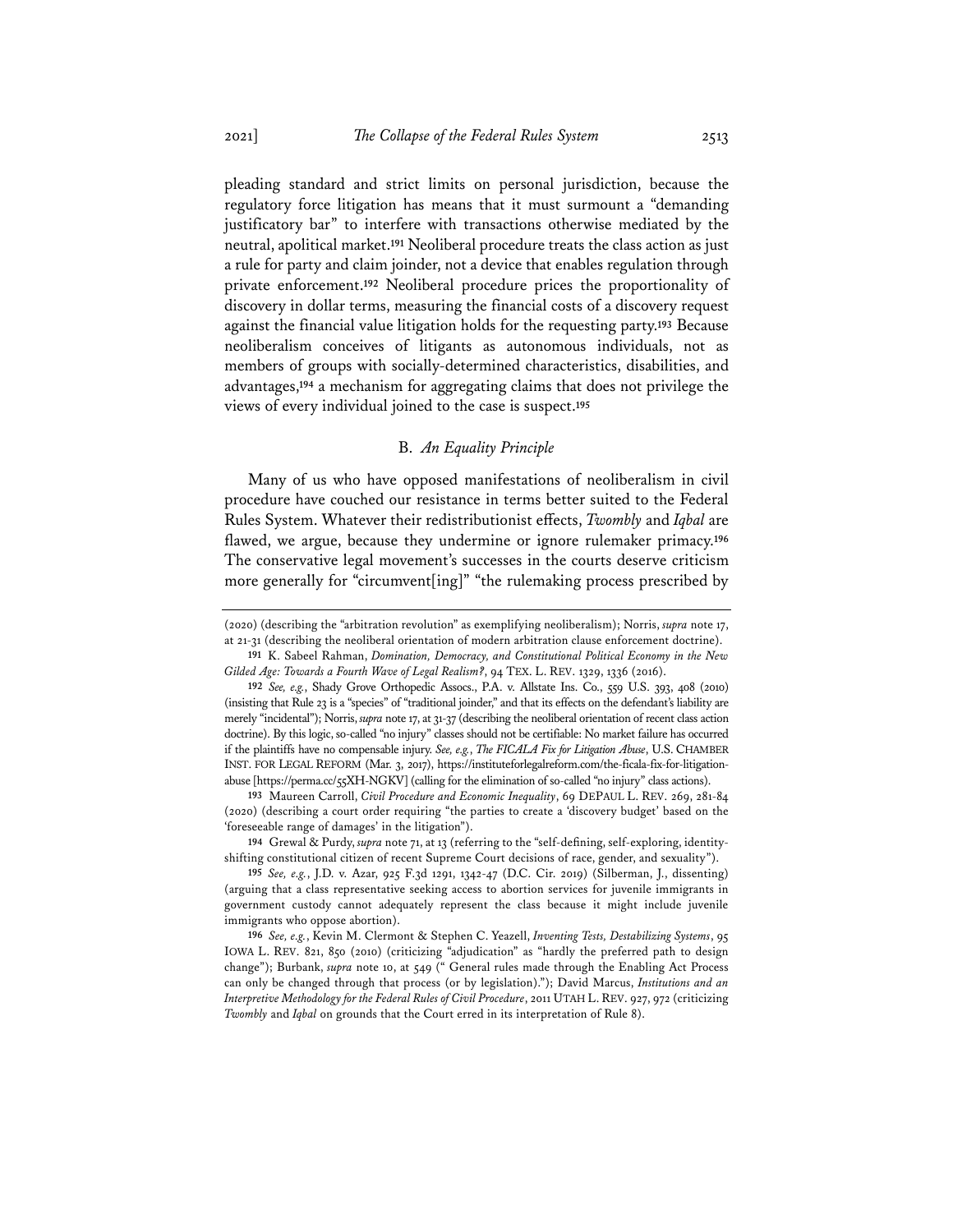pleading standard and strict limits on personal jurisdiction, because the regulatory force litigation has means that it must surmount a "demanding justificatory bar" to interfere with transactions otherwise mediated by the neutral, apolitical market.**<sup>191</sup>** Neoliberal procedure treats the class action as just a rule for party and claim joinder, not a device that enables regulation through private enforcement.**<sup>192</sup>** Neoliberal procedure prices the proportionality of discovery in dollar terms, measuring the financial costs of a discovery request against the financial value litigation holds for the requesting party.**<sup>193</sup>** Because neoliberalism conceives of litigants as autonomous individuals, not as members of groups with socially-determined characteristics, disabilities, and advantages,**<sup>194</sup>** a mechanism for aggregating claims that does not privilege the views of every individual joined to the case is suspect.**<sup>195</sup>**

## B. *An Equality Principle*

Many of us who have opposed manifestations of neoliberalism in civil procedure have couched our resistance in terms better suited to the Federal Rules System. Whatever their redistributionist effects, *Twombly* and *Iqbal* are flawed, we argue, because they undermine or ignore rulemaker primacy.**<sup>196</sup>** The conservative legal movement's successes in the courts deserve criticism more generally for "circumvent[ing]" "the rulemaking process prescribed by

**193** Maureen Carroll, *Civil Procedure and Economic Inequality*, 69 DEPAUL L. REV. 269, 281-84 (2020) (describing a court order requiring "the parties to create a 'discovery budget' based on the 'foreseeable range of damages' in the litigation").

**194** Grewal & Purdy, *supra* note 71, at 13 (referring to the "self-defining, self-exploring, identityshifting constitutional citizen of recent Supreme Court decisions of race, gender, and sexuality").

<sup>(2020) (</sup>describing the "arbitration revolution" as exemplifying neoliberalism); Norris, *supra* note 17, at 21-31 (describing the neoliberal orientation of modern arbitration clause enforcement doctrine).

**<sup>191</sup>** K. Sabeel Rahman, *Domination, Democracy, and Constitutional Political Economy in the New Gilded Age: Towards a Fourth Wave of Legal Realism?*, 94 TEX. L. REV. 1329, 1336 (2016).

**<sup>192</sup>** *See, e.g.*, Shady Grove Orthopedic Assocs., P.A. v. Allstate Ins. Co., 559 U.S. 393, 408 (2010) (insisting that Rule 23 is a "species" of "traditional joinder," and that its effects on the defendant's liability are merely "incidental"); Norris, *supra* note 17, at 31-37 (describing the neoliberal orientation of recent class action doctrine). By this logic, so-called "no injury" classes should not be certifiable: No market failure has occurred if the plaintiffs have no compensable injury. *See, e.g.*, *The FICALA Fix for Litigation Abuse*, U.S. CHAMBER INST. FOR LEGAL REFORM (Mar. 3, 2017), https://instituteforlegalreform.com/the-ficala-fix-for-litigationabuse [https://perma.cc/55XH-NGKV] (calling for the elimination of so-called "no injury" class actions).

**<sup>195</sup>** *See, e.g.*, J.D. v. Azar, 925 F.3d 1291, 1342-47 (D.C. Cir. 2019) (Silberman, J., dissenting) (arguing that a class representative seeking access to abortion services for juvenile immigrants in government custody cannot adequately represent the class because it might include juvenile immigrants who oppose abortion).

**<sup>196</sup>** *See, e.g.*, Kevin M. Clermont & Stephen C. Yeazell, *Inventing Tests, Destabilizing Systems*, 95 IOWA L. REV. 821, 850 (2010) (criticizing "adjudication" as "hardly the preferred path to design change"); Burbank, *supra* note 10, at 549 (" General rules made through the Enabling Act Process can only be changed through that process (or by legislation)."); David Marcus, *Institutions and an Interpretive Methodology for the Federal Rules of Civil Procedure*, 2011 UTAH L. REV. 927, 972 (criticizing *Twombly* and *Iqbal* on grounds that the Court erred in its interpretation of Rule 8).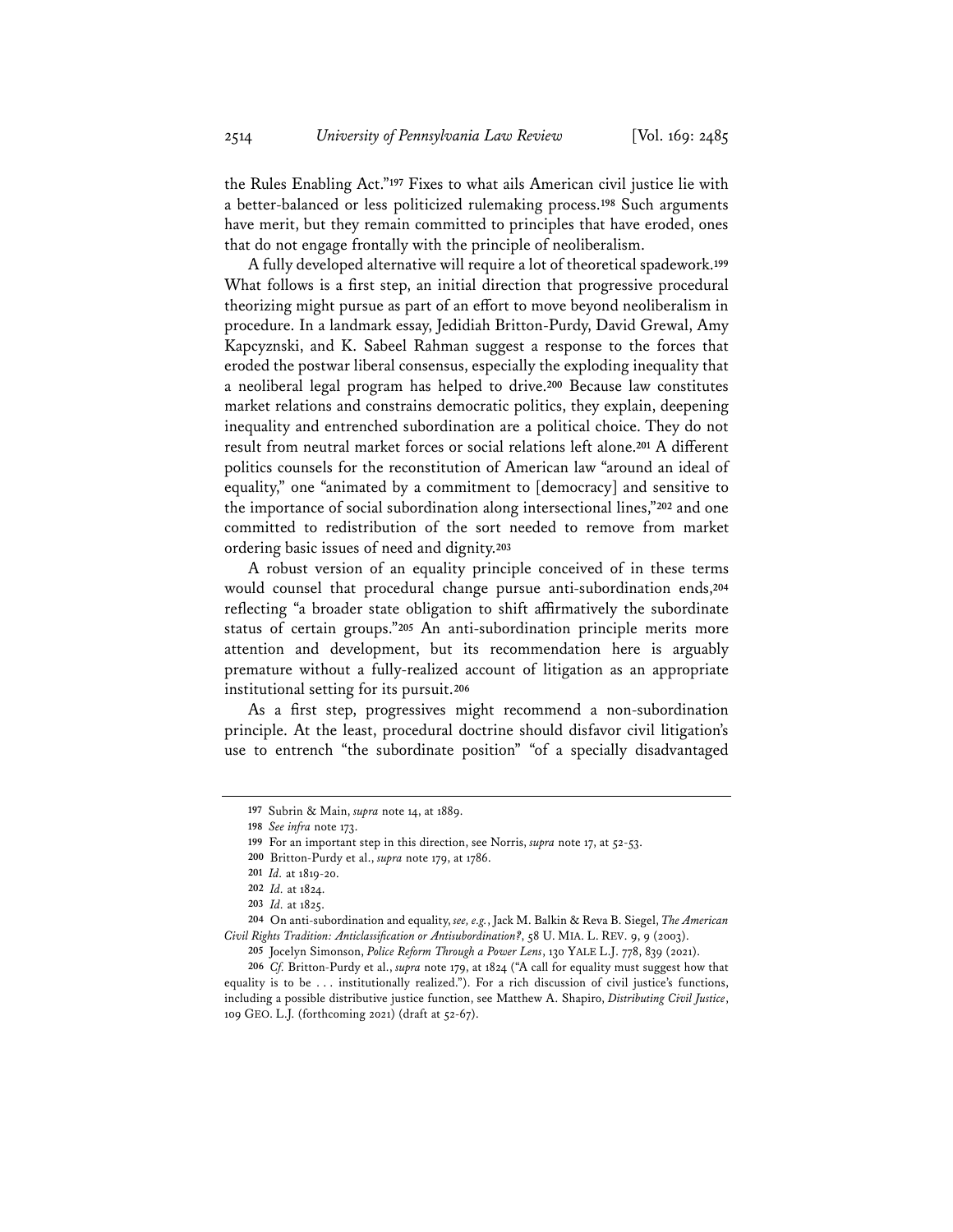the Rules Enabling Act."**<sup>197</sup>** Fixes to what ails American civil justice lie with a better-balanced or less politicized rulemaking process.**<sup>198</sup>** Such arguments have merit, but they remain committed to principles that have eroded, ones that do not engage frontally with the principle of neoliberalism.

A fully developed alternative will require a lot of theoretical spadework.**<sup>199</sup>** What follows is a first step, an initial direction that progressive procedural theorizing might pursue as part of an effort to move beyond neoliberalism in procedure. In a landmark essay, Jedidiah Britton-Purdy, David Grewal, Amy Kapcyznski, and K. Sabeel Rahman suggest a response to the forces that eroded the postwar liberal consensus, especially the exploding inequality that a neoliberal legal program has helped to drive.**<sup>200</sup>** Because law constitutes market relations and constrains democratic politics, they explain, deepening inequality and entrenched subordination are a political choice. They do not result from neutral market forces or social relations left alone.**<sup>201</sup>** A different politics counsels for the reconstitution of American law "around an ideal of equality," one "animated by a commitment to [democracy] and sensitive to the importance of social subordination along intersectional lines,"**<sup>202</sup>** and one committed to redistribution of the sort needed to remove from market ordering basic issues of need and dignity.**<sup>203</sup>**

A robust version of an equality principle conceived of in these terms would counsel that procedural change pursue anti-subordination ends,**<sup>204</sup>** reflecting "a broader state obligation to shift affirmatively the subordinate status of certain groups."**<sup>205</sup>** An anti-subordination principle merits more attention and development, but its recommendation here is arguably premature without a fully-realized account of litigation as an appropriate institutional setting for its pursuit.**<sup>206</sup>**

As a first step, progressives might recommend a non-subordination principle. At the least, procedural doctrine should disfavor civil litigation's use to entrench "the subordinate position" "of a specially disadvantaged

**<sup>197</sup>** Subrin & Main, *supra* note 14, at 1889.

**<sup>198</sup>** *See infra* note 173.

**<sup>199</sup>** For an important step in this direction, see Norris, *supra* note 17, at 52-53.

**<sup>200</sup>** Britton-Purdy et al., *supra* note 179, at 1786.

**<sup>201</sup>** *Id.* at 1819-20.

**<sup>202</sup>** *Id.* at 1824.

**<sup>203</sup>** *Id.* at 1825.

**<sup>204</sup>** On anti-subordination and equality, *see, e.g.*, Jack M. Balkin & Reva B. Siegel, *The American Civil Rights Tradition: Anticlassification or Antisubordination?*, 58 U. MIA. L. REV. 9, 9 (2003).

**<sup>205</sup>** Jocelyn Simonson, *Police Reform Through a Power Lens*, 130 YALE L.J. 778, 839 (2021).

**<sup>206</sup>** *Cf.* Britton-Purdy et al., *supra* note 179, at 1824 ("A call for equality must suggest how that equality is to be . . . institutionally realized."). For a rich discussion of civil justice's functions, including a possible distributive justice function, see Matthew A. Shapiro, *Distributing Civil Justice*, 109 GEO. L.J. (forthcoming 2021) (draft at 52-67).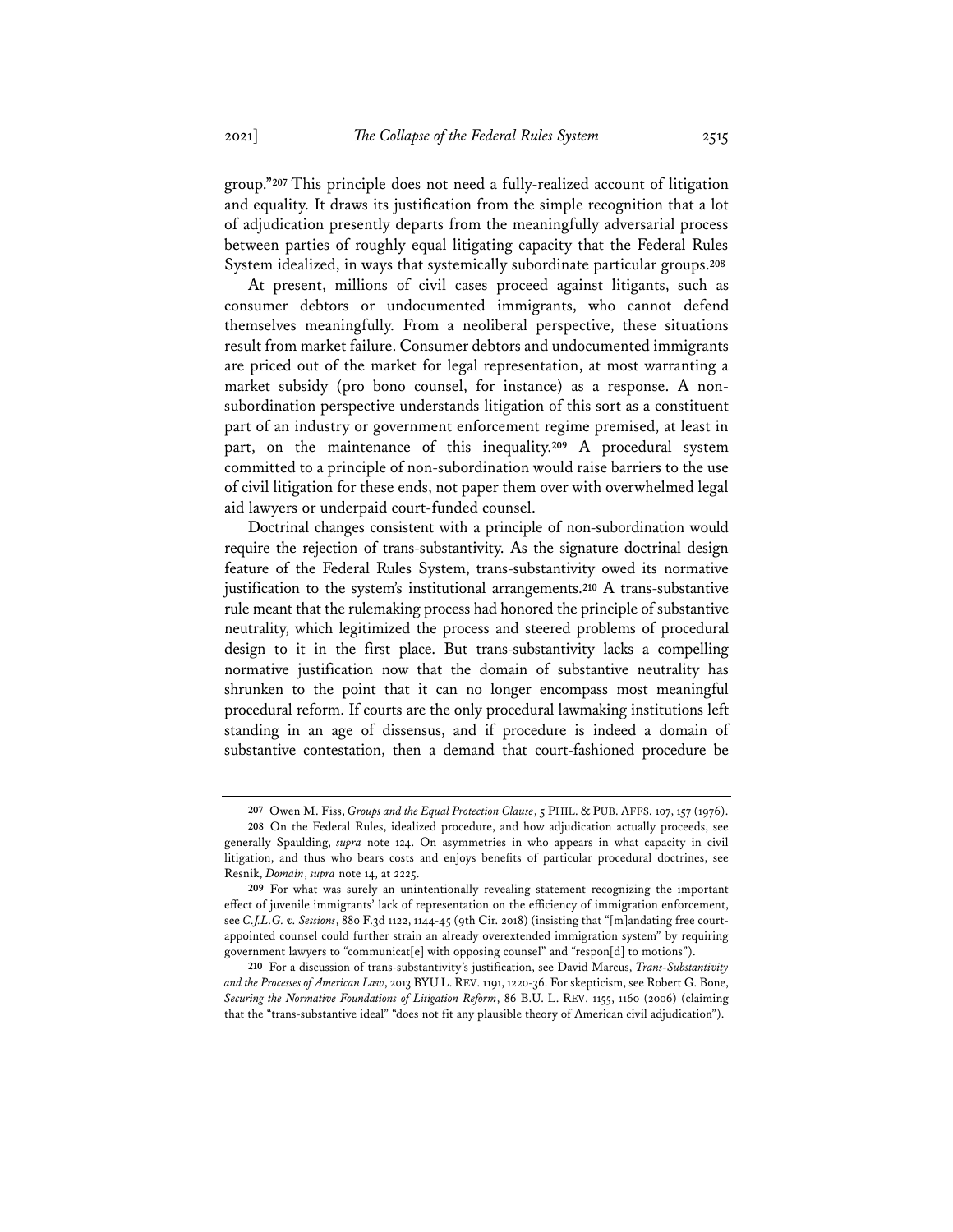group."**<sup>207</sup>** This principle does not need a fully-realized account of litigation and equality. It draws its justification from the simple recognition that a lot of adjudication presently departs from the meaningfully adversarial process between parties of roughly equal litigating capacity that the Federal Rules System idealized, in ways that systemically subordinate particular groups.**<sup>208</sup>**

At present, millions of civil cases proceed against litigants, such as consumer debtors or undocumented immigrants, who cannot defend themselves meaningfully. From a neoliberal perspective, these situations result from market failure. Consumer debtors and undocumented immigrants are priced out of the market for legal representation, at most warranting a market subsidy (pro bono counsel, for instance) as a response. A nonsubordination perspective understands litigation of this sort as a constituent part of an industry or government enforcement regime premised, at least in part, on the maintenance of this inequality.**<sup>209</sup>** A procedural system committed to a principle of non-subordination would raise barriers to the use of civil litigation for these ends, not paper them over with overwhelmed legal aid lawyers or underpaid court-funded counsel.

Doctrinal changes consistent with a principle of non-subordination would require the rejection of trans-substantivity. As the signature doctrinal design feature of the Federal Rules System, trans-substantivity owed its normative justification to the system's institutional arrangements.**<sup>210</sup>** A trans-substantive rule meant that the rulemaking process had honored the principle of substantive neutrality, which legitimized the process and steered problems of procedural design to it in the first place. But trans-substantivity lacks a compelling normative justification now that the domain of substantive neutrality has shrunken to the point that it can no longer encompass most meaningful procedural reform. If courts are the only procedural lawmaking institutions left standing in an age of dissensus, and if procedure is indeed a domain of substantive contestation, then a demand that court-fashioned procedure be

**<sup>207</sup>** Owen M. Fiss, *Groups and the Equal Protection Clause*, 5 PHIL. & PUB. AFFS. 107, 157 (1976).

**<sup>208</sup>** On the Federal Rules, idealized procedure, and how adjudication actually proceeds, see generally Spaulding, *supra* note 124. On asymmetries in who appears in what capacity in civil litigation, and thus who bears costs and enjoys benefits of particular procedural doctrines, see Resnik, *Domain*, *supra* note 14, at 2225.

**<sup>209</sup>** For what was surely an unintentionally revealing statement recognizing the important effect of juvenile immigrants' lack of representation on the efficiency of immigration enforcement, see *C.J.L.G. v. Sessions*, 880 F.3d 1122, 1144-45 (9th Cir. 2018) (insisting that "[m]andating free courtappointed counsel could further strain an already overextended immigration system" by requiring government lawyers to "communicat[e] with opposing counsel" and "respon[d] to motions").

**<sup>210</sup>** For a discussion of trans-substantivity's justification, see David Marcus, *Trans-Substantivity and the Processes of American Law*, 2013 BYU L.REV. 1191, 1220-36. For skepticism, see Robert G. Bone, *Securing the Normative Foundations of Litigation Reform*, 86 B.U. L. REV. 1155, 1160 (2006) (claiming that the "trans-substantive ideal" "does not fit any plausible theory of American civil adjudication").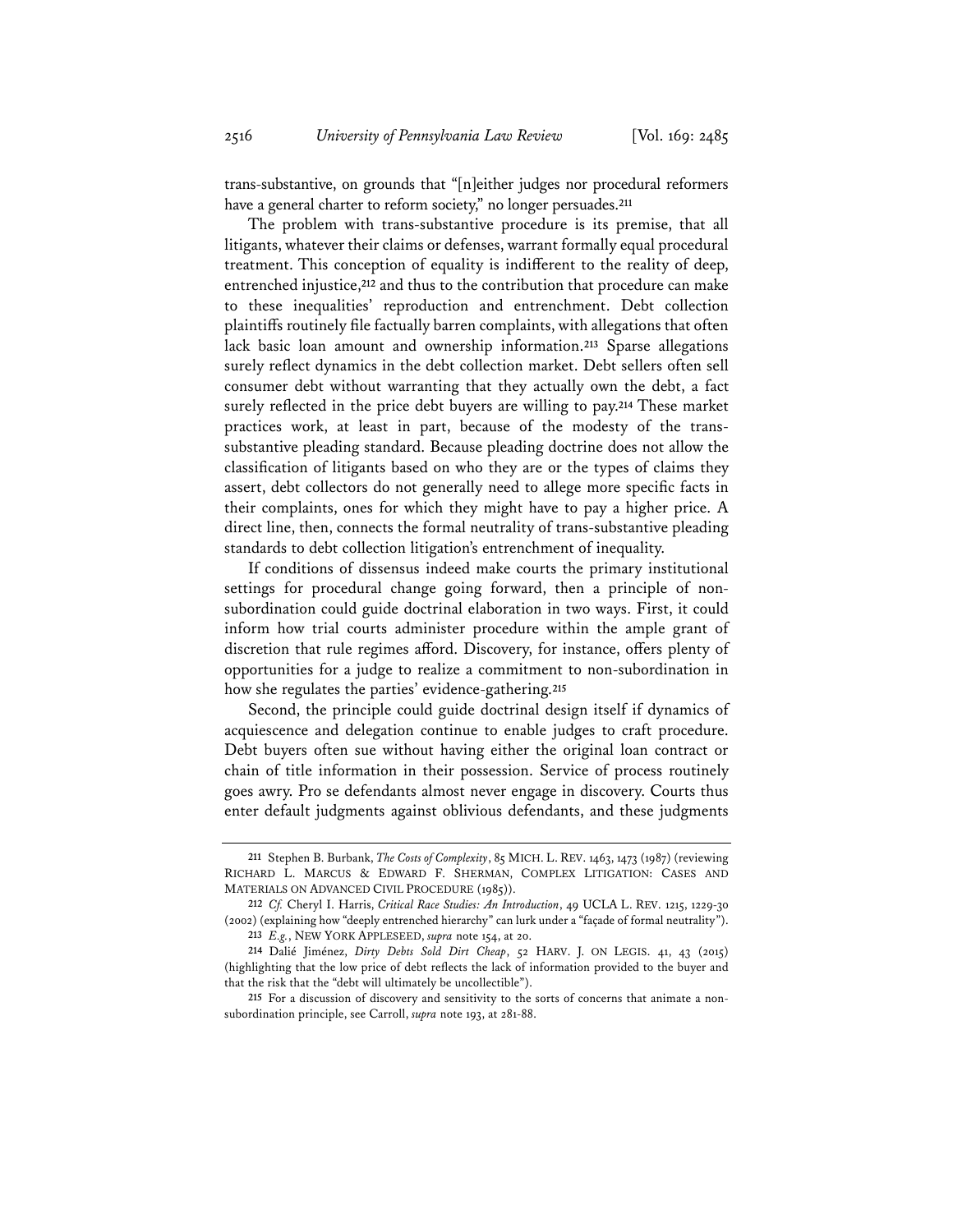trans-substantive, on grounds that "[n]either judges nor procedural reformers have a general charter to reform society," no longer persuades.**<sup>211</sup>**

The problem with trans-substantive procedure is its premise, that all litigants, whatever their claims or defenses, warrant formally equal procedural treatment. This conception of equality is indifferent to the reality of deep, entrenched injustice,**<sup>212</sup>** and thus to the contribution that procedure can make to these inequalities' reproduction and entrenchment. Debt collection plaintiffs routinely file factually barren complaints, with allegations that often lack basic loan amount and ownership information.**<sup>213</sup>** Sparse allegations surely reflect dynamics in the debt collection market. Debt sellers often sell consumer debt without warranting that they actually own the debt, a fact surely reflected in the price debt buyers are willing to pay.**<sup>214</sup>** These market practices work, at least in part, because of the modesty of the transsubstantive pleading standard. Because pleading doctrine does not allow the classification of litigants based on who they are or the types of claims they assert, debt collectors do not generally need to allege more specific facts in their complaints, ones for which they might have to pay a higher price. A direct line, then, connects the formal neutrality of trans-substantive pleading standards to debt collection litigation's entrenchment of inequality.

If conditions of dissensus indeed make courts the primary institutional settings for procedural change going forward, then a principle of nonsubordination could guide doctrinal elaboration in two ways. First, it could inform how trial courts administer procedure within the ample grant of discretion that rule regimes afford. Discovery, for instance, offers plenty of opportunities for a judge to realize a commitment to non-subordination in how she regulates the parties' evidence-gathering.**<sup>215</sup>**

Second, the principle could guide doctrinal design itself if dynamics of acquiescence and delegation continue to enable judges to craft procedure. Debt buyers often sue without having either the original loan contract or chain of title information in their possession. Service of process routinely goes awry. Pro se defendants almost never engage in discovery. Courts thus enter default judgments against oblivious defendants, and these judgments

**<sup>211</sup>** Stephen B. Burbank, *The Costs of Complexity*, 85 MICH. L. REV. 1463, 1473 (1987) (reviewing RICHARD L. MARCUS & EDWARD F. SHERMAN, COMPLEX LITIGATION: CASES AND MATERIALS ON ADVANCED CIVIL PROCEDURE (1985)).

**<sup>212</sup>** *Cf.* Cheryl I. Harris, *Critical Race Studies: An Introduction*, 49 UCLA L. REV. 1215, 1229-30 (2002) (explaining how "deeply entrenched hierarchy" can lurk under a "façade of formal neutrality").

**<sup>213</sup>** *E.g.*, NEW YORK APPLESEED, *supra* note 154, at 20.

**<sup>214</sup>** Dalié Jiménez, *Dirty Debts Sold Dirt Cheap*, 52 HARV. J. ON LEGIS. 41, 43 (2015) (highlighting that the low price of debt reflects the lack of information provided to the buyer and that the risk that the "debt will ultimately be uncollectible").

**<sup>215</sup>** For a discussion of discovery and sensitivity to the sorts of concerns that animate a nonsubordination principle, see Carroll, *supra* note 193, at 281-88.